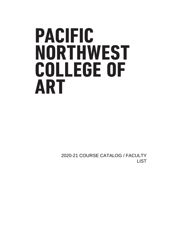# PACIFIC **NORTHWEST COLLEGE OF** ART

2020-21 COURSE CATALOG / FACULTY **LIST**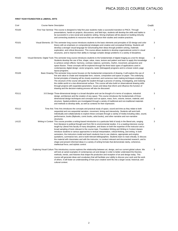### **FIRST YEAR FOUNDATION & LIBERAL ARTS**

| Crs#  | <b>Course Name Description</b> |                                                                                                                                                                                                                                                                                                                                                                                                                                                                                                                                                                                                                                                                                                                                                                                                                                                                                                                                                                                                                                                                                                      | Credit       |
|-------|--------------------------------|------------------------------------------------------------------------------------------------------------------------------------------------------------------------------------------------------------------------------------------------------------------------------------------------------------------------------------------------------------------------------------------------------------------------------------------------------------------------------------------------------------------------------------------------------------------------------------------------------------------------------------------------------------------------------------------------------------------------------------------------------------------------------------------------------------------------------------------------------------------------------------------------------------------------------------------------------------------------------------------------------------------------------------------------------------------------------------------------------|--------------|
| FD100 |                                | First Year Seminar This course is designed to help first year students make a successful transition to PNCA. Through<br>presentations, hands-on projects, discussions, and field trips, students will develop the skills and habits to<br>be successful in a new social and academic setting. Strong emphasis will be placed on building GDunity<br>and connecting students to resources that can enhance their studies and creative practices.                                                                                                                                                                                                                                                                                                                                                                                                                                                                                                                                                                                                                                                      | $\mathbf{1}$ |
| FD101 |                                | Visual Elements: 2D This semester long course introduces students to the basic elements and principles of 2D design and color<br>theory with an emphasis on compositional strategies and creative and conceptual thinking. Students will<br>develop a stronger visual language for GDunicating their ideas through problem solving, materials<br>exploration, and critical discussion. This course allows students to develop organizational control in visual<br>structures, and to improve their ability to manage complex design problems in a variety of disciplines.                                                                                                                                                                                                                                                                                                                                                                                                                                                                                                                            | 3            |
| FD102 |                                | Visual Elements: Digital Tools This semester long course introduces students to the fundamentals of digital imaging as a tool for design.<br>Students develop the use of line, shape, value, mass, texture and pattern and learn to apply this knowledge<br>to achieve certain effects: harmony, contrast, balance, symmetry, rhythm, movement, perspective and<br>space illusion. These concepts will be explored through the three basic types of applications used in<br>contemporary digital design: vector programs, raster (bitmapped) programs and to a lesser extent, page<br>layout programs.                                                                                                                                                                                                                                                                                                                                                                                                                                                                                               | 3            |
| FD105 |                                | Basic Drawing This semester long course focuses on the fundamental components of drawing. It will explore the use of<br>line and value to create and manipulate form, volume, composition and space on paper. The underlying<br>formal principles of drawing will be closely examined, and numerous mark making techniques employed.<br>The structure of the course will guide the student through a process of seeing, investigating, and realizing<br>the visible world on a two-dimensional surface. This course will also build on observational drawing skills<br>through projects with expanded parameters. Issues and ideas that inform and influence the function of<br>drawing and the decision-making process will also be discussed.                                                                                                                                                                                                                                                                                                                                                      | 3            |
| FD111 |                                | 3-D Design Three-dimensional design is a broad discipline and can be thought of in terms of sculpture, industrial<br>design, architecture and the creation of any space. This course introduces the fundamentals of three-<br>dimensional design techniques and concepts such as space, mass, form, volume, texture, material, and<br>structure. Spatial problems are investigated through a variety of traditional and non-traditional materials<br>and methods to develop skills, as well as contexts for their expression.                                                                                                                                                                                                                                                                                                                                                                                                                                                                                                                                                                        | 3            |
| FD112 |                                | Time Arts Time Arts introduces the concepts and practical study of space, sound and time as they relate to both<br>sequential and non-sequential narration, movement, timing and interactivity. Students will work both<br>individually and collaboratively to explore these concepts through a variety of media including video, sound,<br>performance, books (flipbooks, comic books, artist books), and other narrative and non-narrative                                                                                                                                                                                                                                                                                                                                                                                                                                                                                                                                                                                                                                                         | 3            |
| LA122 |                                | structures.<br>Writing in Context This course provides a writing-based introduction to a particular field of study in the liberal arts, ranging<br>from literature to political thought and from film to environmental studies. It is a reading-intensive course<br>taught by Liberal Arts faculty of many disciplines, and draws on both the expertise of the instructor and a<br>broad sampling of texts relevant to the course topic. Foundation Writing and Writing in Context classes<br>introduce students to various approaches to textual interpretation, critical thinking, and writing. In both<br>semesters, the instructors model and teach students how to use citations, appropriate and employ<br>quotations, summarize text, and to build relevant bibliographies. Students learn to read critically, to discuss<br>the material with classmates and with the instructor, to conduct relevant and documented research, and to<br>shape and present informed ideas in a variety of writing formats that demonstrate clarity, coherence,<br>intellectual force, and stylistic control. | 3            |
| AH125 |                                | Exploring Visual Culture This introductory course explores the relationship between art, design, and our current global culture. We<br>will look at varied examples of contemporary art and design in order to better understand the theories,<br>methods, trends, and histories that shape the production and reception of art and design today. This<br>course will generate ideas and vocabulary that will facilitate your ability to discuss your work and the work<br>of others. It will foster an understanding of how your creative work fits into a larger social, historical, and<br>cultural context.                                                                                                                                                                                                                                                                                                                                                                                                                                                                                      | 3            |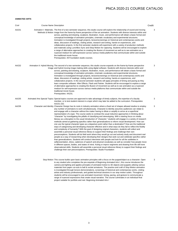### **ANIMATED ARTS**

| Crs#  | <b>Course Name Description</b> |                                                                                                                                                                                                                                                                                                                                                                                                                                                                                                                                                                                                                                                                                                                                                                                                                                                                                                                                                                                                                                                                                                                                                                                                                                                                                                                                                                                                                                                                                                                                                                                                                                                                                                                                                                                                                                                                                                                                                                                                         | Credit |
|-------|--------------------------------|---------------------------------------------------------------------------------------------------------------------------------------------------------------------------------------------------------------------------------------------------------------------------------------------------------------------------------------------------------------------------------------------------------------------------------------------------------------------------------------------------------------------------------------------------------------------------------------------------------------------------------------------------------------------------------------------------------------------------------------------------------------------------------------------------------------------------------------------------------------------------------------------------------------------------------------------------------------------------------------------------------------------------------------------------------------------------------------------------------------------------------------------------------------------------------------------------------------------------------------------------------------------------------------------------------------------------------------------------------------------------------------------------------------------------------------------------------------------------------------------------------------------------------------------------------------------------------------------------------------------------------------------------------------------------------------------------------------------------------------------------------------------------------------------------------------------------------------------------------------------------------------------------------------------------------------------------------------------------------------------------------|--------|
| AA231 |                                | Animation I: Materials, The first of a two-semester sequence, this studio course will explore the relationship of sound and moving<br>Methods & Motion image from the frame-by-frame perspective of fine art animation. Students with diverse interests within and<br>across, painting and drawing, sculpture, illustration, music, and performance will obtain a basic formal and<br>conceptual knowledge of animation principles, cinematic vocabulary and experimental structures.<br>Animation is investigated through projects, lecture/screenings on historical and contemporary works and<br>ideas, discussion of readings, visiting artists, research and writing, hands-on experiences, and<br>collaborative projects. In the first semester students will experiment with a variety of production methods<br>and materials using LunchBox Sync and iStop Motion for capturing. Students will be encouraged to explore<br>a range of alternative approaches to creating the illusion of movement as well as to see animation as a<br>nuanced medium for self-expression across various media platforms that communicate within and outside<br>the traditional movie house.<br>Prerequisites: All Foundation studio courses.                                                                                                                                                                                                                                                                                                                                                                                                                                                                                                                                                                                                                                                                                                                                                                    | 3      |
| AA232 |                                | Animation II: Hybrid Moving The second of a two-semester sequence, this studio course expands on the frame-by-frame perspective<br>Image and hybrid moving image making skills using digital software. Students with diverse interests within and<br>across, painting and drawing, sculpture, illustration, music, and performance will obtain a basic formal and<br>conceptual knowledge of animation principles, cinematic vocabulary and experimental structures.<br>Animation is investigated through projects, lecture/screenings on historical and contemporary works and<br>ideas, discussion of readings, visiting artists, research and writing, hands-on experiences, and<br>collaborative projects. In the second semester students will apply principles of timing and pacing as they<br>learn composite software: After Effects, Flash and Painter. Students will be encouraged to explore a range<br>of alternative approaches to creating the illusion of movement as well as to see animation as a nuanced<br>medium for self-expression across various media platforms that communicate within and outside the<br>traditional movie house.<br>Prerequisites: AA231.                                                                                                                                                                                                                                                                                                                                                                                                                                                                                                                                                                                                                                                                                                                                                                                                                    | 3      |
| AA235 |                                | Animated Arts Special Topics Special topics courses are approved to take advantage of timely subjects, the expertise of a faculty<br>member, or to test student interest in a topic which may later be added to the curriculum. Prerequisites:<br>AA231-232.                                                                                                                                                                                                                                                                                                                                                                                                                                                                                                                                                                                                                                                                                                                                                                                                                                                                                                                                                                                                                                                                                                                                                                                                                                                                                                                                                                                                                                                                                                                                                                                                                                                                                                                                            | 3      |
| AA236 |                                | Character and Identity Character Design has its roots in industry animation where a fixed set of shapes allowed studios to employ<br>any number of animators to work simultaneously. Character & Identity assumes audiences can relate to<br>and engage with a character without the maker having to dilute or amplify to arrive at a superficial<br>representation of a type. The course seeks to contrast the usual reductive approaches in thinking about<br>"character" by investigating the pitfalls of classifying and stereotyping. With a starting focus on media<br>literacy as a disruption to the usual introduction of "character," students will engage in a variety of research<br>methods aimed at gathering specifics rather than generalizations to inform visual development. How can<br>one use the typical character types as a departure point rather than a destination? How are the traditional<br>ways of categorizing and developing character effective and in what ways do they fail to reflect the fluidity<br>and complexity of humanity? With the goal of designing original characters, students will collect and<br>assemble a personal visual reference library to support their findings and challenge their own<br>preconceptions. Students will do field work where they would go out and actively study and document real<br>people as a way of researching when developing their designs that seek out and celebrate specifics rather<br>than generalizations. Students will conduct interviews with people and look for all the subtleties in<br>selfpresentation, dress, cadences of speech and physical vocabulary as well as consider how people move<br>in different spaces, bodies, and states of mind. Acting or improv segments and drawing from life will hone<br>observational skills. Students will assemble a personal visual reference library to support their findings and<br>challenge their own preconceptions. Prerequisites: Studio Foundation | 3      |
| AA237 |                                | Stop Motion This course builds upon basic animation principles with a focus on the puppet/object as a character. Open<br>to any student who completes the pre-requisite of Beginning Animated Arts I, this course introduces the<br>camera and lighting and applies principles of animated motion to 3D objects and puppets utilizing various<br>materials from paper cut-outs to ball & socket armatures. The practice and craft of Stop Motion animation<br>is investigated through lecture-demonstrations, screenings of historical and contemporary works, visiting<br>artists and industry professionals, and guided technical sessions in our stop motion suites. Throughout<br>students will be encouraged to use animated movement: timing, pacing, and gesture to communicate a                                                                                                                                                                                                                                                                                                                                                                                                                                                                                                                                                                                                                                                                                                                                                                                                                                                                                                                                                                                                                                                                                                                                                                                                                | 3      |

project suitable for portfolio and reel. Beginning Animated Arts I

range of nuanced expressions that create visual narrative. The course culminates in an individual final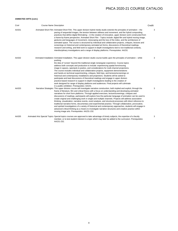### **ANIMATED ARTS (cont.)**

| Crs#  | <b>Course Name Description</b> |                                                                                                                                                                                                                                                                                                                                                                                                                                                                                                                                                                                                                                                                                                                                                                                                                                                                                                                                                                                                                                                                          | Credit |
|-------|--------------------------------|--------------------------------------------------------------------------------------------------------------------------------------------------------------------------------------------------------------------------------------------------------------------------------------------------------------------------------------------------------------------------------------------------------------------------------------------------------------------------------------------------------------------------------------------------------------------------------------------------------------------------------------------------------------------------------------------------------------------------------------------------------------------------------------------------------------------------------------------------------------------------------------------------------------------------------------------------------------------------------------------------------------------------------------------------------------------------|--------|
| AA331 |                                | Animated Short Film Animated Short Film. This upper division hybrid media studio extends the principles of animation – the<br>pacing of sequential images, the tension between stillness and movement, and the hybrid compositing<br>practices that define digital filmmaking – in the creation of innovative, upper division work constructed from<br>a frame-by-frame perspective. Animated Short Film - Topics include: digital film and hybrid moving image,<br>gestures and languages of movement, rotoscoping and the loss of the index, and the architecture of<br>animated space. The course is structured by individual and collaborative projects, critiques, lectures and<br>screenings on historical and contemporary animated art forms, discussions of theoretical readings,<br>research and writing, and field work to support in-depth investigations tied to non-traditional contexts,<br>interdisciplinary investigations and a range of display platforms. Prerequisites: AA231                                                                       | 3      |
| AA332 |                                | Animated Installation Animated Installation. This upper division studio course builds upon the principles of animation – while<br>pushing<br>the idea of 'screen' beyond the traditional single rectangular experience. Course topics<br>address both concepts and production to include: experiencing spatial form/moving<br>image in spaces, spectacle & poetics, and considerations for multi-channel projections.<br>The course includes individual and collaborative projects, equipment demonstrations<br>and hands-on technical experimenting, critiques, field trips, and lectures/screenings on<br>historical and contemporary installations and projections. Students will be asked to<br>participate and lead discussions of theoretical readings and engage in upper division<br>practice-based research to support in-depth investigations leading to the creation of<br>work designed for range of display platforms and audiences. Final projects will culminate<br>in a public exhibition. Prerequisites: AA231.                                         | 3      |
| AA333 |                                | Narrative Strategies This upper division course will investigate narrative construction, both implied and explicit, through the<br>frame of literature, film and critical theory with a focus on understanding and developing animated<br>narratives for short form platforms. Through applied exercises, lecture/screenings, critiques and<br>discussions of readings, participants will explore how the particular language of animation can be used to<br>create original and challenging work in single and multiple channels. Projects will address associative<br>thinking, visualization, narrative events, event analysis, and structural processes with direct reference to<br>traditional narrative forms, documentary and experimental practice. Through collaborative, provocative,<br>and spirited investigations of a variety of historical and contemporary approaches, students will engage in<br>advanced critical thinking as a means to investigate narrative structures and creative practice within<br>moving image arts. Prerequisites: AA231-232. | 3      |
| AA335 |                                | Animated Arts Special Topics Special topics courses are approved to take advantage of timely subjects, the expertise of a faculty<br>member, or to test student interest in a topic which may later be added to the curriculum. Prerequisites:<br>AA231-232.                                                                                                                                                                                                                                                                                                                                                                                                                                                                                                                                                                                                                                                                                                                                                                                                             | 3      |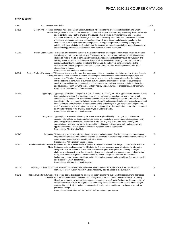### **GRAPHIC DESIGN**

| Crs#  | <b>Course Name Description</b> |                                                                                                                                                                                                                                                                                                                                                                                                                                                                                                                                                                                                                                                                                                                                                                                                                                                                                                   | Credit |
|-------|--------------------------------|---------------------------------------------------------------------------------------------------------------------------------------------------------------------------------------------------------------------------------------------------------------------------------------------------------------------------------------------------------------------------------------------------------------------------------------------------------------------------------------------------------------------------------------------------------------------------------------------------------------------------------------------------------------------------------------------------------------------------------------------------------------------------------------------------------------------------------------------------------------------------------------------------|--------|
| DA151 |                                | Design Arts Freshman In Design Arts Foundation Studio students are introduced to the processes of illustration and Graphic<br>Elective Design. While both disciplines have distinct characteristics and functions, they are closely linked historically<br>and in contemporary creative practice. This course offers students a strong technical and conceptual<br>framework for a major in Graphic Design or Illustration. In weekly experimental studio sessions, students<br>will explore various principles and methodologies from Graphic Design and illustration, exploring their<br>intersections in contemporary client-based practice. Through incorporation of drawing, typography,<br>painting, collage, and digital media, students will encounter new creative possibilities and find exposure to<br>the dynamic opportunities available to the contemporary illustrator & designer. | 3      |
| GD241 |                                | Design Studio I: Signs This course introduces the student to the structure of visual languages and how these structures are used<br>consciously and unconsciously in design. The course begins by exploring modes of signification and the<br>ideological roles of media in contemporary culture. Key strands in critical theory such as mythology and<br>ideology will be introduced. Students will examine the transmission of meaning in our visual culture. In<br>particular, students will be asked to judge for themselves the truth of old certainties relating to the<br>techniques and the very purposes of Graphic Design. Computer skills and compositional skills will be<br>stressed and enhanced.                                                                                                                                                                                   | 3      |
| GD242 |                                | Prerequisites: All Foundation studio courses.<br>Design Studio I: Psychology of This course focuses on the roles that human perception and cognition play in the world of design. As such<br>Seeing this studio course examines the notion of locating the individual in the sphere of cultural production and<br>consumption. The aim of the course is to discover how notions of the unconscious affect the decision-<br>making patterns of consumers in our visual culture. Students are introduced to various psychological<br>principles that facilitate our understanding of how humans are motivated to action or behavior in design<br>and advertising. Technically, the course will rely heavily on page layout, color response, and typography.<br>Prerequisites: All Foundation studio courses.                                                                                        | 3      |
| GD245 |                                | Typography I Typographic skills and concepts are applied to situations involving the use of type in layout, illustration, and<br>time-based applications. The emphasis is not only on style and composition, but also on formal and<br>semantic issues as these are influenced by project function and technological criteria. Students will be able<br>to understand the history and evolution of typography, and to discuss and analyze the physical aspects and<br>nuances of type and typographic measurements. Some key concepts in type design will be explored as<br>well. Projects will explore a variety of solutions to design problems that require both expressiveness as well<br>as an understanding of the practical uses of type in Graphic Design.<br>Prerequisites: All Foundation studio courses.                                                                               | 3      |
| GD246 |                                | Typography II Typography II is a continuation of systems and ideas explored initially in Typography I. This course<br>includes historical and contemporary lectures mixed with studio time for experimentation, research, and<br>personal application of concepts. This course is intended to give you a further understanding and<br>appreciation of type as a tool for the designer. During this course, typographic skills and concepts are<br>applied to situations involving the use of type in digital and manual applications.<br>Prerequisites: GD241 and GD245.                                                                                                                                                                                                                                                                                                                          | 3      |
| GD247 |                                | Production This course provides an understanding of the scope and correlation of design, pre-press preparation and<br>the production process. Fundamentals of computer hardware/software management and the importance of<br>time management and project planning will be stressed.<br>Prerequisites: All Foundation studio courses.                                                                                                                                                                                                                                                                                                                                                                                                                                                                                                                                                              | 3      |
| GD251 |                                | Fundamentals of Interactive Fundamentals of Interactive Media is first in the series of two interactive design courses, is offered in the<br>Media Spring semester, and is required for GD students. This course serves as an introduction to interactive<br>design with user experience and user interface methodologies. Basic principles of design for digital<br>platforms are discussed, as well as interaction design concepts such as app/web, augmented and virtual<br>reality, ocular/voice recognition, environmental/experience design, etc. Students will develop the<br>background needed to understand how audio, video, animation and motion graphics affect user interaction<br>and experience within digital media.<br>Prerequisites: All Foundation studio courses.                                                                                                             | 3      |
| GD310 |                                | GD Design Special Topics Special topics courses are approved to take advantage of timely subjects, the expertise of a faculty<br>member, or to test student interest in a topic which may later be added to the curriculum.                                                                                                                                                                                                                                                                                                                                                                                                                                                                                                                                                                                                                                                                       | 3      |
| GD341 |                                | Design Studio II: Culture and This course begins to prepare the student for understanding the audience that design always addresses.<br>Audience As a means to understand audience, we investigate where that is found - a cultural context. Borrowing<br>ideas from anthropology and political economy, students explore Graphic Design from the perspective of<br>total communication - from the larger issues confronting a society to the discreet objects and messages<br>contained therein. Projects include identity and collateral, produce and brand development, as well as<br>publication design.<br>Prerequisites: GD 241-242, GD 245 and GD 246, or Instructor permission.                                                                                                                                                                                                           | 3      |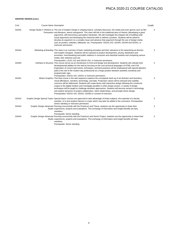### **GRAPHIC DESIGN (cont.)**

| Crs#  | <b>Course Name Description</b> |                                                                                                                                                                                                                                                                                                                                                                                                                                                                                                                                                                                                                                                                                                                                                                                                    | Credit |
|-------|--------------------------------|----------------------------------------------------------------------------------------------------------------------------------------------------------------------------------------------------------------------------------------------------------------------------------------------------------------------------------------------------------------------------------------------------------------------------------------------------------------------------------------------------------------------------------------------------------------------------------------------------------------------------------------------------------------------------------------------------------------------------------------------------------------------------------------------------|--------|
| GD342 |                                | Design Studio II: Rhetoric & The use of Graphic Design in shaping history, scholarly discourse, the media and even genres such as film<br>Persuasion and literature, seems transparent. This class will link to the traditional aims of rhetoric (developing a good<br>argument), with becoming a perceptive interpreter. We will investigate the integral role of building solid<br>visual arguments and developing the rhetorical skills to defend a position. Students will be asked to<br>develop an argument on a complex issue and advance that argument through the use of design media<br>such as posters, websites, billboards, etc. Prerequisites: GD241-242, GD245, GD246 and GD341, or<br>Instructor permission.                                                                       | 3      |
| GD344 |                                | Marketing & Branding This class is an overview of basic marketing principles and their relevance to the advertising art director<br>and Graphic Designer. Students will be exposed to product development, pricing, distribution and<br>promotion, merchandising and public relations in consumer and industrial markets and comparing various<br>media, their selection and use.                                                                                                                                                                                                                                                                                                                                                                                                                  | 3      |
| GD350 |                                | Prerequisites: LA121-122 and GD241-242, or Instructor permission.<br>Interface & Structure This course serves as an introduction to front-end design and development. Students will cultivate their<br>developmental abilities for the web by focusing on the core technical languages of HTML and CSS.<br>Exploration of current web trends, techniques, and best practices will be emphasized with special attention<br>paid to the role of the modern day professional as a hinge position between aesthetic sensitivity and<br>programmatic rigor.                                                                                                                                                                                                                                             | 3      |
| GD351 |                                | Prerequisites: GD241-242, GD251 or Instructor permission.<br>Motion Graphics This final course in the web sequence explores the conceptual mash up of art direction and heuristics,<br>visual affordance, narrative, technology, and data. Production values will be stressed and usability<br>concerns will be addressed. Students will create desire with interactive design following the constructs<br>unique to the digital medium and investigate parallels in other design sectors. A variety of design<br>techniques will be taught to challenge aesthetic approaches. Students will become versed in technology,<br>and explore dynamics of project collaboration, client relationships, and principle driven design.<br>Prerequisites: GD241-242, GD251, GD350 or consent of instructor. | 3      |
| GD410 |                                | Graphic Design Special Topics Special topics courses are approved to take advantage of timely subjects, the expertise of a faculty<br>member, or to test student interest in a topic which may later be added to the curriculum. Prerequisites:<br>Senior standing or Instructor permission.                                                                                                                                                                                                                                                                                                                                                                                                                                                                                                       | 3      |
| GD443 |                                | Graphic Design Advanced Running concurrently with the Practicum and Thesis, students use the opportunity to share their<br>Studio experiences, projects and evaluations. This exchange of information and insight benefits all class<br>members.                                                                                                                                                                                                                                                                                                                                                                                                                                                                                                                                                   | 3      |
| GD444 |                                | Prerequisite: Senior standing.<br>Graphic Design Advanced Running concurrently with the Practicum and Senior Project, students use the opportunity to share their<br>Studio experiences, projects and evaluations. This exchange of information and insight benefits all class<br>members.<br>the contract of the contract of the contract of the contract of the contract of the contract of the contract of                                                                                                                                                                                                                                                                                                                                                                                      | 3      |

Prerequisite: Senior standing.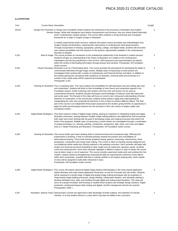### **ILLUSTRATION**

| Crs#  | Course Name Description |                                                                                                                                                                                                                                                                                                                                                                                                                                                                                                                                                                                                                                                                                                                                                                                                                                                                                                                                                                                                                                                                                                                                                                                                                                                                 | Credit |
|-------|-------------------------|-----------------------------------------------------------------------------------------------------------------------------------------------------------------------------------------------------------------------------------------------------------------------------------------------------------------------------------------------------------------------------------------------------------------------------------------------------------------------------------------------------------------------------------------------------------------------------------------------------------------------------------------------------------------------------------------------------------------------------------------------------------------------------------------------------------------------------------------------------------------------------------------------------------------------------------------------------------------------------------------------------------------------------------------------------------------------------------------------------------------------------------------------------------------------------------------------------------------------------------------------------------------|--------|
| DA151 |                         | Design Arts Freshman In Design Arts Foundation Studio students are introduced to the processes of illustration and Graphic<br>Elective Design. While both disciplines have distinct characteristics and functions, they are closely linked historically<br>and in contemporary creative practice. This course offers students a strong technical and conceptual<br>framework for a major in Graphic Design or Illustration                                                                                                                                                                                                                                                                                                                                                                                                                                                                                                                                                                                                                                                                                                                                                                                                                                      | 3      |
|       |                         | In weekly experimental studio sessions, students will explore various principles and methodologies from<br>Graphic Design and illustration, exploring their intersections in contemporary client-based practice.<br>Through incorporation of drawing, typography, painting, collage, and digital media, students will encounter<br>new creative possibilities and find exposure to the dynamic opportunities available to the contemporary<br>illustrator & designer                                                                                                                                                                                                                                                                                                                                                                                                                                                                                                                                                                                                                                                                                                                                                                                            |        |
| IL251 |                         | Word & Image This course provides an introduction to the verbal/visual relationship of the illustrator's creative process.<br>Students will gain an understanding of the history of illustration as it relates to the contemporary<br>marketplace and the key practitioners of the art form. Self-expression and experimentation are placed<br>within the context of illuminating information through pictures and symbols. Prerequisite: All Foundation<br>studio courses.                                                                                                                                                                                                                                                                                                                                                                                                                                                                                                                                                                                                                                                                                                                                                                                     | 3      |
| IL252 |                         | Visual Techniques Illustration is an art of illuminating ideas. This course provides the groundwork for developing the ability to<br>communicate effectively through image content. Multiple ways of expressing a visual solution are<br>investigated while working with a variety of contemporary and historical themes and ideas. In addition to<br>the student gaining the conceptual skills needed as an illustrator, technical skills and processes in a<br>number of key media areas will be explored and developed.<br>Prerequisite: IL251.                                                                                                                                                                                                                                                                                                                                                                                                                                                                                                                                                                                                                                                                                                              | 3      |
| IL253 |                         | Painting for Illustration This is a painting class. This class explores the possibilities for self-expression and story-telling with color<br>and composition. Students will build on their knowledge of color theory and composition gained in the<br>Foundation classes, further exploring color systems and how color and texture can be used as<br>compositional elements. Students will gain techniques and knowledge of mediums used with watercolor<br>and acrylic paint. The first part of this class will focus on correct color mixing and understanding of formal<br>elements of composition. In the second part, students will be asked to apply that understanding by<br>manipulating the color and compositional elements in front of them to achieve different effects. The final<br>part of this course is an independent final project proposed by the student, giving him/her an opportunity to<br>apply the skills and techniques learned over the semester to their own choice of subject matter and<br>conceptual content.                                                                                                                                                                                                                 | 3      |
| IL254 |                         | Digital Media Strategies 1 This class explores modes of digital-image making, placing an emphasis on integrating analog and digital<br>illustration processes, working between multiple image-making platforms and applications that incorporate<br>both raster and vector thinking with the goal of developing unique and original processes that stretch the<br>limits of the programs. Multiple ways of expressing a visual solution are investigated through a combination<br>of analog techniques (i.e. drawing, painting, composition, perspective, light, value, and color) and digital<br>tools (i.e. Adobe Photoshop and Illustrator). Prerequisites: All Foundation studio courses.                                                                                                                                                                                                                                                                                                                                                                                                                                                                                                                                                                   | 3      |
| IL255 |                         | Drawing for Illustration This course builds upon basic drawing skills to extend technical and conceptual range. Differing from<br>Experiments in Drawing, in that it is directed primarily towards the practice and consolidation of<br>observational drawing. These tools include analytical seeing, gesture, measuring, value/volume, linear<br>perspective, composition and varied mark making. This course is intent on tackling varying traditional and<br>non-traditional tactile media less GDonly explored in the painting curriculum. Each semester will begin with<br>simple vine charcoal and pencil extending to other media such as watercolor, gouache, pastel, oil pastel,<br>conte and colored pencils. Since each semester highlights a different medium or type of media, this course<br>may be taken singly or out of sequence. This course includes supervised studio work and working from live<br>models, critiques aimed at strengthening compositional skills by examining the coherence of the effects<br>within each composition, possible field trips to outside exhibits or off-campus drawing sites. Work outside<br>of class will be assigned to build skills rehearsed in class.<br>Prerequisite: All Foundation studio courses. | 3      |
| IL256 |                         | Digital Media Strategies 2 This course will explore advanced digital image making methodologies in the vector-based application<br>Adobe Illustrator and raster-based application Photoshop, as well as Procreate and Clip Studio. Students<br>will be exposed to a broad range of digital and analog image-making techniques with an emphasis on<br>shape-based image building processes, design thinking, collaborative ideation, and ultimately starting to<br>develop individual voice, style, and workflow through digital and analog experimentation. This class will<br>serve as a project incubator and focusing on student driven projects and strategic design solutions. Digital<br>production, printing techniques (both analog and digital), and file management will also be covered.<br>Prerequisites: DMS 1                                                                                                                                                                                                                                                                                                                                                                                                                                     | 3      |
| IL257 |                         | Illustration: Special Topics Special topics courses are approved to take advantage of timely subjects, the expertise of a faculty<br>member, or to test student interest in a topic which may later be added to the curriculum.                                                                                                                                                                                                                                                                                                                                                                                                                                                                                                                                                                                                                                                                                                                                                                                                                                                                                                                                                                                                                                 | 3      |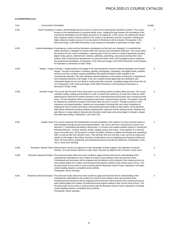### **ILLUSTRATION (cont.)**

| Crs#  | <b>Course Name Description</b> |                                                                                                                                                                                                                                                                                                                                                                                                                                                                                                                                                                                                                                                                                                                                                                                                                                                                                                                                                                                                                                                                                                   | Credit |
|-------|--------------------------------|---------------------------------------------------------------------------------------------------------------------------------------------------------------------------------------------------------------------------------------------------------------------------------------------------------------------------------------------------------------------------------------------------------------------------------------------------------------------------------------------------------------------------------------------------------------------------------------------------------------------------------------------------------------------------------------------------------------------------------------------------------------------------------------------------------------------------------------------------------------------------------------------------------------------------------------------------------------------------------------------------------------------------------------------------------------------------------------------------|--------|
| IL351 |                                | Visual Vocabulary A mature, well-developed personal vision is central to the contemporary illustrators practice. This course<br>focuses on the development of a personal artistic voice - bridging the gap between the boundaries of the<br>commercial marketplace and the highly personal act of making art. In this course, the student will interact<br>with a dynamic variety of themes placed in the context of art direction and time constraints. Refining the<br>highly relational creative process of concept sketch to finished art will be stressed. Prerequisite: IL251<br>Word and Image, IL254 DMS:Photoshop, IL255 Drawing for Illustration or permission of Dept. Head.                                                                                                                                                                                                                                                                                                                                                                                                           | 3      |
| IL352 |                                | Cultural Marketplace Contemporary culture and the illustration marketplace are fluid and ever changing. It is essential that<br>today's illustrator is equipped to function within this dynamic and competitive landscape. This course takes<br>the student into the current marketplace, exploring each of the key areas of creative opportunity including<br>digital media, games, entertainment, editorial, publishing, advertising, and product development. Each<br>student, while continuing the development of a personal artistic vision, will investigate projects relating to<br>the professional marketplace. Prerequisite: IL251 Word and Image, IL254 DMS:Photoshop, IL255 Drawing<br>for Illustration or permission of Dept. Head.                                                                                                                                                                                                                                                                                                                                                  | 3      |
| IL354 |                                | Design + Image In Design + Image students will engage in the vital disciplinary crossover between illustration and Graphic<br>Design. Through incorporation of drawing, painting, photography, typography, and digital media, students<br>will encounter the countless creative possibilities that hybrid techniques make available to the<br>contemporary illustrator. The class will place special emphasis on the practice of fusing the compositional<br>and conceptual elements of an image. In the end, students should appreciate why Illustrators who<br>understand design are far more likely to create powerfully resonant, compelling images than those who do<br>not. Prerequisite: IL251 Word and Image, IL254 DMS:Photoshop, IL255 Drawing for Illustration or<br>permission of Dept. Head.                                                                                                                                                                                                                                                                                         | 3      |
| IL356 |                                | Narrative Image This course sets the work of the visual artist in an enriching context of writing, ideas and story. The course<br>combines writing, reading and illustration in order to explore the confluence of visual and verbal art, while<br>addressing the need for the modern illustrator to be a multi-dimensional GDunicator with a strong personal<br>vision. The two disciplines inform and augment each other in bifocal artistic practice. The graphic novel will<br>be explored as a pertinent example of how these skills can work in concert. Through a process of self-<br>expression and experimentation, students are encouraged to develop their own visual vocabulary by<br>studying the work of writers and artists, and practicing personal creation in both realms. Some technical<br>skills will be addressed including reading comprehension, grammar and the writing process. Students will<br>gain fluency in using writing to discover and articulate visual tropes and using images to sharpen, deepen<br>and refine their writing. Prerequisite: IL251 and IL252. | 3      |
| IL357 |                                | Graphic Novel This course introduces the fundamentals of visual storytelling in the medium of comics and then builds on<br>that foundation through process and experimentation. The course will have a strong focus on three core<br>elements: 1.) Developing and telling a strong story, 2.) Process and creative problem solving 3.) Having the<br>following elements - concept, drawing, design, staging, pacing, and acting - come together in a cohesive<br>way to serve that story. By focusing on a series of smaller narratives, students will develop their storytelling<br>skills, as well as their own narrative voice. They will learn that how one tells a story can be as unique and<br>stylistic as the image or the writing. Practical considerations such as designing and drawing for black and<br>white, the final product, publishing, and professional practices will also be addressed. Prerequisite: IL251-<br>252 or Junior level standing.                                                                                                                               | 3      |
| IL358 |                                | Illustration: Special Topics Special topics courses are approved to take advantage of timely subjects, the expertise of a faculty<br>member, or to test student interest in a topic which may later be added to the curriculum. Junior Level.                                                                                                                                                                                                                                                                                                                                                                                                                                                                                                                                                                                                                                                                                                                                                                                                                                                     | 3      |
| IL450 |                                | Illustration Advanced Studio I The advanced studio allows the senior student to apply technical skill and an understanding of the<br>contemporary marketplace to the creation of a body of work related to their own personal vision.<br>Professional work processes will be employed and art direction will be central to this creative process as<br>each student begins the creation of professional level projects related to their chosen area of focus. This<br>16-week studio course works in close proximity with the Illustration Senior Project, allowing for a broader<br>context leading towards a completed senior portfolio.<br>Prerequisite: Senior standing.                                                                                                                                                                                                                                                                                                                                                                                                                      | 3      |
| IL451 |                                | Illustration Advanced Studio II The advanced studio allows the senior student to apply technical skill and an understanding of the<br>contemporary marketplace to the creation of a body of work related to their own personal vision.<br>Professional work processes will be employed and art direction will be central to this creative process as<br>each student begins the creation of professional level projects related to their chosen area of focus. This<br>16-week studio course works in close proximity with the Illustration Senior Project, allowing for a broader<br>context leading towards a completed senior portfolio.<br>Prerequisite: Senior standing.                                                                                                                                                                                                                                                                                                                                                                                                                     | 3      |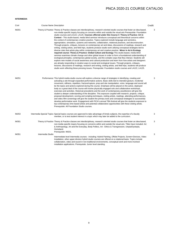### **INTERMEDIA**

| Crs#         | <b>Course Name Description</b> |                                                                                                                                                                                                                                                                                                                                                                                                                                                                                                                                                                                                                                                                                                                                                                                                                                                                                                                                                                                                                                                                                                                                                                                                                                                                                                                                                                                                                                                                                                                                                                                                                                                                                                                                                                                                             | Credit |
|--------------|--------------------------------|-------------------------------------------------------------------------------------------------------------------------------------------------------------------------------------------------------------------------------------------------------------------------------------------------------------------------------------------------------------------------------------------------------------------------------------------------------------------------------------------------------------------------------------------------------------------------------------------------------------------------------------------------------------------------------------------------------------------------------------------------------------------------------------------------------------------------------------------------------------------------------------------------------------------------------------------------------------------------------------------------------------------------------------------------------------------------------------------------------------------------------------------------------------------------------------------------------------------------------------------------------------------------------------------------------------------------------------------------------------------------------------------------------------------------------------------------------------------------------------------------------------------------------------------------------------------------------------------------------------------------------------------------------------------------------------------------------------------------------------------------------------------------------------------------------------|--------|
| <b>IM201</b> |                                | Theory & Practice Theory & Practice classes are interdisciplinary, research oriented studio courses that foster an idea-based,<br>non-media specific inquiry focusing on concerns within and outside the visual arts Prerequisite: Foundation<br>studio courses and LA122, LA125. Courses offerred under this Course #: Theory & Practice: Art in<br><b>Context - This studio-based, media blind seminar introduces conceptual and theoretical concerns within</b><br>the context of contemporary creative practice. Topics explored include language and semiotics,<br>appropriation, simulation, systems and networks, collaboration, relational practices, and deconstruction.<br>Through projects, critiques, lectures on contemporary art and ideas, discussions of readings, research and<br>writing, visiting artists, and field trips, students produce studio work utilizing conceptual strategies tied to<br>diverse roles that artists play within contemporary art and creative practice. Minor in Art & Ecology<br>required course: Theory & Practice: Global Culture and Ecology This studio-based, media blind<br>seminar examines climate change and other global issues in order to form a foundational understanding of<br>ecological principles, contemporary global society, and the complex ways that they interact. Students will<br>explore new models of social awareness and cultural production and learn from how artists and designers<br>are already responding in creative ways to social and ecological issues. Through projects, critiques,<br>lectures, discussions of readings, research and writing, visiting artists, and field trips, students will produce<br>studio work reflecting these pressing issues. Prerequisite: Foundation studio courses and LA122, LA125. | 3      |
| IM251        |                                | Performance This hybrid media studio course will explore a diverse range of strategies in identifying, creating and<br>activating a site through expanded performative actions. Basic skills tied to intended gesture, incidental<br>movement, stillness, repetition, fracture/rupture, prop and site manipulation, voice, language and sound will<br>be the topics and actions explored during this course. Emphasis will be placed on the active, deployed<br>body so a great deal of the course will involve physically engaged solo and collaborative workshops,<br>exercises and activities. Historical precedents and the work of contemporary practitioners will give the<br>student a deeper understanding of the discipline. This exposure coupled with research, projects, critique,<br>proposal development, scoring and scripting techniques, visiting artists, readings, attending performances,<br>and video /film screenings will give the student the primary tools and conceptual strategies to successfully<br>develop performative work. Engagement with PICA's annual TBA festival will give the students exposure to<br>top contemporary time based artists and potential collaborative opportunities with these visiting artists.<br>Prerequisite: All Foundation Studio courses.                                                                                                                                                                                                                                                                                                                                                                                                                                                                                                     | 3      |
| IM253        |                                | Intermedia Special Topics Special topics courses are approved to take advantage of timely subjects, the expertise of a faculty<br>member, or to test student interest in a topic which may later be added to the curriculum.                                                                                                                                                                                                                                                                                                                                                                                                                                                                                                                                                                                                                                                                                                                                                                                                                                                                                                                                                                                                                                                                                                                                                                                                                                                                                                                                                                                                                                                                                                                                                                                | 3      |
| <b>IM301</b> |                                | Theory & Practice Theory & Practice classes are interdisciplinary, research oriented studio courses that foster an idea-based,<br>non-media specific inquiry focusing on concerns within and outside the visual arts. Titles have included: Art<br>& Anthropology, Art and the Everyday, Body Politics, Art - Ethics & Transgression, Utopia/Dystopia,<br>Homeland.<br>Prerequisite: IM201.                                                                                                                                                                                                                                                                                                                                                                                                                                                                                                                                                                                                                                                                                                                                                                                                                                                                                                                                                                                                                                                                                                                                                                                                                                                                                                                                                                                                                 | 3      |
| IM351        | Intermedia Studio              | Intermediate level Intermedia courses - including: Hybrid Painting, Offsite Projects, Screen+Devices, Video<br>Installation, other upper-division hybrid studio courses are offered on a rotational basis. Topics include<br>collaboration, video and sound in non-traditional environments, conceptual work and more involved<br>installation applications. Prerequisite: Junior level standing.                                                                                                                                                                                                                                                                                                                                                                                                                                                                                                                                                                                                                                                                                                                                                                                                                                                                                                                                                                                                                                                                                                                                                                                                                                                                                                                                                                                                           | 3      |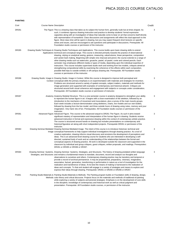| <b>PAINTING</b> |                                |                                                                                                                                                                                                                                                                                                                                                                                                                                                                                                                                                                                                                                                                                                                                                                                                                                                                                                                                                                                                                                                                              |        |
|-----------------|--------------------------------|------------------------------------------------------------------------------------------------------------------------------------------------------------------------------------------------------------------------------------------------------------------------------------------------------------------------------------------------------------------------------------------------------------------------------------------------------------------------------------------------------------------------------------------------------------------------------------------------------------------------------------------------------------------------------------------------------------------------------------------------------------------------------------------------------------------------------------------------------------------------------------------------------------------------------------------------------------------------------------------------------------------------------------------------------------------------------|--------|
| Crs#            | <b>Course Name Description</b> |                                                                                                                                                                                                                                                                                                                                                                                                                                                                                                                                                                                                                                                                                                                                                                                                                                                                                                                                                                                                                                                                              | Credit |
| DR261           |                                | The Figure This is a drawing class that takes as its subject the human form, generally nude but at times draped. As<br>such, it combines rigorous drawing instruction and practice to develop students' formal expressive<br>capacities along with an investigation of ideas that naturally come to bear on art that concerns itself directly<br>with representation of humankind. Class discussions and assignments will reflect this dual approach to the<br>figure. Most class time will be spent in drawing, but you may expect frequent short lectures on specific<br>artists and issues, and are encouraged to ask questions and participate in discussions. Prerequisite: All<br>Foundation studio courses or permission of the instructor.                                                                                                                                                                                                                                                                                                                           | 3      |
| DR265           |                                | Drawing Studio:Techniques & Drawing Studio:Techniques and Applications. This course builds upon basic drawing skills to extend<br>Applications technical and conceptual range. This course is directed primarily towards the practice of observational<br>drawing, relying on analytical seeing, gesture, measuring, value/volume, linear perspective, composition<br>and varied mark making. Beginning with simple vine charcoal and pencil, the course extends to a range of<br>other drawing media such as watercolor, gouache, pastel, oil pastel, conte and colored pencils. Each<br>semester may emphasize different media or types of media, depending upon the individual expertise of<br>instructors. This course includes supervised studio work and working from live models, critiques aimed at<br>strengthening compositional skills by examining the coherence of the effects within each composition,<br>possible field trips to outside exhibits or off-campus drawing site. Prerequisite: All Foundation studio<br>courses or permission of the instructor. | 3      |
| DR266           |                                | Drawing Studio: Image in Drawing Studio: Image in Context. While this course is designed to improve both perceptual and<br>Context conceptual skills the primary emphasis is on experimentation with materials and strategies for invention.<br>Problems are structured around a variety of spatial concepts, subject matters, materials and methods for<br>image generation and supported with examples of contemporary and historical artwork. Critiques are<br>structured around both visual coherence and engagement with subjects or concepts under consideration.<br>Prerequisite: All Foundation studio courses or permission of instructor.                                                                                                                                                                                                                                                                                                                                                                                                                          | 3      |
| <b>DR267</b>    |                                | Anatomy Anatomy: Skeletal Structure. This is a one-semester course in anatomy designed to strengthen your ability<br>to represent the human figure in art. It begins with a close examination of the skeleton, followed by an<br>introduction to the mechanics of movement and musculature, plus a survey of the main muscle groups.<br>Each week includes a lecture-demonstration using skeletons, charts, live models and our own bodies,<br>followed by drawing from the live model, and three outside hours of drawing using notes, memory and your<br>imagination. Very hard; lots of fun. Prerequisites: All Foundation studio courses or permission of the<br>instructor.                                                                                                                                                                                                                                                                                                                                                                                             | 3      |
| DR361           |                                | Advanced Figure Advanced Figure. This course is the advanced sequel to DR261 The Figure. As such it aims toward<br>significant mastery of representation and interpretation of the human figure in drawing. Students receive<br>advanced instruction in formal and expressive drawing within the context of contemporary artistic practice.<br>The course is structured around hands-on drawing but includes presentations on contemporary and<br>historical figurative art along with short independent projects. Prerequisite DR261 or permission of the<br>instructor.                                                                                                                                                                                                                                                                                                                                                                                                                                                                                                    | 3      |
| DR363           |                                | Drawing Seminar: Mediated Drawing Seminar: Mediated Image. The intent of this course is to introduce historical, technical and<br>Image conceptual frameworks to help support individual investigations through drawing practice. As a tool of<br>creative exploration, drawing informs visual discovery and envisions the development of perceptions and<br>ideas. This is an advanced level drawing course for students who are interested in developing a self-<br>directed, sustained body of work and an understanding of the relationships between the formal and<br>conceptual aspects of drawing practice. All work is developed outside the classroom and supported in the<br>classroom by individual and group critiques, guest critiques, written proposals, and readings. Prerequisites:<br>DR261 or DR265 or DR266 or DR267.                                                                                                                                                                                                                                    | 3      |
| DR364           |                                | Drawing Seminar: Systems, Drawing Seminar: Systems, Strategies, and Structures. The history of drawing predated written language<br>Strategies, and Structures and remains a fundamental means to translate, document, record and analyze our thoughts and<br>observations to ourselves and others. Contemporary drawing practice may be transitory and temporal or<br>provide a record of archival permanence. It may be propositional, preparatory, visionary, imaginative,<br>associative, factual, generative, transforming or performative in nature as a tool of investigation for the<br>realization and transference of ideas. At its best the means of making is harnessed to the realization of<br>ideas and concepts. To that end student will engage in a variety of strategies and means to explore and<br>express their ideas through drawing. Prerequisite: DR261 or DR265 or DR266 or DR267.                                                                                                                                                                 | 3      |
| PA261           |                                | Painting Studio:Materials & Painting Studio:Materials & Methods. The Painting program builds on Foundation skills of drawing, design,<br>Methods color theory and critical discourse. Projects focus on the materials and methods of traditional oil painting<br>while exploring a variety of subjects and pictorial strategies. Emphasis is on the development of core skills<br>in the discipline, knowledge of contemporary and historical work as well as critical judgment and<br>presentation. Prerequisite: All Foundation studio courses, or permission of the instructor.                                                                                                                                                                                                                                                                                                                                                                                                                                                                                           | 3      |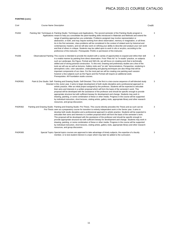### **PAINTING (cont.)**

| Crs#    | <b>Course Name Description</b> |                                                                                                                                                                                                                                                                                                                                                                                                                                                                                                                                                                                                                                                                                                                                                                                                                                                                                                                                                                                      | Credit |
|---------|--------------------------------|--------------------------------------------------------------------------------------------------------------------------------------------------------------------------------------------------------------------------------------------------------------------------------------------------------------------------------------------------------------------------------------------------------------------------------------------------------------------------------------------------------------------------------------------------------------------------------------------------------------------------------------------------------------------------------------------------------------------------------------------------------------------------------------------------------------------------------------------------------------------------------------------------------------------------------------------------------------------------------------|--------|
| PA262   |                                | Painting Std: Techniques & Painting Studio: Techniques and Applications. The second semester of the Painting Studio program is<br>Applications meant to help you consolidate the paint-handling skills introduced in Materials and Methods and extend the<br>range of painting approaches you undertake. Problems assigned may involve representation or<br>abstraction, or both, and may require working from direct observation, memory or imagination, or all three.<br>As in the first semester, class problems will be considered in the context of related work by historical and<br>contemporary masters, and we will also work on refining your ability to describe and analyze your own work<br>and that of others in critique. Students may be called upon to work in oils or acrylics, according to the<br>preference of the instructor. Prerequisite: PA261 or permission of the instructor.                                                                             | 3      |
| PA266   |                                | Observational Painting This course is intended to provide the student with a variety of opportunities to expand and refine their skill<br>in a realist manner by painting from direct observation. From 'Plein Air" to "in-studio" practice, on subjects<br>such as Landscape, the Figure, Portrait and Still Life, we will focus on creating work that is technically<br>skilled and of strong pictorial construction. To this end, Drawing and preliminary studies are a few of the<br>tools we will use as well as lectures, Gallery visits and "on site" demonstrations. Perspective, rendering in<br>atmospheric color, color saturation, underpainting and glazing techniques are also things that will be<br>important components of our class. For the most part we will be creating one painting each session<br>however a few subjects such as the Figure and the Portrait will require an additional week.<br>Prerequisites: All Foundation studio courses.               | 3      |
| PADR361 |                                | Paint & Drw Studio: Self- Painting and Drawing Studio: Self-Directed. This is the first in a two-course sequence of self-directed study<br>Directed in the Junior year. It aims to begin development of both studio discipline and a professional approach to<br>artistic practice. After an initial project assigned by the professor, Students will be expected to articulate<br>their aims and interests in a written proposal which will form the basis of the semester's work. This<br>proposal will be developed with the assistance of the professor and should be specific enough to provide<br>appropriate structure but with sufficient leeway for development and change. Students may work in<br>drawing, painting, or some combination of these or other media. Progress in the course will be supported<br>by individual instruction, short lectures, visiting artists, gallery visits, appropriate library and other research<br>resources, and group discussion.     | 3      |
| PADR362 |                                | Painting and Drawing Studio: Painting and Drawing Studio: Pre-Thesis. This course directly precedes the Thesis and as such can be<br>Pre-Thesis seen as a preparatory course for transition to entirely independent work in the Senior year. It aims to<br>develop both studio discipline and a professional approach to artistic practice. Students will be expected to<br>articulate their aims and interests in a written proposal which will form the basis of the semester's work.<br>This proposal will be developed with the assistance of the professor and should be specific enough to<br>provide appropriate structure but with sufficient leeway for development and change. Students may work in<br>drawing, painting, or some combination of these or other media. Progress in the course will be supported<br>by individual instruction, short lectures, visiting artists, gallery visits, appropriate library and other research<br>resources, and group discussion. | 3      |
| PADR365 |                                | Special Topics Special topics courses are approved to take advantage of timely subjects, the expertise of a faculty<br>member, or to test student interest in a topic which may later be added to the curriculum.                                                                                                                                                                                                                                                                                                                                                                                                                                                                                                                                                                                                                                                                                                                                                                    | 3      |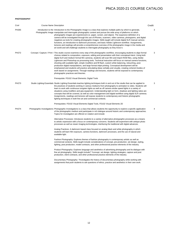### **PHOTOGRAPHY**

| Crs#  | <b>Course Name Description</b> |                                                                                                                                                                                                                                                                                                                                                                                                                                                                                                                                                                                                                                                                                                                                                                                                                                                                                                                                                                                                                                                                                                                                                                                                                                                                                                                                                                                                                                                                                                                                                                                                                                                                                                                                                                                                                              | Credit         |
|-------|--------------------------------|------------------------------------------------------------------------------------------------------------------------------------------------------------------------------------------------------------------------------------------------------------------------------------------------------------------------------------------------------------------------------------------------------------------------------------------------------------------------------------------------------------------------------------------------------------------------------------------------------------------------------------------------------------------------------------------------------------------------------------------------------------------------------------------------------------------------------------------------------------------------------------------------------------------------------------------------------------------------------------------------------------------------------------------------------------------------------------------------------------------------------------------------------------------------------------------------------------------------------------------------------------------------------------------------------------------------------------------------------------------------------------------------------------------------------------------------------------------------------------------------------------------------------------------------------------------------------------------------------------------------------------------------------------------------------------------------------------------------------------------------------------------------------------------------------------------------------|----------------|
| PH265 |                                | Introduction to the Introduction to the Photographic Image is a class that explores multiple paths by which to generate,<br>Photographic Image manipulate and interrogate photographic content and pursue the wide array of platforms on which<br>photographic images are experienced (i.e. paper, screen, and object). The expansive definition of a<br>camera will be investigated through the use of iPhones, scanners, video cameras, photograms, and digital<br>negatives as tools for creating photographic images. Skills taught will include digital SLR manual camera<br>functions, an introduction to darkroom processes, and basic Adobe Lightroom workflow. Assignments,<br>lectures and readings will provide a comprehensive overview of the photographic image in the media and<br>art world and will challenge students to interrogate photography as they know it.                                                                                                                                                                                                                                                                                                                                                                                                                                                                                                                                                                                                                                                                                                                                                                                                                                                                                                                                          | 3              |
| PH272 |                                | Concept / Capture / Print I This studio course examines every step of the photographic workflow, encouraging students to align formal<br>choices related to composition, exposure, editing and presentation with their conceptual intent. Using both<br>digital SLR and medium format film cameras, students will scan film and import RAW files, using Adobe<br>Lightroom and Photoshop as processing tools. Technical instruction will focus on manual camera functions,<br>shooting with available light, simple modifiers and fill flash, custom white balancing, retouching, post-<br>production digital manipulations, and large format inkjet printing. Conceptual development will be<br>emphasized and students will practice articulating ideas verbally and visually, creating coherent bodies of<br>work based on assignments. Through readings and lectures, students will be exposed to contemporary<br>photographic practices and theories.<br>Prerequisite: FD102 Visual Elements: Digital Tools                                                                                                                                                                                                                                                                                                                                                                                                                                                                                                                                                                                                                                                                                                                                                                                                             | 3              |
| PH273 |                                | Studio Lighting Essentials Studio Lighting Essentials teaches lighting techniques both in and out of the studio that can be applied to<br>the practices of students working in various mediums from photography to animation to video. Students will<br>learn to work with continuous tungsten lights as well as off camera strobe speed lights in a variety of<br>situations using modifiers and grip equipment. Understanding light on form, shadows and lighting ratios are<br>concepts that will be covered, as well as color management and digital workflow using digital SLR cameras.<br>Assignments, readings and lectures will expose students to contemporary and historic photographic<br>lighting techniques in both fine art and commercial contexts.                                                                                                                                                                                                                                                                                                                                                                                                                                                                                                                                                                                                                                                                                                                                                                                                                                                                                                                                                                                                                                                           | 3              |
| PH274 |                                | Prerequisites: FD102 Visual Elements Digital Tools, FD102 Visual Elements 2D<br>Photographic Investigations Photographic Investigations is a class that allows students the opportunity to explore a specific application<br>of the photographic medium and participate in rich dialogue around historic and contemporary approaches.<br>Topics for investigation are offered on rotation and include:<br>Alternative Processes: Introduces students to a variety of alternative photographic processes as a means<br>to artistic expression with a focus on contemporary concerns. Students will experiment with antique photo<br>processes as well as newer imaging technologies, interfacing the traditional with digital advances.<br>Analog Practices: A darkroom based class focused on analog black and white photography in which<br>students will learn film exposure, camera functions, darkroom processes, and the use of natural and<br>available light.<br>Fashion Photography: Explores themes of fashion photography in contemporary artistic as well as<br>commercial contexts. Skills taught include considerations of concept, pre-production, set design, styling,<br>lighting, post production, model contracts, and other professional practice elements of the industry.<br>Product Photography: Explores language and aesthetics of advertising photography and its dialogue with<br>fine art photography. Skills taught include? ?concept, set design, lighting strategies, capture and post<br>production, client contracts, and other professional practice elements of the industry.<br>Documentary Photography: ?Investigates the history of documentary photography while working with<br>assignments that push students to ask questions of ethics, practice and aesthetics in their own work. | $\overline{4}$ |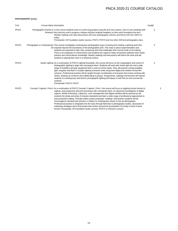3

### **PHOTOGRAPHY (cont.)**

| Crs#         | <b>Course Name Description</b> |                                                                                                                                                                                                                                                                                                                                                                                                                                                                                                                                                                                                                                                                                                                                                                                                                                                                                                                                                                                                | Credit |
|--------------|--------------------------------|------------------------------------------------------------------------------------------------------------------------------------------------------------------------------------------------------------------------------------------------------------------------------------------------------------------------------------------------------------------------------------------------------------------------------------------------------------------------------------------------------------------------------------------------------------------------------------------------------------------------------------------------------------------------------------------------------------------------------------------------------------------------------------------------------------------------------------------------------------------------------------------------------------------------------------------------------------------------------------------------|--------|
| PH371        |                                | Photographic Practice & In this course students work on a term-long project using the 4x5 view camera. One on one meetings with<br>Research the instructor and in-progress critiques will give students feedback on their work throughout the term.<br>Weekly readings and class discussions will cover photographic criticism and theory from the 1920's to<br>today.<br>Prerequisite: All Foundation studio courses, PH272, PH273 and one other 200 level photography class.                                                                                                                                                                                                                                                                                                                                                                                                                                                                                                                 | 3      |
| <b>PH372</b> |                                | Photographic in Contemporary This course investigates contemporary photographic ways of seeing and creating, exploring work that<br>Art expands beyond the boundaries of the photographic print. This class is about experimentation and<br>students are expected to take risks, producing work that challenges their normal mode of art-making.<br>There is an emphasis on critical theory and students are urged to make connections between their studio<br>practice and critical literary knowledge. Weekly readings and discussions will inform the work and aid<br>students in placing their work in a historical context.                                                                                                                                                                                                                                                                                                                                                               | 3      |
| <b>PH374</b> |                                | Studio Lighting As a continuation of PH273 Lighting Essentials, this course will focus on the manipulation and control of<br>photographic lighting to align with conceptual intent. Students will work with strobe light kits and a wide<br>range of modifiers and grip equipment both in and out of the studio. They will practice mixing available<br>light, tungsten and flash in complex lighting scenarios while using both digital and medium format film<br>cameras. Professional practice will be taught through consideration of scenarios that involve working with<br>clients, drawing up contracts and collaborating in groups. Assignments, readings and lectures will expose<br>students to contemporary and historic photographic lighting techniques in both fine art and commercial<br>contexts.<br>Prerequisite: PH273, PH272                                                                                                                                                | 3      |
| PH375        |                                | Concept / Capture / Print II As a continuation of PH272 Concept / Capture / Print I, this course will focus on aligning formal choices in<br>capture, post-production and print processes with conceptual intent. An advanced investigation of digital<br>capture, Adobe Photoshop, Lightroom, color management and digital workflow will be pursued as we<br>examine the whats and whys of industry standards and learn a wide range of professional approaches to<br>post-production editing. Through written project proposals, readings, and lectures students will be<br>encouraged to develop their practice in relation to contemporary issues in fine art photography.<br>Professional practice is integrated into the class through field trips to photography studios, discussion of<br>marketing strategies and a final project that centers around the presentation of a body of work in book<br>format. Prerequisite: All Foundation studio courses, PH272 or Instructor consent. |        |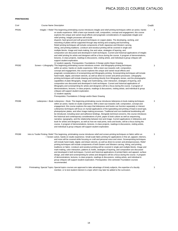### **PRINTMAKING**

| Crs#         | <b>Course Name Description</b> |                                                                                                                                                                                                                                                                                                                                                                                                                                                                                                                                                                                                                                                                                                                                                                                                                                                                                                                                                                                                                                                                                                                                                                                                                                                                                                                                                          | Credit |
|--------------|--------------------------------|----------------------------------------------------------------------------------------------------------------------------------------------------------------------------------------------------------------------------------------------------------------------------------------------------------------------------------------------------------------------------------------------------------------------------------------------------------------------------------------------------------------------------------------------------------------------------------------------------------------------------------------------------------------------------------------------------------------------------------------------------------------------------------------------------------------------------------------------------------------------------------------------------------------------------------------------------------------------------------------------------------------------------------------------------------------------------------------------------------------------------------------------------------------------------------------------------------------------------------------------------------------------------------------------------------------------------------------------------------|--------|
| PR281        |                                | Intaglio + Relief This beginning printmaking course introduces intaglio and relief printing techniques within an active, hands-<br>on studio experience. With a keen eye towards craft, composition, concept and engagement, this course<br>explores the unique and varied visual effects and pragmatic considerations of copperplate intaglio and<br>relief printing. Intaglio processes will include<br>drypoint, hard ground and soft ground techniques on copper plates. The developing, working, and<br>reworking of plates will be supported through step etching and scraping and burnishing.<br>Relief printing techniques will include components of both Japanese and Western carving.<br>inking, and printing traditions. Linoleum and woodcut printing will be covered in single and<br>multiple blocks. Image and mark-making, line and value, strategies of layering, and<br>composition are discussed and developed in both techniques. Current and historical applications of intaglio<br>and relief printing for artists and designers will be a focus during the course. A program of demonstrations,<br>lectures, in-class projects, readings & discussions, visiting artists, and individual & group critiques will<br>support student exploration.<br>12 student capacity. Prerequisites: Foundations 2-Design and/or Basic Drawing | 3      |
| PR282        |                                | Screen + Lithography This beginning printmaking course introduces screen- and lithography-printing techniques<br>within an active, hands-on studio experience. With a keen eye towards craft, composition,<br>concept and engagement, this course explores the unique and varied visual effects and<br>pragmatic considerations of screenprinting and lithography printing. Screenprinting techniques will include<br>hand-made, digital, and drawn stencils, as well as direct-to-screen and photo-processes. Lithography<br>printing techniques will include drawing and printing directly from lithography stones, and the photographic<br>capabilities of plate lithography. Image and markmaking, color interaction, strategies of layering, and<br>composition are discussed and developed in both techniques. Current and historical applications of<br>lithography and screenprinting for artists and designers will be a focus during the course. A program of<br>demonstrations, lectures, in-class projects, readings & discussions, visiting artists, and individual & group<br>critiques will support student exploration.<br>12 student capacity<br>Prerequisites: Foundations 2-Design and/or Basic Drawing                                                                                                                               | 3      |
| <b>PR286</b> |                                | Letterpress + Book Letterpress + Book. This beginning printmaking course introduces letterpress & book-making techniques<br>within an active, hands-on studio experience. With a keen eye towards craft, composition, concept and<br>engagement, this course explores the ways that letterpress and books can function separately or interact.<br>Letterpress techniques will focus on myriad applications of the typesetting and printing of lead & wood type,<br>photopolymer plates, and other image-making processes. Traditional and non-traditional bookbinding will<br>be introduced, including sewn and adhesive bindings. Alongside technical concerns, this course introduces<br>the historical and contemporary considerations of print, paper & book culture as well as sequencing,<br>narrative, typography, and the relationship between text and image. Current applications in letterpress and<br>book for artists and designers, as well as how we read prints, texts and books, will be a focus during the<br>course. A program of demonstrations, lectures, in-class projects, readings & discussions, visiting artists,<br>and individual & group critiques will support student exploration.                                                                                                                                        | 3      |
| <b>PR288</b> |                                | Intro to Textile Printing: Relief This beginning, printmaking course introduces relief and screen-printing techniques on fabric within an<br>+ Screen active, hands-on studio experience. Small-scale fabric printing for applications in fine art, apparel, interiors,<br>and more will be covered while focusing on craft and personal voice and vision. Screenprinting techniques<br>will include hand-made, digital, and drawn stencils, as well as direct-to-screen and photoprocesses. Relief<br>printing techniques will include components of both Eastern and Western carving, inking, and printing<br>traditions on fabric. Linoleum and woodcut printing will be covered in single and multiple blocks. Image and<br>mark-making, color interaction, patterns & motifs, strategies of layering, and composition are discussed<br>and developed in both techniques. Current and historical applications of printed fabric and apparel, surface<br>design, and relief and screenprinting for artists and designers will be a focus during the course. A program<br>of demonstrations, lectures, in-class projects, readings & discussions, visiting artists, and individual &<br>group critiques will support student exploration. Prerequisites: One semester Foundation courses<br>recommended.                                               | 3      |
| PR289        |                                | Printmaking: Special Topics Special topics courses are approved to take advantage of timely subjects, the expertise of a faculty<br>member, or to test student interest in a topic which may later be added to the curriculum.                                                                                                                                                                                                                                                                                                                                                                                                                                                                                                                                                                                                                                                                                                                                                                                                                                                                                                                                                                                                                                                                                                                           | 3      |

14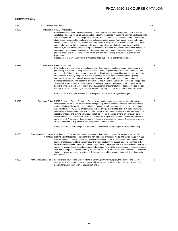### **PRINTMAKING (cont.)**

| Crs#  | <b>Course Name Description</b> |                                                                                                                                                                                                                                                                                                                                                                                                                                                                                                                                                                                                                                                                                                                                                                                                                                                                                                                                                                                                                                                                                                                                                                         | Credit |
|-------|--------------------------------|-------------------------------------------------------------------------------------------------------------------------------------------------------------------------------------------------------------------------------------------------------------------------------------------------------------------------------------------------------------------------------------------------------------------------------------------------------------------------------------------------------------------------------------------------------------------------------------------------------------------------------------------------------------------------------------------------------------------------------------------------------------------------------------------------------------------------------------------------------------------------------------------------------------------------------------------------------------------------------------------------------------------------------------------------------------------------------------------------------------------------------------------------------------------------|--------|
| PR370 |                                | Printstallation PR370 Printstallation<br>Printstallation is an intermediate printmaking course that examines the role of printed matter in and as<br>installation. Students will utilize and expand upon techniques gained in beginning printmaking classes while<br>completing print-based installation projects. This course encompasses all methods of printed media and<br>students are encouraged to employ multiple techniques and strategies. Print-based installation through<br>accumulation & scale, print's interaction with other media & forms, prints as objects, and the active role of<br>printed take-aways will all be considered. Strategies around site specificity, temporality, interactivity,<br>immersion, and distribution are also integral to this course. Historical and contemporary artists working in<br>print-based installation will be viewed and discussed. A program of demonstrations, lectures, in-class<br>projects, readings & discussions, visiting artists, and individual & group critiques will support student<br>exploration.<br>Prerequisites: at least one 200-level printmaking class, two or more strongly encouraged | 3      |
| PR371 |                                | Print Studio PR371 Print Studio<br>Print Studio is an intermediate printmaking course where students can focus on and refine one or two<br>printmaking techniques - honing technical skills and expanding knowledge around craft, materials, and<br>processes. Self-directed projects that employ printmaking toward personal, idiosyncratic voice and vision<br>are supported by faculty and peers in this studio course. Building off of skills learned in beginning<br>printmaking classes, students will propose and focus on extended projects, ideas, and print processes.<br>Skills in professional writing, research, presentation, documentation, and exhibition will also be supported.<br>This course is ideal for students wishing to gain a greater depth of knowledge in specific printmaking<br>traditions while creating a focused body of work. A program of demonstrations, lectures, in-class projects,<br>readings & discussions, visiting artists, and individual & group critiques will support student exploration.<br>Prerequisites: at least one 200-level printmaking class, two or more strongly encouraged                                  | 3      |
| PR372 |                                | Printing on Fabric PR372 Printing on Fabric - Printing on Fabric, an intermediate printmaking course, primarily focuses on<br>screenprinting on fabric, but will also cover relief printing, intaglio, pochoir, and some small-batch fabric<br>dyeing. Utilizing and expanding upon techniques gained in beginning printmaking classes, students will<br>learn how to successfully print on fabric. Students will employ their printed fabric in multiple ways while<br>utilizing strategies of apparel/wearables, interior design, sculpture and installation. Pattern repeats, non-<br>repeating imagery, and printing on yardage will all be covered alongside printing on previously sewn<br>textiles. Historical and contemporary artists/designers working in and with printed textiles will be viewed<br>and discussed. A program of demonstrations, lectures, in-class projects, readings & discussions, visiting<br>artists, and individual & group critiques will support student exploration.<br>Prerequisite: 200-level Screenprint is required, 200-level Relief and/or Intaglio are recommended. <p></p>                                                  | 3      |
| PR385 |                                | Experiments in Combined Experiments in Combined Print Media is an intermediate print course that focuses on strategies for<br>Print Media creating work that combines traditional and non-traditional print based media and a wide range of image<br>sources. In addition, students will explore ways of combining print media with non-printed media, three-<br>dimensional objects, and time-based media. The work created in this course requests openness to the<br>possibility of how printed media can function from a framed image on a wall to a wide variety of contexts. In<br>addition to assigned projects and recommended readings, there will be critiques, image lectures on related<br>work with an emphasis on contemporary practice and context. Prerequisite: Minimum of two 200 level Print<br>studio courses or permission of instructor. This course also fulfills the Junior interdisciplinary Intermedia<br>requirement.                                                                                                                                                                                                                        | 3      |
| PR389 |                                | Printmaking: Special Topics Special topics courses are approved to take advantage of timely subjects, the expertise of a faculty<br>member, or to test student interest in a topic which may later be added to the curriculum. Prerequisite:<br>Senior standing or permission of Department Chair.                                                                                                                                                                                                                                                                                                                                                                                                                                                                                                                                                                                                                                                                                                                                                                                                                                                                      | 3      |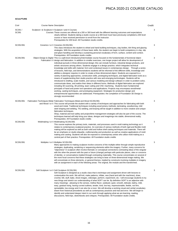### **SCULPTURE**

| Crs#            | Course Name Description |                                                                                                                                                                                                                                                                                                                                                                                                                                                                                                                                                                                                                                                                                                                                                                                                                                                                                                                                                                                                                                                                                                                                                                                                                                                                                                                                                                                                                                                                                                                                                                                                                                                                                                                       | Credit |
|-----------------|-------------------------|-----------------------------------------------------------------------------------------------------------------------------------------------------------------------------------------------------------------------------------------------------------------------------------------------------------------------------------------------------------------------------------------------------------------------------------------------------------------------------------------------------------------------------------------------------------------------------------------------------------------------------------------------------------------------------------------------------------------------------------------------------------------------------------------------------------------------------------------------------------------------------------------------------------------------------------------------------------------------------------------------------------------------------------------------------------------------------------------------------------------------------------------------------------------------------------------------------------------------------------------------------------------------------------------------------------------------------------------------------------------------------------------------------------------------------------------------------------------------------------------------------------------------------------------------------------------------------------------------------------------------------------------------------------------------------------------------------------------------|--------|
| SC291/<br>SC391 |                         | Sculpture I & Sculpture II Sculpture I and II Courses<br>Courses These courses are offered at a 200 or 300 level with the different learning outcomes and expectations<br>clearly defined. Students taking a studio course at a 300 level must have previously completed a 200 level<br>course or have received permission to enroll from the instructor.<br>Prerequisites for 200 level: All Foundation studio credits.                                                                                                                                                                                                                                                                                                                                                                                                                                                                                                                                                                                                                                                                                                                                                                                                                                                                                                                                                                                                                                                                                                                                                                                                                                                                                              | 3      |
| SC291/391       |                         | Ceramics I or II Ceramics SC291/391<br>This class introduces the student to wheel and hand building techniques, clay bodies, kiln firing and glazing<br>strategies. With the acquisition of these basic skills, the student can begin to build competency in clay, slip<br>and glaze handling and develop a sustaining personal vocabulary of form, surface, content and context.<br>Prerequisites: All Foundation studio credits.                                                                                                                                                                                                                                                                                                                                                                                                                                                                                                                                                                                                                                                                                                                                                                                                                                                                                                                                                                                                                                                                                                                                                                                                                                                                                    | 3      |
| SC291/391       |                         | Object Design & Digital This is a split-level introductory/intermediate course focused on the fundamentals of functional object<br>Fabrication I II design and fabrication. In addition to smaller exercises, one longer project will allow for development of<br>individual pursuits in three-dimensional design; this can include furniture, industrial design products, and<br>artistic structures among others. Students engage in a design practice, which integrates technical<br>knowledge and skills with material, form and contextual issues in contemporary design. Through a series<br>of lectures, field trips, and demonstrations students will be informed of the different skills, knowledge and<br>abilities a designer requires in order to create a three dimensional object. Students are exposed to a<br>variety of planning approaches, construction skills, prototyping techniques, and digital fabrication tools as a<br>means of supplementing their studio practice with new and emerging technologies. Students will be<br>introduced to drafting, scale models, and various modeling and design software in order to problem solve,<br>communicate ideas, and realize their ideas in different forms. Methods of digital fabrication are explored<br>including 3D scanning, 3D printing, laser cutting and CNC machining. Students learn fundamental<br>principals of hand and power tool operations and applications. Projects may encompass wood/metal<br>working, casting techniques, and prototyping equipment. Strategies for production design and<br>entrepreneurial opportunities are addressed. Prerequisites: the completion of Foundation 3D Design is<br>strongly recommended | 3      |
| SC291/391       |                         | Fabrication Techniques-Metal Fabrication Techniques-Metal and Wood SC291/391<br>and Wood I or II This course will provide the student with a variety of techniques and approaches for fabricating with both<br>wood and metal. Traditional techniques including wood joinery methods, laminating, woodturning, mild<br>steel shaping and welding, TIG welding, and brazing will be taught in addition to more creative and unique<br>fabrication techniques.<br>Shop, material and tool safety and project/time management strategies will also be part of the course. The<br>techniques learned will help bring your ideas, designs and imaginings into stable, dimensional reality.<br>Prerequisites: All Foundation studio credits                                                                                                                                                                                                                                                                                                                                                                                                                                                                                                                                                                                                                                                                                                                                                                                                                                                                                                                                                                                 | 3      |
| SC291/391       |                         | Moldmaking I or II Moldmaking SC291/391<br>This course explores the primary tools, materials, and processes used in mold making technology as it<br>relates to contemporary sculptural practice. An overview of various methods of both rigid and flexible mold<br>making will be explored as well as both solid and hollow shell casting techniques and materials. There will<br>be an emphasis on studio etiquette, craftsmanship and production as well as creative applications of mold<br>making and casting. Students will also be exposed to contemporary artists who utilize mold making as a<br>central part of their practice. Prerequisites: All Foundation studio credits                                                                                                                                                                                                                                                                                                                                                                                                                                                                                                                                                                                                                                                                                                                                                                                                                                                                                                                                                                                                                                 | 3      |
| SC291/391       |                         | Multiples I or II Multiples SC291/391<br>Many approaches to making sculpture involve concerns of the multiple either through simple reproductive<br>strategies, duplicating, serializing or sequencing elements within the imagery. Further, many concerns for<br>"objectness" in sculpture often involve thematic or conceptual connections contrasting ideas of the singular<br>with the other-the present with the past or future (change) perhaps with particular places, sites or concerns<br>of identity- or conversations implied through contrasting materiality. This course concentrates on several of<br>the more focal concerns that these strategies can bring to bear on three-dimensional image making. We<br>will concentrate on three elements, or general themes, implied by constructs involving multiples in imagery<br>with an assignment in each of the following areas: The original, the module and the transformed.                                                                                                                                                                                                                                                                                                                                                                                                                                                                                                                                                                                                                                                                                                                                                                          | 3      |
| SC291/391       |                         | Soft Sculpture I or II Soft Sculpture SC291/391<br>Soft Sculpture is designed as a studio class that is technique and assignment driven with lectures to<br>contextualize the work. We will knit, make patterns, inflate, sew (hand and with the machines), draw,<br>crochet, felt, stuff, bake, shoot images, videotape, perform, experiment, etc. I will encourage students to try<br>new things and stretch our understanding of what SOFT can be. By definition SOFT is an adjective with<br>many meanings - pleasing to the senses, mellow flavor, subdued, quiet, smooth, delicate, balmy, mild,<br>easy, gradual rising, having curved outlines, tender, kind, low key, impressionable, feeble, not firm,<br>spreadable, low energy and it can also be a noun. We will develop a working visual and verbal vocabulary<br>drawn from historical precedents as well as contemporary practices and trial and error. We will begin to<br>identify and understand deeper intent in our work through applying what we are learning, reading,<br>discussions, field trips, sketchbooks and critiques. Prerequisites: All Foundation studio credits.                                                                                                                                                                                                                                                                                                                                                                                                                                                                                                                                                                   | 3      |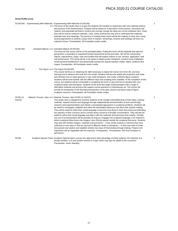| <b>SCULPTURE (cnnt).</b> |                                                                                                                                                                                                                                                                                                                                                                                                                                                                                                                                                                                                                                                                                                                                                                                                                                                                                                                                                                                                                                                                                                                                                                                                                                                                                                                                                                                                                                                                                                                                               |   |
|--------------------------|-----------------------------------------------------------------------------------------------------------------------------------------------------------------------------------------------------------------------------------------------------------------------------------------------------------------------------------------------------------------------------------------------------------------------------------------------------------------------------------------------------------------------------------------------------------------------------------------------------------------------------------------------------------------------------------------------------------------------------------------------------------------------------------------------------------------------------------------------------------------------------------------------------------------------------------------------------------------------------------------------------------------------------------------------------------------------------------------------------------------------------------------------------------------------------------------------------------------------------------------------------------------------------------------------------------------------------------------------------------------------------------------------------------------------------------------------------------------------------------------------------------------------------------------------|---|
|                          | SC291/391 Experimenting With Materials I Experimenting With Materials SC291/391<br>or II The focus of this studio class is to give the students the freedom to experiment with new materials without<br>the pressure of the finished piece. Critiques will be based on a discussion of the process, successes and<br>'failures' and potentially will lead to content and concept, though the ideas are not the emphasis here. Class<br>time will be used to research materials, costs, artists working this way and to understand the materials<br>potential uses and meanings. The process of creating these works will be the majority of class time, trying<br>several approaches to achieve a basic level of mastery. Workshops, lectures and readings will drive our<br>material choices. Prerequisites: All Foundation studio credits.                                                                                                                                                                                                                                                                                                                                                                                                                                                                                                                                                                                                                                                                                                  | 3 |
| SC291/391                | Activated Objects I or II Activated Objects SC291/391<br>The focus for this course will be on the activated object. Pulling the forms off the pedestal and wall and<br>giving them a secondary or expanded function beyond the formal and static. We will be constructing<br>objects, interventions, props, tools and models that will explore notions of use, function, application, task<br>and performance. This arena will be a rich space to deploy poetic metaphors, present social challenges,<br>reveal personal predilections and dynamically activate the spaces between maker, object, audience and<br>impact. Prerequisites: All Foundation studio credits.                                                                                                                                                                                                                                                                                                                                                                                                                                                                                                                                                                                                                                                                                                                                                                                                                                                                       | 3 |
| SC291/391                | The Figure I or II The Figure SC291/391<br>This course will focus on obtaining the skills necessary to depict the human form from life, and truly<br>learning how to observe and work from the model. Students will become adept with proportion and scale,<br>and will learn how to make gestures in clay, build armatures, and create a finished figure sculpture.<br>Students will become familiar with the different clays and sculpting tools available. At the completion of this<br>course, the students will be comfortable in visualizing 3D forms in clay and how to develop their own<br>sculptural styles and techniques. Students at this level also begin experimentation with a range of<br>alternative materials and process that support current practices in contemporary art. The course will<br>provide an introduction to the theoretical perspective of the past, present and future state of figure<br>sculpture concerns. Prerequisites: All Foundation studio credits.                                                                                                                                                                                                                                                                                                                                                                                                                                                                                                                                               | 3 |
| SC391 (or<br>SA410)      | Material, Process, Idea I or II Material, Process, Idea SC391 (or SA410)<br>This studio class is designed to immerse students in the complex interrelationship of their ideas, working<br>methods, material choices and language through independently directed bodies of work and through<br>research and experimentation and refined, concentrated approaches to sculptural problems. Students will<br>be asked to investigate, establish and refine the interrelated influences that direct their specific making.<br>They will be asked to refine their verbal language to become more fluent in both discussing and defending<br>the specifics of their concerns and to connect those concerns to broader conversations. They will also be<br>asked to refine their visual language and align it with the materials and processes they employ. Virtually<br>any sort of working project will be possible as long as it engages the sculptural language or an interest in<br>where sculptural ideas bump into imagery more GDonly placed outside the sculptural discourse. Students<br>may start with familiar imagery, materials and processes— Track similar projects or interests they have<br>underway in new ways or that are sourced in different media or disciplines— or they may wish to break<br>new ground and explore and establish entirely new ways of GDunicating through making. Projects and<br>trajectories will be negotiated with the instructor. Prerequisites: Prerequisites: 200 level Sculpture or<br>permission. | 3 |
| SC394                    | Sculpture: Special Topics Sculpture Special topics courses are approved to take advantage of timely subjects, the expertise of a<br>faculty member, or to test student interest in a topic which may later be added to the curriculum.<br>Prerequisite: Junior Standing                                                                                                                                                                                                                                                                                                                                                                                                                                                                                                                                                                                                                                                                                                                                                                                                                                                                                                                                                                                                                                                                                                                                                                                                                                                                       | 3 |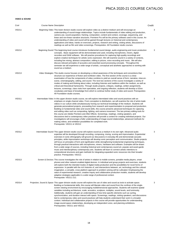### **VIDEO & SOUND**

| Crs#          | <b>Course Name Description</b> |                                                                                                                                                                                                                                                                                                                                                                                                                                                                                                                                                                                                                                                                                                                                                                                                                                                                                                                                                                                                                                                                                                                    | Credit |
|---------------|--------------------------------|--------------------------------------------------------------------------------------------------------------------------------------------------------------------------------------------------------------------------------------------------------------------------------------------------------------------------------------------------------------------------------------------------------------------------------------------------------------------------------------------------------------------------------------------------------------------------------------------------------------------------------------------------------------------------------------------------------------------------------------------------------------------------------------------------------------------------------------------------------------------------------------------------------------------------------------------------------------------------------------------------------------------------------------------------------------------------------------------------------------------|--------|
| <b>VID211</b> |                                | Beginning Video This lower division studio course will explore video as a distinct medium and will encourage an<br>understanding of sound-image relationships. Topics include fundamentals of video editing and production,<br>camera use, sound acquisition, framing, composition, content and context, coverage, sequencing, and<br>linear and non-linear narrative structures. Premiere Pro will be the primary software used in this course. An<br>understanding of video and sound will be gained through lectures on historical and contemporary<br>applications and ideas, hands on exercises, projects, research and writing, visiting artists, discussions of<br>readings as well as film and video screenings. Prerequisites: All Foundation studio courses.                                                                                                                                                                                                                                                                                                                                             | 3      |
| <b>VID212</b> |                                | Beginning Sound This beginning level course introduces fundamental sound design, audio engineering and music production<br>concepts. Basic equipment will be demonstrated and used, including microphones, mixers, digital<br>recorders and DAW software. We will practice procedures for capturing high-quality recordings and<br>explore creative techniques for artistic sonic expression. We will examine sound in a variety of contexts,<br>including live mixing, abstract composition, editing to picture, voice recording and music. We will also<br>discuss relevant principles of acoustics and essential sound processing concepts. Throughout the<br>semester we will experience a wide range of artistic, conceptual and aesthetic approaches to working with<br>sound as a medium.                                                                                                                                                                                                                                                                                                                   | 3      |
| <b>VID213</b> |                                | Video Strategies This studio course focuses on developing a critical awareness of the techniques and conventions that<br>structure our experience of fiction and nonfiction video. The first section of the course is a close<br>examination of how the components of video combine to yield an overall sense of form: narrative, mise-en-<br>scene, cinematography, editing, and sound. The next two sections of the course investigate a variety of<br>modes of making and thinking about video, including histories and traditions within the medium, as well as<br>critical and theoretical frameworks. Through studio projects, critiques, readings, written assignments,<br>lectures, screenings, class visits from specialists, and ongoing reflection, students will develop a GDon<br>vocabulary and base of knowledge from which to continue further study of video and sound. Prerequisites:<br>All Foundation studio courses.                                                                                                                                                                          | 3      |
| <b>VID311</b> |                                | Intermediate Video In this upper division studio course, we will explore interrelated video and sound practices with an<br>emphasis on single channel video. From conception to distribution, we will examine the role of artist-made<br>videos in our culture while simultaneously honing our technical knowledge of the medium. Students will<br>generate personalized projects, proceeding from research and experimentation to proposal and production.<br>Building on fundamental video and sound skills, this course presents advanced techniques for capturing<br>and editing video such as compositing, lighting, and camera movement. The two primary editing tools for<br>this course are Adobe Premiere and After Effects. Screenings, readings, visiting speakers, and<br>discussions tied to contemporary video practices will provide a context for creating individual projects. Our<br>investigations will encourage a fuller understanding of image-sound relationships, advanced methods for<br>making videos, and exhibition possibilities for completed work.<br>Prerequisite: VID211 & VID212 | 3      |
| <b>VID312</b> |                                | Intermediate Sound This upper division studio course will explore sound as a medium in its own right. Advanced audio<br>expertise will be developed through recording, composing, mixing, scoring and improvisation. Experiential<br>exercises in sonic ethnography will ground our discussions in everyday life and demonstrate acoustic<br>principles, while improvisation workshops will develop sonic perception and communication. Studio projects<br>will focus on principles of form and signification while strengthening fundamental engineering techniques,<br>through practical interactions with microphones, mixers, hardware and software. Examples will be drawn<br>from a wide range of sources, including historical and contemporary sound art, popular and avant-garde<br>music and interdisciplinary contemporary arts. Students will learn to connect artistic intentions to<br>compositional structures and gain methods for integrating expanded sonic resources into their broader<br>practice. Prerequisites: VID212.                                                                     | 3      |
| <b>VID313</b> |                                | Screen & Devices This course investigates the role of artists in relation to mobile screens, portable media players, smart<br>phones and other network enabled digital devices. In individual and group projects and exercises, students<br>will explore both the intended modes of digital media production and the possibilities for novel forms of<br>expression. In parallel with the rich histories of, and intersections between, art, technology and the cultural<br>imagination, a versatile, cross-platform approach to problem solving will be cultivated. Emphasizing the<br>value of experimental research, creative inquiry and collaborative production models, students will develop<br>adaptive strategies applicable in a wide range of professional context.<br>Prerequisite: VID211-212.                                                                                                                                                                                                                                                                                                        | 3      |
| <b>VID314</b> |                                | Projection, Sound & Space This upper division studio course will explore the use of video and sound as tools to activate space.<br>Building on fundamental skills, this course will liberate video and sound from the confines of the single-<br>screen viewing environment by encouraging multidimensional approaches. Students will examine spatial<br>variables including architecture, scale, acoustics, sculpture, multiples, sound levels, and luminosity.<br>Additionally, students will gain an understanding of how time-specific elements such as cycling,<br>synchronization, and duration interact with space. Screenings, readings, visiting speakers, and discussions<br>tied to contemporary video and sound practices will help students understand their work in a broader<br>context. Individual and collaborative projects in this course will provide opportunities for understanding<br>image-sound-space relationships, developing an independent voice, and planning exhibitions.<br>Prerequisites: VID211 and VID212.                                                                      | 3      |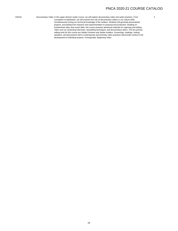VID315 Documentary Video In this upper division studio course, we will explore documentary video and audio practices. From conception to distribution, we will examine the role of documentary videos in our culture while simultaneously honing our technical knowledge of the medium. Students will generate personalized projects, proceeding from research and experimentation to proposal and production. Building on fundamental video and sound skills, this course presents advanced methods for capturing and editing video such as conducting interviews, storytelling techniques, and documentary ethics. The two primary editing tools for this course are Adobe Premiere and Adobe Audition. Screenings, readings, visiting speakers, and discussions tied to contemporary documentary video practices will provide context to the development of individual projects. Prerequisites: Beginning Video

3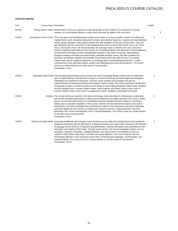### **CREATIVE WRITING**

| Crs#  | <b>Course Name Description</b> |                                                                                                                                                                                                                                                                                                                                                                                                                                                                                                                                                                                                                                                                                                                                                                                                                                                                                                                                                                                                                                                                                                                                                                                                                                                                                                                                                                       | Credit |   |
|-------|--------------------------------|-----------------------------------------------------------------------------------------------------------------------------------------------------------------------------------------------------------------------------------------------------------------------------------------------------------------------------------------------------------------------------------------------------------------------------------------------------------------------------------------------------------------------------------------------------------------------------------------------------------------------------------------------------------------------------------------------------------------------------------------------------------------------------------------------------------------------------------------------------------------------------------------------------------------------------------------------------------------------------------------------------------------------------------------------------------------------------------------------------------------------------------------------------------------------------------------------------------------------------------------------------------------------------------------------------------------------------------------------------------------------|--------|---|
| CW220 |                                | Writing Special Topics Special topics courses are approved to take advantage of timely subjects, the expertise of a faculty<br>member, or to test student interest in a topic which may later be added to the curriculum.                                                                                                                                                                                                                                                                                                                                                                                                                                                                                                                                                                                                                                                                                                                                                                                                                                                                                                                                                                                                                                                                                                                                             |        | 3 |
| CW221 |                                | Introduction to Short Forms This cross-genre and workshop-based writing course takes as its focus specific concerns of crafting and<br>reading shorter work, including compressed narrative and narrative fragments. Students will read published<br>writing, analyze literature, write original material and offer feedback for the work of their peers. They will<br>gain familiarity with the conventions of the traditional short-story as well as flash fiction, (a.k.a. the "short-<br>short,") short poetry forms, the ten-minute play, the one-page essay or editorial, the conte, and micro-<br>formats, including social media and the nascent art of serialized literary work delivered in microinstallments<br>via hand-held technology as either self-published material or with indie or corporate representation.<br>Assigned readings will model successful writing, articulate aesthetic values, and offer a platform for<br>discussion and debate. Students will complete a final project which may take the form of a portfolio,<br>creative work with an analytical explication, an anthology with a contextualizing introduction, or other<br>comprehensive work spanning creative, analytic and intellectual processes and production. This course<br>counts as a studio elective for all other areas of concentration.<br>Prerequisite: LA122. | 3      |   |
| CW223 |                                | Expanded Poetic Fields This workshop-based writing course includes the study of language-based creative work not dependent<br>upon or highly utilizing a narrative line to sustain or construct meaning, and that foregrounds language's<br>malleability and potential for expression. Over the course students will investigate and gain an<br>understanding of contemporary poetics and writing for various media. This course welcomes consideration<br>of language as object, of word as symbol, and of image as mark-making alongside written words. Students<br>will read assigned work; consider related images, visual material, and videos; write in class; work on<br>projects outside of class; share work in a guided peer review; complete a substantial final project.                                                                                                                                                                                                                                                                                                                                                                                                                                                                                                                                                                                  | 3      |   |
| CW224 |                                | Scripting This course introduces students to the basic terminology, tools and media of contemporary scriptwriting,<br>with specific emphasis and practice in telling stories destined for the stage, television, film, comics, and/or<br>games. Course time will be spent in a combination of lecture blended and peer critique in a workshop<br>setting. Upon successful completion of this course, students will have learned the basics in the craft of<br>scriptwriting, conceived a workable idea, formulated an outline for the expression/execution of that idea,<br>and made significant work towards a complete and cohesive script for a stage production, television<br>pilot/series, film, comics series/graphic novel, or board/videogame. This course counts as a studio elective<br>for all other areas of concentration.<br>Prerequisite: LA122.                                                                                                                                                                                                                                                                                                                                                                                                                                                                                                      | 3      |   |
| CW225 |                                | Writing with Digital Media Surveying established and emergent modes of writing across media, this writing-based course augments<br>traditional scholarship with the affordances of digital technology and social media. Drawing on the histories<br>of language and the theories of linguistics and performance, students will explore new possibilities for the<br>articulation and analysis of their ideas. Through various lenses, this course investigates themes such as<br>translation, redaction, immediacy, visibility/invisibility, and various forms of remediation as they are<br>manifest in flash fiction, dead drops, and other new media platforms. The course explores how new<br>technologies depend on and reanimate ancient ways of thinking about language, communication, and<br>meaning making. This course counts as a studio elective for all other areas of concentration.<br>Prerequisite: LA122.                                                                                                                                                                                                                                                                                                                                                                                                                                           | 3      |   |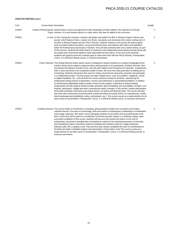### **CREATIVE WRITING (cont.)**

| Crs#  | <b>Course Name Description</b> |                                                                                                                                                                                                                                                                                                                                                                                                                                                                                                                                                                                                                                                                                                                                                                                                                                                                                                                                                                                                                                                                                                                                                                                                                                                                                                                                                                                                                                                                                                                                                                                                                                                                                                                                             | Credit |
|-------|--------------------------------|---------------------------------------------------------------------------------------------------------------------------------------------------------------------------------------------------------------------------------------------------------------------------------------------------------------------------------------------------------------------------------------------------------------------------------------------------------------------------------------------------------------------------------------------------------------------------------------------------------------------------------------------------------------------------------------------------------------------------------------------------------------------------------------------------------------------------------------------------------------------------------------------------------------------------------------------------------------------------------------------------------------------------------------------------------------------------------------------------------------------------------------------------------------------------------------------------------------------------------------------------------------------------------------------------------------------------------------------------------------------------------------------------------------------------------------------------------------------------------------------------------------------------------------------------------------------------------------------------------------------------------------------------------------------------------------------------------------------------------------------|--------|
| CW320 |                                | Creative Writing Special Special topics courses are approved to take advantage of timely subjects, the expertise of a faculty<br>Topics member, or to test student interest in a topic which may later be added to the curriculum.                                                                                                                                                                                                                                                                                                                                                                                                                                                                                                                                                                                                                                                                                                                                                                                                                                                                                                                                                                                                                                                                                                                                                                                                                                                                                                                                                                                                                                                                                                          | 3      |
| CW322 |                                | Lit Zine Lit Zine. During the semester, students will design and publish the BFA in Writing Program's literary arts<br>journal, which features fiction, creative non-fiction, and poetry and showcases the creative writing work of<br>the BFA in Writing Program and the PNCA GDunity. Students working on the journal will solicit original<br>work by student writers and artists, set up promotional events, and network with writers and publishers<br>within the Portland area and beyond, if desired. They will also workshop their own creative writing. As part<br>of this process, students will study history of small press and independent press literary journals along with<br>the people and movements related to (and responsible for) this history. At the end of the semester,<br>students will organize and host a release party to share their work with the PNCA GDunity. Prerequisites:<br>LA122, or a 200-level Writing course, or Instructor permission.                                                                                                                                                                                                                                                                                                                                                                                                                                                                                                                                                                                                                                                                                                                                                           | 3      |
| CW323 |                                | Poetry Intensive This writing intensive poetry studio course is designed to expose students to a variety of language-driven<br>creative works and to support a rigorous poetry writing practice in its participants. Students will read, hear,<br>and witness the delivery of poetic forms, and will write original work throughout the semester. Assignments,<br>both in class and those to be completed outside of class, will move from idea generation to editing and re-<br>envisioning. Students will present their work for critique several times during the semester and participate<br>in a collaborative project. The final project can take multiple forms, such as a portfolio, chapbook, e-book,<br>or digital installation, etc., and will draw from works produced during the semester, reproducing the<br>professional writing practice of generation, revision and submission or presentation/exhibition. In addition<br>to self-directed independent study of writers chosen by the student, a selection of shared reading<br>assignments will help students frame/consider questions about immediacy and accessibility, narrative, non-<br>linearity, dissonance, collage and other contemporary poetic concepts. In this section, student participation<br>will include workshop, discussion and critique forums, as well as self-directed study. The course will open<br>and close with a discussion around the idea of what and where the poetic exists in a contemporary, media-<br>driven landscape (print publishing, online, performance, etc.). This course counts as a studio elective for all<br>other areas of concentration. Prerequisites: LA122, or a 200-level Writing course, or Instructor permission. | 3      |
| CW324 |                                | Scripting Intensive This course builds on Introduction to Scripting, giving students creative time to practice and employ<br>methods learned. It focuses on terminology, tools and media of contemporary scriptwriting in consideration<br>of the stage, television, film and/or comics alongside analysis of successful work by professionals in the<br>field. Course time will be spent in a combination of lecture and peer critique in a workshop setting. Upon<br>successful completion of this course, students will have put into practice the basics of the craft of<br>scriptwriting, conceived a workable idea, formulated an outline for the expression/execution of that idea,<br>and maintained creative momentum toward a complete and cohesive script for a stage production,<br>television pilot, film or graphic novel. They will have also closely considered the work of a professional in<br>the field and written a detailed analysis and presentation of that writer's work. This course counts as a<br>studio elective for all other areas of concentration. Prerequisites: LA122, or a 200-level Writing course, or<br>Instructor permission.                                                                                                                                                                                                                                                                                                                                                                                                                                                                                                                                                                       | 3      |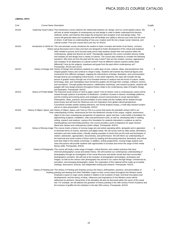### **LIBERAL ARTS**

| Crs#  | <b>Course Name Description</b> |                                                                                                                                                                                                                                                                                                                                                                                                                                                                                                                                                                                                                                                                                                                                                                                                                                                                                                                                                                     | Credit |
|-------|--------------------------------|---------------------------------------------------------------------------------------------------------------------------------------------------------------------------------------------------------------------------------------------------------------------------------------------------------------------------------------------------------------------------------------------------------------------------------------------------------------------------------------------------------------------------------------------------------------------------------------------------------------------------------------------------------------------------------------------------------------------------------------------------------------------------------------------------------------------------------------------------------------------------------------------------------------------------------------------------------------------|--------|
| AH125 |                                | Exploring Visual Culture This introductory course explores the relationship between art, design, and our current global culture. We<br>will look at varied examples of contemporary art and design in order to better understand the theories,<br>methods, trends, and histories that shape the production and reception of art and design today. This<br>course will generate ideas and vocabulary that will facilitate your ability to discuss your work and the work<br>of others. It will foster an understanding of how your creative work fits into a larger social, historical, and<br>cultural context. First year course that is pre-req. for AH210.                                                                                                                                                                                                                                                                                                       | 3      |
| AH210 |                                | Introduction to World Art This one-semester survey introduces the student to basic concepts and tenets of art history. Lectures,<br>History group discussion and in-class exercises are designed to foster development of the critical and analytical<br>skills needed to pursue more focused study and to help students situate their own practice within the<br>contemporary, global and diverse art world. Thematically organized, the course considers diverse media<br>and samples art and design from a variety of cultures. The course asks students to consider the following<br>questions: Why does art from the past look the way it does? How are the creation, process, appearance,<br>and reception of art dependent on cultural context? How do different cultures express similar ideas<br>differently? How do the subjects, impetuses and goals from the past inform contemporary art?<br>Prerequisite: AH125 and LA122.                            | 3      |
| AH213 |                                | History of Design Arts History of Design Arts introduces students to a wide span of eras, cultures, ideas, and practitioners that<br>shaped graphic history and continue to shape it today. Students will examine key historical figures and<br>movements from different vantages, mapping the intersections of design, illustration, and communication<br>through diverse yet overlapping critical lenses. In two-week segments, the class will consider the big<br>picture of graphic history through one of its formative themes to analyze how the forces of culture, media,<br>technology, style, and marketplace have formed the graphic arts through their overlaps, collisions, fusions,<br>and innovations. Through guided discussions, collaborative workshops, and research projects, students will<br>grapple with how design practices throughout history relate to the contemporary state of Graphic Design<br>and illustration. Prerequisite: AH210. | 3      |
| AH214 |                                | History of Printed Matter The historical-social context of "print & paper culture" from its historic roots to contemporary culture will be<br>viewed through systems of production & distribution, conditions of power & dissent, knowledge platforms,<br>and the existing and evolving tactics and strategies around communication & visual representation.<br>Philosophies, ideas, practices and personalities of print media and the multiple will be studied through<br>these lenses and will track the influences and rich inspirations from global cultural perspectives.<br>Coursework includes weekly reading selections, two formal analysis essays, a multi-step research project<br>and an in-class presentation. Prerequisite: AH210.                                                                                                                                                                                                                   | 3      |
| AH215 |                                | History of Object, Space, and History of Object, Space, and Time <p>This is a course that traces the twentieth century shift in our<br/>Time understanding of three-dimensional art from the Modernist concept of the unique, original, autonomous<br/>object to the more contemporary perspective of experience, space and time. It also builds a foundation for<br/>approaching sculpture, installation, video and performance work, as well as, developing skills in reading,<br/>writing, research and analysis. Laying a firm foundation for students interested in sculpture as well as,<br/>interdisciplinary and intermedia practices, this course provides a point of departure for upper division<br/>liberal arts classes and contemporary studio critique. Prerequisite: AH210.</p>                                                                                                                                                                     | 3      |
| AH216 |                                | History of Moving Image This course charts a history of moving image arts and artists operating within, alongside and in opposition<br>to dominant forms of cinema, television and digital media. We will survey work by video artists, filmmakers,<br>animators and new media artists, critically viewing examples of works that use the tools and techniques of<br>realism, abstraction, appropriation, documentary, and performance. We will inform our understanding of<br>the historical and social context of these works by reading and discussing historical, theoretical, and critical<br>texts that relate to the weekly screenings. In addition, writing assignments, moving image analysis and<br>class discussions will provide students with opportunities to increase and enrich the range of their media<br>literacy skills. Prerequisite: AH210.                                                                                                   | 3      |
| AH217 |                                | History of Photography This course will study a wide range of images, critical theories, and creative practices that have<br>informed photography's social and artistic history. We will examine our contemporary understanding of<br>photography through an investigation of the social discourse and artistic trends that have surrounded<br>photography's evolution. We will look at the evolution of photographic technologies, techniques and<br>images, as well as the various roles photography has served in our culture through design, commercial art,<br>journalism, and emerging photographic media. Our exploration of this material will be made up of weekly<br>readings, discussions, lectures, and independent writing and research. Prerequisite: AH210.                                                                                                                                                                                          | 3      |
| AH218 |                                | History of Painting and This History of Painting and Drawing surveys the history, philosophies, practices, and personalities of<br>Drawing painting and drawing from their Paleolithic origins to their current status throughout the Western world.<br>Emphasis is given to major works studied in relation to the evolution of style, technical innovations and<br>developments, and the history of ideas. Influences and inspirations of non-Western works will be<br>addressed as pertinent. Hierarchies of the discipline will also be discussed within the canon of the visual<br>arts. For example, we will address the grandeur of history painting in the 18th century French Academy and<br>the inclusion of graffiti into the institution in the late 20th century. Prerequisite: AH210.                                                                                                                                                                 | 3      |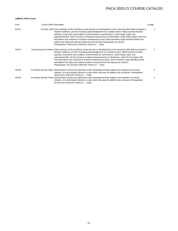### **LIBERAL ARTS (cont.)**

| Crs#  | <b>Course Name Description</b> |                                                                                                                                                                                                                                                                                                                                                                                                                                                                                                                                                                                                                                                                                                                           | Credit |
|-------|--------------------------------|---------------------------------------------------------------------------------------------------------------------------------------------------------------------------------------------------------------------------------------------------------------------------------------------------------------------------------------------------------------------------------------------------------------------------------------------------------------------------------------------------------------------------------------------------------------------------------------------------------------------------------------------------------------------------------------------------------------------------|--------|
| AH311 |                                | Art Since 1945 Each semester of this art history survey focuses on developments in the visual arts after WW II primarily of<br>Western traditions, yet with increasing acknowledgement of our global culture. Media covered includes<br>painting, construction and sculpture, environmental art, performance, mixed media, video, and<br>experimental film. AH311 focuses on Abstract Expressionism to Minimalism, while AH312 begins with Post-<br>Minimalism and continues to examine contemporary issues. Both semesters study individual artists and<br>address the ideas and cultural context of visual art and contemporary art criticism.<br>Prerequisites: AH210 and a 200-level "History of " class.             | 3      |
| AH312 |                                | Contemporary Art History Each semester of this art history survey focuses on developments in the visual arts after WW II primarily of<br>Western traditions, yet with increasing acknowledgement of our global culture. Media covered includes<br>painting, construction and sculpture, environmental art, performance, mixed media, video, and<br>experimental film. AH 311 focuses on Abstract Expressionism to Minimalism, while AH 312 begins with<br>Post-Minimalism and continues to examine contemporary issues. Both semesters study individual artists<br>and address the ideas and cultural context of visual art and contemporary art criticism.<br>Prerequisites: AH 210 and a 200-level "History of " class. | 3      |
| AH319 |                                | Art History Special Topics Special topics courses are approved to take advantage of timely subjects, the expertise of a faculty<br>member, or to test student interest in a topic which may later be added to the curriculum. Prerequisites:<br>AH210 and a 200-level "History of " class.                                                                                                                                                                                                                                                                                                                                                                                                                                | 3      |
| AH419 |                                | Art History: Special Topics Special topics courses are approved to take advantage of timely subjects, the expertise of a faculty<br>member, or to test student interest in a topic which may later be added to the curriculum. Prerequisites:<br>AH210 and a 200-level "History of " class.                                                                                                                                                                                                                                                                                                                                                                                                                               | 3      |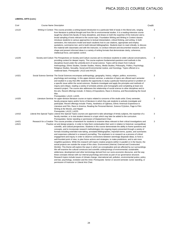### **LIBERAL ARTS (cont.)**

| Crs#           | Course Name Description |                                                                                                                                                                                                                                                                                                                                                                                                                                                                                                                                                                                                                                                                                                                                                                                                                                                                                                                                                                                                                                                                                                                                                                                                                                                                                                                                                                                                                                                                                                                                                                                                                                                                                                                                                                                                                                                                                             | Credit |
|----------------|-------------------------|---------------------------------------------------------------------------------------------------------------------------------------------------------------------------------------------------------------------------------------------------------------------------------------------------------------------------------------------------------------------------------------------------------------------------------------------------------------------------------------------------------------------------------------------------------------------------------------------------------------------------------------------------------------------------------------------------------------------------------------------------------------------------------------------------------------------------------------------------------------------------------------------------------------------------------------------------------------------------------------------------------------------------------------------------------------------------------------------------------------------------------------------------------------------------------------------------------------------------------------------------------------------------------------------------------------------------------------------------------------------------------------------------------------------------------------------------------------------------------------------------------------------------------------------------------------------------------------------------------------------------------------------------------------------------------------------------------------------------------------------------------------------------------------------------------------------------------------------------------------------------------------------|--------|
| LA122          |                         | Writing in Context This course provides a writing-based introduction to a particular field of study in the liberal arts, ranging<br>from literature to political thought and from film to environmental studies. It is a reading-intensive course<br>taught by Liberal Arts faculty of many disciplines, and draws on both the expertise of the instructor and a<br>broad sampling of texts relevant to the course topic. Foundation Writing and Writing in Context classes<br>introduce students to various approaches to textual interpretation, critical thinking, and writing. In both<br>semesters, the instructors model and teach students how to use citations, appropriate and employ<br>quotations, summarize text, and to build relevant bibliographies. Students learn to read critically, to discuss<br>the material with classmates and with the instructor, to conduct relevant and documented research, and to<br>shape and present informed ideas in a variety of writing formats that demonstrate clarity, coherence,<br>intellectual force, and stylistic control.                                                                                                                                                                                                                                                                                                                                                                                                                                                                                                                                                                                                                                                                                                                                                                                                       | 3      |
| LA225          |                         | Society and Culture The Perspectives on Society and Culture courses aim to introduce students to wider cultural conversations,<br>providing context for deeper inquiry. The course explores fundamental questions and methods in the<br>disciplines found under the umbrella term of social science. Topics will be drawn from Cultural<br>Anthropology, Ethnic Studies, Gender Studies, History, Media Studies, Philosophy, Politics, Psychology,<br>Religious Studies, Sexuality, Social and Environmental Justice, and Sociology. Topics offered on a<br>rotational basis. Prerequisite: LA122 and AH125.                                                                                                                                                                                                                                                                                                                                                                                                                                                                                                                                                                                                                                                                                                                                                                                                                                                                                                                                                                                                                                                                                                                                                                                                                                                                                | 3      |
| LA321          |                         | Social Science Seminar The Social Sciences encompass anthropology, geography, history, religion, politics, economics,<br>psychology and sociology. In this upper-division seminar, a selection of topics are offered each semester<br>and studied in a way that offer students the opportunity to study a particular historical period or problem or<br>a specific issue within the social sciences. Students investigate and apply the principles and methods of<br>inguiry and critique, reading a variety of scholarly articles and monographs and completing at least one<br>research project. The course also addresses the relationship of social science to other disciplines and to<br>the arts. Recent offerings include: A History of Expositions, Race in America, and Reconsidering the Good<br>War.                                                                                                                                                                                                                                                                                                                                                                                                                                                                                                                                                                                                                                                                                                                                                                                                                                                                                                                                                                                                                                                                            | 3      |
| LA325          |                         | Prerequisites: LA122, LA225.<br>Literature Seminar An upper-division literature course on topics related to concerns of the studio artist. Every semester,<br>faculty propose topics and/or forms of literature in which they ask students to actively investigate and<br>participate. Recent offerings include: Poetry, Aesthetics of Ugliness, Ethnic American Experience in<br>Literature and Film, Race in America, Reading the Personal Memoir, Science F(r)iction, Page to Film:<br>Writing & the Movies, and Hippie!<br>Prerequisite: LA122, LA225.                                                                                                                                                                                                                                                                                                                                                                                                                                                                                                                                                                                                                                                                                                                                                                                                                                                                                                                                                                                                                                                                                                                                                                                                                                                                                                                                  | 3      |
| LA410          |                         | Liberal Arts Special Topics Liberal Arts Special Topics courses are approved to take advantage of timely subjects, the expertise of a<br>faculty member, or to test student interest in a topic which may later be added to the curriculum.<br>Prerequisites: Senior standing or permission of Deptartment Chair.                                                                                                                                                                                                                                                                                                                                                                                                                                                                                                                                                                                                                                                                                                                                                                                                                                                                                                                                                                                                                                                                                                                                                                                                                                                                                                                                                                                                                                                                                                                                                                           | 3      |
| LA421<br>LA521 |                         | Research for a Creative This course provides a framework for students to examine ideas relevant to their critical investigations and<br>Practice art and design projects, in order to help them contextualize their work in relation to historical, sociopolitical,<br>scientific, and cultural perspectives. Students in this course demonstrate the ability to frame questions and<br>concepts, and to incorporate research methodologies into ongoing inquiry presented through a variety of<br>formats including extended note-taking, annotated Bibliographies, important terms, quotes, and summaries<br>and responses collected in a research journal/log. The emphasis is on research as a process of critical<br>engagement and inquiry in order to observe connections between seemingly disparate ideas, to hone a<br>well-founded point of view, to plan future actions and strategies, to make predictions, and to ask more<br>insightful questions. While this research will inspire creative projects (either in parallel or in the future), the<br>actual projects are outside the scope of this class. Environment (Internal, External and Constructed<br>Worlds): This theme will explore the ways in which we conceptualize and are affected by our surroundings.<br>We will examine the cultural constructs and scientific underpinnings of environmental; sustainable;<br>wilderness; development and other terminology derived from our socio-economic discourse, and the way<br>these concepts interact with our internal psychology and exists as part of our governance structure.<br>Research topics include issues of climate change, international aid, pollution, environmental justice, policy<br>and law, psychology, evolution and the mind. Prerequisite: Senior or second semester Junior standing, or<br>permission of Instructor or Liberal Arts Chair. | 3      |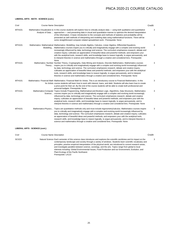### **LIBERAL ARTS - MATH - SCIENCE (cont.)**

| Crs#          | <b>Course Name Description</b>        |                                                                                                                                                                                                                                                                                                                                                                                                                                                                                                                                                                                                                                                                                                          | Credit |
|---------------|---------------------------------------|----------------------------------------------------------------------------------------------------------------------------------------------------------------------------------------------------------------------------------------------------------------------------------------------------------------------------------------------------------------------------------------------------------------------------------------------------------------------------------------------------------------------------------------------------------------------------------------------------------------------------------------------------------------------------------------------------------|--------|
| <b>MTH101</b> |                                       | Mathematics: Visualization & In this course students will explore how to critically analyze data — using both qualitative and quantitative<br>Analysis of Data  approaches — and presenting data in visual and quantitative manner to optimize the desired interpretation<br>of the information. A basic introduction to the concepts and methods of statistics and probability will be<br>presented as well methods of interpreting and modeling data using mathematical functions. There will be<br>some straightforward computer-related spreadsheet work Prerequisite: None                                                                                                                          | 3      |
| <b>MTH101</b> |                                       | Mathematics: Mathematical Mathematics: Modelling: may include Algebra, Calculus, Linear Algebra, Differential Equations.<br>Modelling Mathematics courses inspire you to critically and imaginatively engage with a complex and evolving world<br>increasingly influenced by data, technology and science. The curriculum emphasizes research, debate and<br>creative inquiry; cultivates an appreciation of beautiful ideas and powerful methods; and empowers your<br>with the analytical tools, research skills, and knowledge base to reason logically, to argue persuasively, and<br>to interpret theories in science and mathematics through a creative and considered lens. Prerequisite:<br>None | 3      |
| <b>MTH101</b> |                                       | Mathematics: Number Number Theory, Cryptography, Data Mining and Analysis, Discrete Mathematics. Mathematics courses<br>Theory inspire you to critically and imaginatively engage with a complex and evolving world increasingly influenced<br>by data, technology and science. The curriculum emphasizes research, debate and creative inquiry;<br>cultivates an appreciation of beautiful ideas and powerful methods; and empowers your with the analytical<br>tools, research skills, and knowledge base to reason logically, to argue persuasively, and to interpret<br>theories in science and mathematics through a creative and considered lens. Prerequisite: None                               | 3      |
| <b>MTH101</b> |                                       | Mathematics: Financial Math Mathematics: Financial Math for Artists. This is an introductory course to Financial Mathematics. In this<br>for Artists course students will learn how to work with interest, loans, and debt. Students will also learn how to create<br>a price point for their art. By the end of the course students will be able to create both professional and<br>personal budgets. Prerequisite: None                                                                                                                                                                                                                                                                                | 3      |
| <b>MTH101</b> |                                       | Mathematics: Computer Topics Include Programming, Mathematical and Boolean Logic, Algorithms, Data Structures. Mathematics<br>Science courses inspire you to critically and imaginatively engage with a complex and evolving world increasingly<br>influenced by data, technology and science. The curriculum emphasizes research, debate and creative<br>inquiry; cultivates an appreciation of beautiful ideas and powerful methods; and empowers your with the<br>analytical tools, research skills, and knowledge base to reason logically, to argue persuasively, and to<br>interpret theories in science and mathematics through a creative and considered lens. Prerequisite: None                | 3      |
| <b>MTH101</b> |                                       | Mathematics:Physics Topics are quantitative methods only and must include trigonometry/calculus. Mathematics courses inspire<br>you to critically and imaginatively engage with a complex and evolving world increasingly influenced by<br>data, technology and science. The curriculum emphasizes research, debate and creative inquiry; cultivates<br>an appreciation of beautiful ideas and powerful methods; and empowers your with the analytical tools,<br>research skills, and knowledge base to reason logically, to argue persuasively, and to interpret theories in<br>science and mathematics through a creative and considered lens. Prerequisite: None                                      | 3      |
|               | <b>LIBERAL ARTS - SCIENCE (cont.)</b> |                                                                                                                                                                                                                                                                                                                                                                                                                                                                                                                                                                                                                                                                                                          |        |

# Crs# Course Name Description Credit

| <b>SCI223</b> | Natural Science Each semester of this science class introduces and explores the scientific worldview and its impact on the<br>contemporary landscape and society through a variety of windows. Students learn scientific vocabulary and |  |
|---------------|-----------------------------------------------------------------------------------------------------------------------------------------------------------------------------------------------------------------------------------------|--|
|               | principles, practice empirical interpretation of the physical world, are introduced to current research areas,                                                                                                                          |  |
|               | and investigate parallels between science, sociology, and the arts. Topics range from global to local                                                                                                                                   |  |
|               | interests including: Global Environmental Issues, Food Production and our Environment, Evolution, and                                                                                                                                   |  |
|               | Plant Ecology of the Pacific Northwest.                                                                                                                                                                                                 |  |
|               | Prerequisite: LA122                                                                                                                                                                                                                     |  |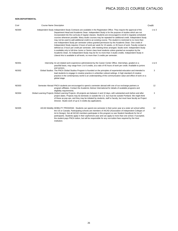### **NON-DEPARTMENTAL**

| Crs#         | <b>Course Name Description</b> |                                                                                                                                                                                                                                                                                                                                                                                                                                                                                                                                                                                                                                                                                                                                                                                                                                                                                                                                                                                                                                                                                                                                                                                                    | Credit     |
|--------------|--------------------------------|----------------------------------------------------------------------------------------------------------------------------------------------------------------------------------------------------------------------------------------------------------------------------------------------------------------------------------------------------------------------------------------------------------------------------------------------------------------------------------------------------------------------------------------------------------------------------------------------------------------------------------------------------------------------------------------------------------------------------------------------------------------------------------------------------------------------------------------------------------------------------------------------------------------------------------------------------------------------------------------------------------------------------------------------------------------------------------------------------------------------------------------------------------------------------------------------------|------------|
| <b>ND300</b> |                                | Independent Study Independent Study Contracts are available in the Registration Office. They require the approval of the<br>Department Head and Academic Dean. Independent Study is for the purpose of studies which are not<br>incorporated into the curricula of regular classes. Students are encouraged to enroll in regularly scheduled<br>courses whenever possible. Many studio courses may be repeated for additional credit. Independent Study<br>may not be used to add additional credit to an existing course. The student is restricted to no more than<br>one Independent Study per semester unless granted permission by the Academic Dean. One credit of<br>Independent Study requires 3 hours of work per week for 15 weeks, or 45 hours of work. Faculty contact is<br>defined as 3 hours per credit per semester, with meeting times arranged. Studio work: Independent Study<br>is available only to full-time Junior or Senior class level students unless granted an exception by the<br>Academic Dean. An Independent Study may be for no more than 3 studio credits. Independent Study in<br>Liberal Arts is available to all levels, no more than 3 credits per semester. | $1$ to $3$ |
| ND301        |                                | Internship An art-related work experience administered by the Career Center Office. Internships, graded on a<br>pass/fail basis, may range from 1 to 6 credits, at a ratio of 45 hours of work per credit. Available to juniors<br>and seniors.                                                                                                                                                                                                                                                                                                                                                                                                                                                                                                                                                                                                                                                                                                                                                                                                                                                                                                                                                    | $1$ to $6$ |
| <b>ND302</b> |                                | Global Studios: The PNCA Global Studios Program is founded on the principles of experiential education and intended to<br>lead students to engage in creative practice in unfamiliar cultural settings. A high standard of creative<br>practice in the contemporary world is an understanding of the communicative value and effect of work on a<br>global stage.                                                                                                                                                                                                                                                                                                                                                                                                                                                                                                                                                                                                                                                                                                                                                                                                                                  | 3          |
| <b>ND303</b> |                                | Semester Abroad PNCA students are encouraged to spend a semester abroad with one of our exchange partners or<br>program affiliates. Contact the Academic Advisor International for details of available programs and<br>eligibility requirements.                                                                                                                                                                                                                                                                                                                                                                                                                                                                                                                                                                                                                                                                                                                                                                                                                                                                                                                                                  | 12         |
| <b>ND304</b> |                                | Global Learning Projects Global Learning Projects: All projects are between 4 and 10 days, with substantial work before and after<br>project dates. Projects may be domestic or outside the U.S. but must be outside Portland. We might think<br>of these as pop ups, and they may be initiated by students, staff or faculty, but must have faculty as Project<br>Director. Studio work of up to 3 credits (by application).                                                                                                                                                                                                                                                                                                                                                                                                                                                                                                                                                                                                                                                                                                                                                                      | 3          |
| ND305        |                                | AICAD Mobility MOBILITY PROGRAM - Students can spend one semester in their junior year at a sister art school within<br>the US or Canada. Participating schools are members of AICAD (Association of Independent Colleges of<br>Art & Design). Not all AICAD members participate in this program so see Student Handbook for list of<br>participants. Students apply in their sophomore year and can apply to more than one school. If accepted,<br>the student pays PNCA tuition, but will be responsible for any non-tuition fees required by the Host<br>institution.                                                                                                                                                                                                                                                                                                                                                                                                                                                                                                                                                                                                                           | 12         |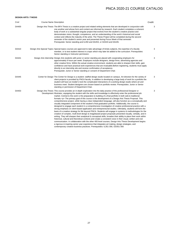### **DESIGN ARTS / THESIS**

| Crs#  | <b>Course Name Description</b> |                                                                                                                                                                                                                                                                                                                                                                                                                                                                                                                                                                                                                                                                                                                                                                                                                                                                                                                                                                                                                                                                                                                                                                                                                                                                                                                                                                                                                                                                                                                                                                                                                                                                                                                                | Credit |
|-------|--------------------------------|--------------------------------------------------------------------------------------------------------------------------------------------------------------------------------------------------------------------------------------------------------------------------------------------------------------------------------------------------------------------------------------------------------------------------------------------------------------------------------------------------------------------------------------------------------------------------------------------------------------------------------------------------------------------------------------------------------------------------------------------------------------------------------------------------------------------------------------------------------------------------------------------------------------------------------------------------------------------------------------------------------------------------------------------------------------------------------------------------------------------------------------------------------------------------------------------------------------------------------------------------------------------------------------------------------------------------------------------------------------------------------------------------------------------------------------------------------------------------------------------------------------------------------------------------------------------------------------------------------------------------------------------------------------------------------------------------------------------------------|--------|
| DA400 |                                | Design Arts Thesis The BFA Thesis is a creative project and related writing elements that are developed in conjunction with<br>one another and whose form and content are informed by research. Each student completes a coherent<br>body of work or a substantial singular project that evolves from the student's creative practice and<br>demonstrates vision, thought, competence, and an understanding of the work's historical and social<br>context and reflects the maturity of the artist. The Thesis Project will be completed during the second<br>semester of the student's senior year and presented during Focus Week of that semester.<br>Prerequisite: Senior standing and IL450 and DA453, or GD443 and DA445.                                                                                                                                                                                                                                                                                                                                                                                                                                                                                                                                                                                                                                                                                                                                                                                                                                                                                                                                                                                                | 3      |
| DA410 |                                | Design Arts Special Topics Special topics courses are approved to take advantage of timely subjects, the expertise of a faculty<br>member, or to test student interest in a topic which may later be added to the curriculum. Prerequisites:<br>Senior standing or Instructor permission.                                                                                                                                                                                                                                                                                                                                                                                                                                                                                                                                                                                                                                                                                                                                                                                                                                                                                                                                                                                                                                                                                                                                                                                                                                                                                                                                                                                                                                      | 3      |
| DA441 |                                | Design Arts Internship Design Arts students with junior or senior standing are placed with cooperating employers for<br>approximately 9 hours per week. Employers include designers, design firms, advertising agencies and<br>other creative firms. Within the actual creative environment, students are able to sharpen their skills, gain<br>confidence and have practical work experiences that are invaluable. Before registering, students must apply<br>directly to an internship site and receive confirmation of acceptance.<br>Prerequisite: Junior or Senior standing or consent of Department Chair.                                                                                                                                                                                                                                                                                                                                                                                                                                                                                                                                                                                                                                                                                                                                                                                                                                                                                                                                                                                                                                                                                                               | 3      |
| DA445 |                                | Center for Design The Center for Design is a student -staffed design studio located on campus. Art direction for the variety of<br>client projects is provided by PNCA faculty. In addition to developing a large body of work for a portfolio the<br>student will have an insider's look the complicated interactions of a working design studio where art and<br>business meet. Student designers are chosen based on portfolio review. Prerequisites: Junior or Senior<br>standing or permission of Department Chair.                                                                                                                                                                                                                                                                                                                                                                                                                                                                                                                                                                                                                                                                                                                                                                                                                                                                                                                                                                                                                                                                                                                                                                                                       | 3      |
| DA453 |                                | Design Arts Thesis This course provides an in-depth exploration into the daily practice of the professional Designer or<br>Development Illustrator, equipping the student with the skills and knowledge to effectively enter the professional job<br>market. Central to this work is the preparation & building of a final portfolio in both web & traditional<br>formats. <p> The primary goal of this course is the development of a Design Arts Thesis Proposal. This<br/>comprehensive project, while having a clear independent language, will also function as a conceptually and<br/>visually integrated component of the student's final graduation portfolio. Additionally, the course is<br/>designed to engage each student in a comprehensive investigation of creative professional practice with a<br/>strong emphasis on client-based application and entrepreneurial studies. Ultimately, students will form the<br/>basis of a creative strategy for life beyond PNCA. Students will engage in systems &amp; methodologies for the<br/>creation of complex, multi-level design &amp; imagebased project proposals presented visually, verbally, and in<br/>writing. They will sharpen their analytical &amp; conceptual skills, broaden their ability to place their work within<br/>historical, cultural and theoretical contexts and create a consistent voice in their visual, written and oral<br/>communication. In collaboration with the other 400 level courses, Design Arts Thesis Development begins<br/>a rigorous &amp; inspiring senior year experience that integrates art making, design strategies, and<br/>contemporary creative business practices. Prerequisites: IL351-356, GD351-356</p> | 3      |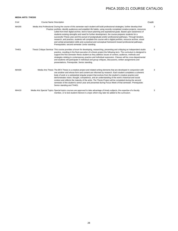### **MEDIA ARTS / THESIS**

| Crs#  | <b>Course Name Description</b> |                                                                                                                                                                                                                                                                                                                                                                                                                                                                                                                                                                                                                                                                                                                                                                                                                                                                        | Credit |
|-------|--------------------------------|------------------------------------------------------------------------------------------------------------------------------------------------------------------------------------------------------------------------------------------------------------------------------------------------------------------------------------------------------------------------------------------------------------------------------------------------------------------------------------------------------------------------------------------------------------------------------------------------------------------------------------------------------------------------------------------------------------------------------------------------------------------------------------------------------------------------------------------------------------------------|--------|
| MA300 |                                | Media Arts Professional During the course of this semester each student will build professional strategies, further develop their<br>Practice portfolio, identify audiences and establish life habits, using recently completed creative projects, resources<br>culled from their digital archive, tied to future planning and aspirational goals. Based upon awareness of<br>students existing strengths and need for further development, the course prepares students for a<br>successful Thesis year and the pursuit of postgraduate and/or professional pathways. Through iteration,<br>research, and practice, students will complete this course with a digital portfolio, resource archive, visual<br>and verbal presentation skills and a practical and conceptual framework toward professional pathways.<br>Prerequisites: second semester Junior standing. | 3      |
| TH401 |                                | Thesis Critique Seminar This course provides a forum for developing, researching, presenting and critiquing an independent studio<br>practice, resulting in the final execution of a thesis project the following term. The curriculum is designed to<br>support the first semester thesis student as they address issues of context, audience, methods and<br>strategies relating to contemporary practice and individual expression. Classes will be cross-departmental<br>and students will participate in individual and group critiques, discussions, written assignments and<br>presentations. Prerequisite: Senior standing.                                                                                                                                                                                                                                    | 3      |
| MA400 |                                | Media Arts Thesis The BFA Thesis is a creative project and related writing elements that are developed in conjunction with<br>one another and whose form and content are informed by research. Each student completes a coherent<br>body of work or a substantial singular project that evolves from the student's creative practice and<br>demonstrates vision, thought, competence, and an understanding of the work's historical and social<br>context and reflects the maturity of the artist. The Thesis Project will be completed during the second<br>semester of the student's senior year and presented during Focus Week of that semester. Prerequisite:<br>Senior standing and TH401.                                                                                                                                                                       | 3      |
| MA410 |                                | Media Arts Special Topics Special topics courses are approved to take advantage of timely subjects, the expertise of a faculty<br>member, or to test student interest in a topic which may later be added to the curriculum.                                                                                                                                                                                                                                                                                                                                                                                                                                                                                                                                                                                                                                           | 3      |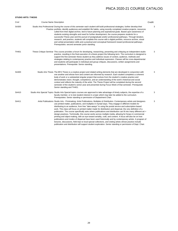### **STUDIO ARTS / THESIS**

| Crs#  | <b>Course Name Description</b> |                                                                                                                                                                                                                                                                                                                                                                                                                                                                                                                                                                                                                                                                                                                                                                                                                                                                                                                                                                                                                                                                                                                                                            | Credit |
|-------|--------------------------------|------------------------------------------------------------------------------------------------------------------------------------------------------------------------------------------------------------------------------------------------------------------------------------------------------------------------------------------------------------------------------------------------------------------------------------------------------------------------------------------------------------------------------------------------------------------------------------------------------------------------------------------------------------------------------------------------------------------------------------------------------------------------------------------------------------------------------------------------------------------------------------------------------------------------------------------------------------------------------------------------------------------------------------------------------------------------------------------------------------------------------------------------------------|--------|
| SA300 |                                | Studio Arts Professional During the course of this semester each student will build professional strategies, further develop their<br>Practice portfolio, identify audiences and establish life habits, using recently completed creative projects, resources<br>culled from their digital archive, tied to future planning and aspirational goals. Based upon awareness of<br>students existing strengths and need for further development, the course prepares students for a<br>successful Thesis year and the pursuit of postgraduate and/or professional pathways. Through iteration,<br>research, and practice, students will complete this course with a digital portfolio, resource archive, visual<br>and verbal presentation skills and a practical and conceptual framework toward professional pathways.<br>Prerequisites: second semester junior standing.                                                                                                                                                                                                                                                                                    | 3      |
| TH401 |                                | Thesis Critique Seminar This course provides a forum for developing, researching, presenting and critiquing an independent studio<br>practice, resulting in the final execution of a thesis project the following term. The curriculum is designed to<br>support the first semester thesis student as they address issues of context, audience, methods and<br>strategies relating to contemporary practice and individual expression. Classes will be cross-departmental<br>and students will participate in individual and group critiques, discussions, written assignments and<br>presentations. Prerequisite: Senior standing.                                                                                                                                                                                                                                                                                                                                                                                                                                                                                                                        | 3      |
| SA400 |                                | Studio Arts Thesis The BFA Thesis is a creative project and related writing elements that are developed in conjunction with<br>one another and whose form and content are informed by research. Each student completes a coherent<br>body of work or a substantial singular project that evolves from the student's creative practice and<br>demonstrates vision, thought, competence, and an understanding of the work's historical and social<br>context and reflects the maturity of the artist. The Thesis Project will be completed during the second<br>semester of the student's senior year and presented during Focus Week of that semester. Prerequisite:<br>Senior standing and TH401.                                                                                                                                                                                                                                                                                                                                                                                                                                                          | 3      |
| SA410 |                                | Studio Arts Special Topics Studio Arts Special topics courses are approved to take advantage of timely subjects, the expertise of a<br>faculty member, or to test student interest in a topic which may later be added to the curriculum.<br>Prerequisites: Senior standing or permission of Deptartment Chair.                                                                                                                                                                                                                                                                                                                                                                                                                                                                                                                                                                                                                                                                                                                                                                                                                                            | 3      |
| SA411 |                                | Artist Publications Studio Arts - Printmaking: Artist Publications, Multiples & Distribution. Contemporary artists and designers<br>use printed matter, publications, and multiples in myriad ways. They engage in different models for<br>distributing to an audience, from free "take-aways" to using the postal service and subscription-based<br>work. This class will focus on printed matter made for distribution and dispersal, the very definition of a<br>publication. The course specifically asks where publications and distribution can fit into many different art +<br>design practices. Technically, this course works across multiple media, allowing for forays in commercial<br>printing and object-making, with an eye toward seriality, craft, and content. A focus will also be on how<br>publications and modes of dispersal have been used historically and by contemporary artists. A program of<br>lectures, discussions, field trips to local special collections, and visiting artists whose practice include<br>publication and distribution will support student exploration. Senior standing or permission of Dept. Chair. | 3      |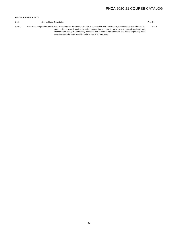### **POST-BACCALAUREATE**

Crs# Course Name Description Credit

6 to 9

PB300 Post Bacc Independent Studio Post-Baccalaureate Independent Studio: In consultation with their mentor, each student will undertake indepth, self-determined, studio exploration, engage in research relevant to their studio work, and participate in critique and dialog. Students may choose to take Independent Studio for 6 or 9 credits depending upon their desire/need to take an additional Elective or an Internship.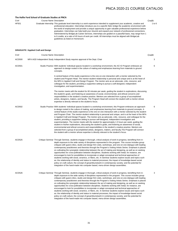1 to 6

### **The Hallie Ford School of Graduate Studies at PNCA**

| Crs#  | <b>Course Name Description</b> |                                                                                                                                                                                                                                                                                                                                                                                                                                                                                                                                                                                                                                                                                                                              | Credit       |
|-------|--------------------------------|------------------------------------------------------------------------------------------------------------------------------------------------------------------------------------------------------------------------------------------------------------------------------------------------------------------------------------------------------------------------------------------------------------------------------------------------------------------------------------------------------------------------------------------------------------------------------------------------------------------------------------------------------------------------------------------------------------------------------|--------------|
| HF501 |                                | Graduate Internship This graduate level internship is a work experience intended to supplement your academic, creative and<br>professional education. Internships introduce you to a specific field, bridge the academic environment with<br>the world of employment and provide a unique opportunity to gain valuable professional experience before<br>graduation. Internships can help build your résumé and expand your network of professional connections.<br>Administered by BridgeLab Career Services, internships are graded on a pass/fail basis, may range from 1<br>to 6 credits, at a ratio of 45 hours of work per credit. All internships must be aligned with BridgeLab<br>quidelines as listed on Homeroom. | $\mathbf{1}$ |

### **GRADUATE / Applied Craft and Design**

| Crs#          | <b>Course Name Description</b> |                                                                                                                                                                                                                                                                                                                                                                                                                                                                                                                                                                                                                                                                                                                                                                                                                                                                                                                                                                                                                                                                                                                                                                                                                          | Credit |
|---------------|--------------------------------|--------------------------------------------------------------------------------------------------------------------------------------------------------------------------------------------------------------------------------------------------------------------------------------------------------------------------------------------------------------------------------------------------------------------------------------------------------------------------------------------------------------------------------------------------------------------------------------------------------------------------------------------------------------------------------------------------------------------------------------------------------------------------------------------------------------------------------------------------------------------------------------------------------------------------------------------------------------------------------------------------------------------------------------------------------------------------------------------------------------------------------------------------------------------------------------------------------------------------|--------|
| ACD500        |                                | MFA AGD Independent Study Independent Study requires approval of the Dept. Chair                                                                                                                                                                                                                                                                                                                                                                                                                                                                                                                                                                                                                                                                                                                                                                                                                                                                                                                                                                                                                                                                                                                                         | 3      |
| ACD501        |                                | Studio Practice With students' individual spaces located in a workshop environment, the AC+D Program embraces an<br>approach to design rooted in the culture of making and emphasizes learning from materials to ground<br>concepts.                                                                                                                                                                                                                                                                                                                                                                                                                                                                                                                                                                                                                                                                                                                                                                                                                                                                                                                                                                                     | 6      |
|               |                                | A central feature of the studio experience is the one-on-one interaction with a mentor selected by the<br>student and Program Head. The mentor-student relationship is personal and unique and is at the heart of<br>the MFA in Applied Craft and Design Program. The mentor acts as an advocate, critic, resource, and<br>colleague for the student, providing a supportive setting to pursue a self-designed, independent<br>investigation, and experimentation.                                                                                                                                                                                                                                                                                                                                                                                                                                                                                                                                                                                                                                                                                                                                                       |        |
|               |                                | The mentor meets with the student for 60 minutes per week, guiding the student in explorations, discussing<br>the student's goals, and fostering an awareness of social, environmental, and ethical concerns and<br>responsibilities in the student's creative practice. Mentors are selected from a group of accomplished<br>artists, designers, makers, and faculty. The Program Head will connect the student with a mentor whose<br>expertise is directly relevant to the student's focus.                                                                                                                                                                                                                                                                                                                                                                                                                                                                                                                                                                                                                                                                                                                           |        |
| <b>ACD502</b> |                                | Studio Practice With students' individual spaces located in a workshop environment, this Program embraces an approach<br>to design rooted in the culture of making, and emphasizes learning from materials to ground concepts. A<br>central feature of the studio experience is the one-on-one interaction with a mentor selected by the student<br>and Program Chair. The mentor-student relationship is personal and unique, and is at the heart of the MFA<br>in Applied Craft and Design Program. The mentor acts as advocate, critic, resource, and colleague for the<br>student, providing a supportive setting to pursue self-designed, independent investigation and<br>experimentation. The mentor meets with the student for approximately 1.5 hours per week, quiding the<br>student in his/her explorations, discussing the student's goals, and fostering an awareness of social,<br>environmental and ethical concerns and responsibilities in the student's creative practice. Mentors are<br>selected from a group of accomplished artists, designers, makers, and faculty. The Program will connect<br>the student with a mentor whose expertise is directly relevant to the student's focus.           | 6      |
| <b>ACD525</b> |                                | Critique Seminar Through Seminar, students engage in thorough, critical analysis of work-in-progress, benefiting from in-<br>depth exposure to the wide variety of disciplines represented in the program. This course includes group<br>critiques with guest critics, studio and design firm visits, workshops, and one-on-one dialogue with leading<br>contemporary practitioners and theorists through the Program's Visiting Artists Series. Emphasis is placed<br>on cultivating the synergistic relationship between the act of making and designing, as well as on seeking<br>opportunities for cross-pollination between disciplines. Students working with metal, for instance, are<br>encouraged to look for possibilities to incorporate or adapt conceptual and technical approaches of<br>students working with wood, ceramics, or fibers, etc. In Seminar students explore issues and topics such<br>as: the relationship of identity and status to material processes; the impact of knowledge-based social<br>policy on craft culture; the concept of gesamtkunstwerk in contemporary society; and the potential for<br>integration of the hand-made into computer based, menu-driven design assemblies. | 3      |
| <b>ACD526</b> |                                | Critique Seminar Through Seminar, students engage in thorough, critical analysis of work-in-progress, benefiting from in-<br>depth exposure to the wide variety of disciplines represented in the program. This course includes group<br>critiques with guest critics, studio and design firm visits, workshops, and one-on-one dialogue with leading<br>contemporary practitioners and theorists through the Program's Visiting Artists Series. Emphasis is placed<br>on cultivating the synergistic relationship between the act of making and designing, as well as on seeking<br>opportunities for cross-pollination between disciplines. Students working with metal, for instance, are<br>encouraged to look for possibilities to incorporate or adapt conceptual and technical approaches of<br>students working with wood, ceramics, or fibers, etc. In Seminar students explore issues and topics such<br>as: the relationship of identity and status to material processes; the impact of knowledge-based social<br>policy on craft culture; the concept of gesamtkunstwerk in contemporary society; and the potential for<br>integration of the hand-made into computer based, menu-driven design assemblies. | 3      |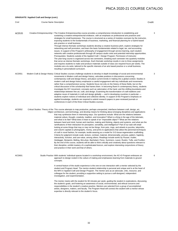### **GRADUATE / Applied Craft and Design (cont.)**

| Crs#   | <b>Course Name Description</b> |                                                                                                                                                                                                                                                                                                                                                                                                                                                                                                                                                                                                                                                                                                                                                                                                                                                                                                                                                                                                                                                                                                                                                                                                                                                                                                                                                                                                                                                                                                                                                                                                                                                                                                                                                                              | Credit |
|--------|--------------------------------|------------------------------------------------------------------------------------------------------------------------------------------------------------------------------------------------------------------------------------------------------------------------------------------------------------------------------------------------------------------------------------------------------------------------------------------------------------------------------------------------------------------------------------------------------------------------------------------------------------------------------------------------------------------------------------------------------------------------------------------------------------------------------------------------------------------------------------------------------------------------------------------------------------------------------------------------------------------------------------------------------------------------------------------------------------------------------------------------------------------------------------------------------------------------------------------------------------------------------------------------------------------------------------------------------------------------------------------------------------------------------------------------------------------------------------------------------------------------------------------------------------------------------------------------------------------------------------------------------------------------------------------------------------------------------------------------------------------------------------------------------------------------------|--------|
| ACD535 |                                | Creative Entrepreneurship I The Creative Entrepreneurship course provides a comprehensive introduction to establishing and<br>sustaining a creative entrepreneurial endeavor, with an emphasis on professional arts practices and<br>strategies for small businesses. The course is structured as a series of modules overseen by the instructor,<br>exposing students to the fundamentals of business, marketing, and financial planning for a hybrid based<br>arts practice or small business.<br>Through intense thematic workshops students develop a creative business pitch, explore strategies for<br>networking and self promotion, and learn the basic fundamentals related to legal, tax, and accounting<br>issues. In support of the Program's philosophy of engagement through service learning, each student<br>networks with creative professionals through off campus studio visits and potential internship opportunities.<br>Prerequisites: Students outside of the Applied Craft + Design Program: Permission of instructor<br>The year-long course is organized across two semesters, breaking each semester into quarterly modules<br>that serve as intense thematic workshops. Each thematic workshop results in one to three assignments<br>and requires students to make and produce materials outside of class (six required hours per week). The<br>modules are a la carte, tailored to the specific interests of an arts based practice or a small business,<br>resulting in personalized curriculum.                                                                                                                                                                                                                                              | 3      |
| ACD551 |                                | Modern Craft & Design History Critical Studies courses challenge students to develop in-depth knowledge of social and environmental<br>movements in Modern craft and design history, articulate positions in discussions concerning<br>contemporary craft and design theory, and place current trends in making into a global context. Studies in<br>modern craft and design history emphasize a careful engagement with key individuals and movements<br>rather than a comprehensive survey. Students focus not only on the history of these fields, but on the<br>critical discussion of the scholarship that frames them. In becoming fluent in contemporary theory, students<br>investigate the DIY movement, concepts such as valorization of the hand, and the shifting boundaries and<br>relationships between fine art, craft, and design. Examining the transformation of craft traditions and<br>adaptive reuse of materials in craft and design globally — and in developing countries in particular —<br>students explore notions of individual and collective identity. In support of the Program's emphasis on<br>applied knowledge, students are required to submit research papers to peer-reviewed journals or<br>conferences in each of the three Critical Studies courses.                                                                                                                                                                                                                                                                                                                                                                                                                                                                                | 3      |
| ACD552 |                                | Critical Studies: Theory of the This course attempts to map productive, perhaps unexpected, interfaces between craft, design, art,<br>Object architecture, and technology, and develop means for thinking about emerging disciplines and applications<br>that may synthesize them in interesting ways. Our questions include: What are the relations between<br>material culture, thought, creativity, tradition, and innovation? What is a thing in the age of the telematic,<br>and what is its fate? What does it mean to speak of an "impossible object"? What are the relations<br>between hand and mind, human and machine, making and thinking, objects and systems, and what are the<br>ramifications of their interaction for perception, sensibility, and intelligence? Part of our task will entail<br>looking at some things that may or may not be things, from pots, rings, and wheels to puzzles, labyrinths,<br>and column capitals to photographs, money, and prims to applications that utilize the perennial techniques<br>of craft in novel fashion, for example, textile weaving as a model for 3-D tissue-regeneration scaffolding.<br>Criteria for judgment include scale, texture, contrast, material, dimensionality, process, pattern, hapticity,<br>interactivity, function, and use-value, among others. Readings include works by Flusser, Kubler,<br>Heidegger, Benjamin, Belting, McLuhan, Bachelard, Perec, Summers, Lacan, Ruskin, Tufte, and Focillon.<br>By the end of the course, students will be able to think critically and creatively about questions relevant to<br>their discipline, exhibit mastery of a sophisticated lexicon, and explore interesting conjunctions of theory<br>and practice in their work and that of others. | 3      |
| ACD601 |                                | Studio Practice With students' individual spaces located in a workshop environment, the AC+D Program embraces an<br>approach to design rooted in the culture of making and emphasizes learning from materials to ground<br>concepts.<br>A central feature of the studio experience is the one-on-one interaction with a mentor selected by the<br>student and Program Head. The mentor-student relationship is personal and unique and is at the heart of<br>the MFA in Applied Craft and Design Program. The mentor acts as an advocate, critic, resource, and<br>colleague for the student, providing a supportive setting to pursue a self-designed, independent<br>investigation, and experimentation.<br>The mentor meets with the student for 60 minutes per week, guiding the student in explorations, discussing<br>the student's goals, and fostering an awareness of social, environmental, and ethical concerns and<br>responsibilities in the student's creative practice. Mentors are selected from a group of accomplished<br>artists, designers, makers, and faculty. The Program Head will connect the student with a mentor whose<br>expertise is directly relevant to the student's focus.                                                                                                                                                                                                                                                                                                                                                                                                                                                                                                                                                                 | 6      |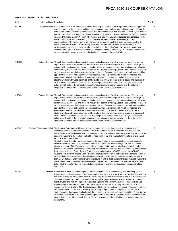### **GRADUATE / Applied Craft and Design (cont.)**

| Crs#   | Course Name Description |                                                                                                                                                                                                                                                                                                                                                                                                                                                                                                                                                                                                                                                                                                                                                                                                                                                                                                                                                                                                                                                                                                                                                                                                                                                                                                                                                                                                                                                                                                                                                                                                                        | Credit |
|--------|-------------------------|------------------------------------------------------------------------------------------------------------------------------------------------------------------------------------------------------------------------------------------------------------------------------------------------------------------------------------------------------------------------------------------------------------------------------------------------------------------------------------------------------------------------------------------------------------------------------------------------------------------------------------------------------------------------------------------------------------------------------------------------------------------------------------------------------------------------------------------------------------------------------------------------------------------------------------------------------------------------------------------------------------------------------------------------------------------------------------------------------------------------------------------------------------------------------------------------------------------------------------------------------------------------------------------------------------------------------------------------------------------------------------------------------------------------------------------------------------------------------------------------------------------------------------------------------------------------------------------------------------------------|--------|
| ACD602 |                         | Studio Practice With students' individual spaces located in a workshop environment, this Program embraces an approach<br>to design rooted in the culture of making, and emphasizes learning from materials to ground concepts. A<br>central feature of the studio experience is the one-on-one interaction with a mentor selected by the student<br>and Program Chair. The mentor-student relationship is personal and unique, and is at the heart of the MFA<br>in Applied Craft and Design Program. The mentor acts as advocate, critic, resource, and colleague for the<br>student, providing a supportive setting to pursue self-designed, independent investigation and<br>experimentation. The mentor meets with the student for approximately 1.5 hours per week, guiding the<br>student in his/her explorations, discussing the student's goals, and fostering an awareness of social,<br>environmental and ethical concerns and responsibilities in the student's creative practice. Mentors are<br>selected from a group of accomplished artists, designers, makers, and faculty. The Program will connect<br>the student with a mentor whose expertise is directly relevant to the student's focus.                                                                                                                                                                                                                                                                                                                                                                                                         | 6      |
| ACD625 |                         | Critique Seminar Through Seminar, students engage in thorough, critical analysis of work-in-progress, benefiting from in-<br>depth exposure to the wide variety of disciplines represented in the program. This course includes group<br>critiques with guest critics, studio and design firm visits, workshops, and one-on-one dialogue with leading<br>contemporary practitioners and theorists through the Program's Visiting Artists Series. Emphasis is placed<br>on cultivating the synergistic relationship between the act of making and designing, as well as on seeking<br>opportunities for cross-pollination between disciplines. Students working with metal, for instance, are<br>encouraged to look for possibilities to incorporate or adapt conceptual and technical approaches of<br>students working with wood, ceramics, or fibers, etc. In Seminar students explore issues and topics such<br>as: the relationship of identity and status to material processes; the impact of knowledge-based social<br>policy on craft culture; the concept of gesamtkunstwerk in contemporary society; and the potential for<br>integration of the hand-made into computer based, menu-driven design assemblies.                                                                                                                                                                                                                                                                                                                                                                                               | 3      |
| ACD626 |                         | Critique Seminar Through Seminar, students engage in thorough, critical analysis of work-in-progress, benefiting from in-<br>depth exposure to the wide variety of disciplines represented in the program. This course includes group<br>critiques with guest critics, studio and design firm visits, workshops, and one-on-one dialogue with leading<br>contemporary practitioners and theorists through the Program's Visiting Artists Series. Emphasis is placed<br>on cultivating the synergistic relationship between the act of making and designing, as well as on seeking<br>opportunities for cross-pollination between disciplines. Students working with metal, for instance, are<br>encouraged to look for possibilities to incorporate or adapt conceptual and technical approaches of<br>students working with wood, ceramics, or fibers, etc. In Seminar students explore issues and topics such<br>as: the relationship of identity and status to material processes; the impact of knowledge-based social<br>policy on craft culture; the concept of gesamtkunstwerk in contemporary society; and the potential for<br>integration of the hand-made into computer based, menu-driven design assemblies.                                                                                                                                                                                                                                                                                                                                                                                               | 3      |
| ACD635 |                         | Creative Entrepreneurship II The Creative Entrepreneurship course provides a comprehensive introduction to establishing and<br>sustaining a creative entrepreneurial endeavor, with an emphasis on professional arts practices and<br>strategies for small businesses. The course is structured as a series of modules overseen by the instructor,<br>exposing students to the fundamentals of business, marketing, and financial planning for a hybrid based<br>arts practice or small business.<br>Through intense thematic workshops students develop a creative business pitch, explore strategies for<br>networking and self promotion, and learn the basic fundamentals related to legal, tax, and accounting<br>issues. In support of the Program's philosophy of engagement through service learning, each student<br>networks with creative professionals through off campus studio visits and potential internship opportunities.<br>Prerequisites: Applied Craft + Design Students are required to take AGD535 to enter into AGD635.<br>Students outside of the Applied Craft + Design Program: Permission of instructor. The year-long course is<br>organized across two semesters, breaking each semester into quarterly modules that serve as intense<br>thematic workshops. Each thematic workshop results in one to three assignments and requires students to<br>make and produce materials outside of class (six required hours per week). The modules are a la carte,<br>tailored to the specific interests of an arts based practice or a small business, resulting in personalized<br>curriculum. | 3      |
| ACD671 |                         | Practicum Practicum will focus on supporting the introduction to your Thesis project along with facilitating your<br>Practicum Committee Meetings. The Thesis emphasizes the practical application of knowledge or skill in a<br>new way, through an independent project approved by the student's committee during the Thesis Proposal.<br>The main thrust of the Thesis is to create work through engagement with a specific audience, community,<br>client, or user, and with an emphasis on addressing social and environmental concerns. The type and<br>scale of projects students pursue for the Thesis ranges widely, but is centrally informed by the act of<br>making and design-thinking. The Thesis is intended to be an externalized expression of the work produced<br>in Studio Practice and requires a Thesis paper. In preparing the rationale for your Thesis Proposal,<br>students pursue rigorous methods of applied research, as well as utilizing strategies to identify and interact<br>with various stakeholders. Students present reports of their progress to their committee at preliminary and<br>intermediate stages. Upon completion, the Thesis culminates in a formal public presentation during the<br>Spring term.                                                                                                                                                                                                                                                                                                                                                                   | 3      |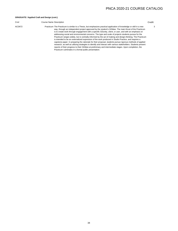### **GRADUATE / Applied Craft and Design (cont.)**

### Crs# Course Name Description Credit

3

ACD672 Practicum The Practicum is similar to a Thesis, but emphasizes practical application of knowledge or skill in a new way, through an independent project approved by the student's GDittee. The main thrust of the Practicum is to create work through engagement with a specific GDunity, client, or user, and with an emphasis on addressing social and environmental concerns. The type and scale of projects students pursue for the Practicum ranges widely, but is centrally informed by the act of making and design-thinking. The Practicum is intended to be an externalized expression of the work produced in Studio Practice, and requires a capstone paper. In preparing the rationale for their proposal, students pursue rigorous methods of applied research, as well as utilizing strategies to identify and interact with various stakeholders. Students present reports of their progress to their GDittee at preliminary and intermediate stages. Upon completion, the Practicum culminates in a formal public presentation.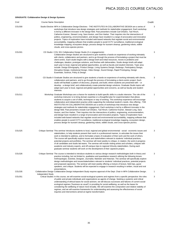### **GRADUATE / Collaborative Design & Design Systems**

| Crs#          | <b>Course Name Description</b> |                                                                                                                                                                                                                                                                                                                                                                                                                                                                                                                                                                                                                                                                                                                                                                                                                                                                                                                                                                                                                                                                                                                                                                                                                                                                                                                           | Credit |
|---------------|--------------------------------|---------------------------------------------------------------------------------------------------------------------------------------------------------------------------------------------------------------------------------------------------------------------------------------------------------------------------------------------------------------------------------------------------------------------------------------------------------------------------------------------------------------------------------------------------------------------------------------------------------------------------------------------------------------------------------------------------------------------------------------------------------------------------------------------------------------------------------------------------------------------------------------------------------------------------------------------------------------------------------------------------------------------------------------------------------------------------------------------------------------------------------------------------------------------------------------------------------------------------------------------------------------------------------------------------------------------------|--------|
| <b>COL500</b> |                                | Studio Elective MFA in Collaborative Design Electives - THE INSTITUTES IN COLLABORATIVE DESIGN are a series of<br>workshops that introduce new design strategies and methods for stakeholder engagement. Each workshop<br>is led by a different innovator in the design field. Past presenters include Carl DiSalvo, Tad Hirsch,<br>Catherine Kramer, Stewart Long, Sara Huston, and Don Harker. Their inquiries into the intersections of<br>politics, engineering, environmentalism, and design have resulted in a range of provocative and innovative<br>projects. Topics of exploration have included web-based networks that regulate social and environmental<br>accountability, mapping software that enables people to avoid CCTV surveillance, traditional ecological<br>knowledge mapping, ecosystem design, process design for tsunami cleanup, gardening robots, edible<br>clouds, and cross-species picnics.                                                                                                                                                                                                                                                                                                                                                                                                 | 3      |
| <b>COL501</b> |                                | CD Studio I COL 501 Collaborative Design Studio (3 cr engagements)<br>Collaborative Design Studios are structured to give students a hands-on experience of working intimately<br>with clients, collaborators and partners, and to go through the process of formulating a project that must be<br>client-centric. Each studio begins with a design brief and initial resources, moves to problems and<br>challenges, ideation, prototype solutions, and finishes with deliverables. Studio design briefs will adapt<br>each year to local, regional and global opportunities, as well as faculty and student interests. Topic area<br>include: Design Ethnography, Product Design, Living Systems Design, Redesign, Participatory Design,<br>Disruptive Design, Institutional Design, Video Design, Sound Design, Rapid Prototyping, Design<br>Essentials, Science, Policy & Design.                                                                                                                                                                                                                                                                                                                                                                                                                                     | 3      |
| COL502        |                                | CD Studio II Graduate Studios are structured to give students a hands-on experience of working intimately with clients,<br>collaborators and partners, and to go through the process of formulating a client-centric project. Each<br>studio will facilitate a pattern of discovery, proposal, and build, where students are presented with $-$ or<br>develop - a design brief, and collaboratively create potential design solutions. Graduate Studio topics will<br>adapt each year to local, regional and global opportunities and concerns, as well as faculty and student<br>interests.                                                                                                                                                                                                                                                                                                                                                                                                                                                                                                                                                                                                                                                                                                                              | 3      |
| <b>COL511</b> |                                | Workshop Graduate Workshops are a chance for students to build specific skills in a studio intensive. The role of the<br>workshop instructor is to bring domain expertise or a thoughtful plan for experimentation that allows<br>students to acquire a set of skills, techniques or way of working. This workshop experience will encourage<br>collaborative and independent practice while supporting the individual student's needs. Also offering - THE<br>INSTITUTES IN COLLABORATIVE DESIGN are a series of workshops that introduce new design<br>strategies and methods for stakeholder engagement. Each workshop is led by a different innovator in the<br>design field. Past presenters include Carl DiSalvo, Tad Hirsch, Catherine Kramer, Stewart Long, Sara<br>Huston, and Don Harker. Their inquiries into the intersections of politics, engineering, environmentalism,<br>and design have resulted in a range of provocative and innovative projects. Topics of exploration have<br>included web-based networks that regulate social and environmental accountability, mapping software that<br>enables people to avoid CCTV surveillance, traditional ecological knowledge mapping, ecosystem design,<br>process design for tsunami cleanup, gardening robots, edible clouds, and cross-species picnics. | 1      |
| COL525        |                                | Critique Seminar This seminar introduces students to local, regional and global environmental - social - economic issues and<br>stakeholders, to help students present their work in a professional manner, to articulate the issues their<br>work is intended to address, and to formulate a basis of evaluation of their work and the work of others.<br>The course will specifically explore issues and stakeholders relevant to students' individual practices,<br>potential projects and portfolios. The seminar will meet weekly to critique, in rotation, the work-in-progress<br>of all candidates and studio lab teams. The seminar will include visiting artists and scholars, critiques with<br>academic and industry experts, and off-campus trips to regional GDunity stakeholders. During each<br>graduate seminar students will work on the development of their capstone project.                                                                                                                                                                                                                                                                                                                                                                                                                         | 3      |
| COL526        |                                | Critique Seminar The course is intended to introduce students to various design research methodologies both in theory and<br>practice including, but not limited to, qualitative and quantitative research utilizing the following lenses:<br>Anthropologist, Scientist, Designer, Journalist, Marketer and Historian. The seminar will specifically explore<br>design methodologies and issues/stakeholders relevant to students' individual practices, potential projects<br>and proposed capstones. The seminar will meet weekly offering a mixture of lecture, field trips, guest<br>speakers, and critique. Students will be expected to engage in research resulting in written, visual and oral<br>presentations.                                                                                                                                                                                                                                                                                                                                                                                                                                                                                                                                                                                                  | 3      |
| <b>COL535</b> | <b>Independent Study</b>       | Collaborative Design Collaborative Design Independent Study requires approval of the Dept. Chair in MFA Collaborative Design.                                                                                                                                                                                                                                                                                                                                                                                                                                                                                                                                                                                                                                                                                                                                                                                                                                                                                                                                                                                                                                                                                                                                                                                             | 1      |
| COL551        |                                | Critical Studies In this course, we will examine social-ecological systems and regimes from a specific perspective: the roles<br>of public and private individuals and organizations as agents of change. Seeking a systemic and critical<br>understanding of ethical bases for social activism, we will discuss successes and failures of current social-<br>ecological regimes ("business as usual") in providing for social wellbeing, as well as the bases for<br>considering the wellbeing of nature more broadly. We will examine the composition and relative stability of<br>regimes, and we will examine frameworks for understanding and assessing the effectiveness of social<br>inquiries and interventions aimed at regime transformation.                                                                                                                                                                                                                                                                                                                                                                                                                                                                                                                                                                   | 3      |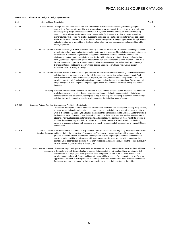### **GRADUATE / Collaborative Design & Design Systems (cont.)**

| Crs#          | <b>Course Name Description</b> |                                                                                                                                                                                                                                                                                                                                                                                                                                                                                                                                                                                                                                                                                                                                                                                                                                                                                                          | Credit |
|---------------|--------------------------------|----------------------------------------------------------------------------------------------------------------------------------------------------------------------------------------------------------------------------------------------------------------------------------------------------------------------------------------------------------------------------------------------------------------------------------------------------------------------------------------------------------------------------------------------------------------------------------------------------------------------------------------------------------------------------------------------------------------------------------------------------------------------------------------------------------------------------------------------------------------------------------------------------------|--------|
| <b>COL552</b> |                                | Critical Studies Through lectures, discussions, and field trips we will explore successful strategies of designing for<br>complexity in Portland, Oregon. The instructor and guest presenters will discuss iterative, generative and<br>transdisciplinary design processes as they relate to dynamic systems. Skills such as matrix mapping,<br>creating cooperative networks, adaptive processes and effective means of client engagement will be<br>demonstrated. This course will explore successful strategies for creating solutions for diverse ecological,<br>social and economic issues. It will also train students to recognize the design opportunities through system<br>indicators in the world around them. Students will develop their own design epistemology and tool kit for<br>strategic planning.                                                                                    | 3      |
| COL601        |                                | Studio Capstone Collaborative Design Studios are structured to give students a hands-on experience of working intimately<br>with clients, collaborators and partners, and to go through the process of formulating a project that must be<br>client-centric. Each studio begins with a design brief and initial resources, moves to problems and<br>challenges, ideation, prototype solutions, and finishes with deliverables. Studio design briefs will adapt<br>each year to local, regional and global opportunities, as well as faculty and student interests. Topic area<br>include: Design Ethnography, Product Design, Living Systems Design, Redesign, Participatory Design,<br>Disruptive Design, Institutional Design, Video Design, Sound Design, Rapid Prototyping, Design<br>Essentials, Science, Policy & Design.                                                                          | 3      |
| <b>COL602</b> |                                | Studio Capstone Graduate Studios are structured to give students a hands-on experience of working intimately with clients,<br>collaborators and partners, and to go through the process of formulating a client-centric project. Each<br>studio will facilitate a pattern of discovery, proposal, and build, where students are presented with – or<br>develop - a design brief, and collaboratively create potential design solutions. Graduate Studio topics will<br>adapt each year to local, regional and global opportunities and concerns, as well as faculty and student<br>interests.                                                                                                                                                                                                                                                                                                            | 3      |
| COL611        |                                | Workshop Graduate Workshops are a chance for students to build specific skills in a studio intensive. The role of the<br>workshop instructor is to bring domain expertise or a thoughtful plan for experimentation that allows<br>students to acquire a set of skills, techniques or way of working. This workshop experience will encourage<br>collaborative and independent practice while supporting the individual student's needs.                                                                                                                                                                                                                                                                                                                                                                                                                                                                  | 1      |
| COL625        |                                | Graduate Critique Seminar Collaboration, Facilitation, Participation<br>This course will explore different models of collaboration, facilitation and participation as they apply to local,<br>regional and global ecological -social - economic issues and stakeholders, help students to present their<br>work in a professional manner, to articulate the issues their work is intended to address, and to formulate a<br>basis of evaluation of their work and the work of others. It will also explore these models as they apply to<br>students' individual practices, potential projects and portfolios. The seminar will meet weekly to critique, in<br>rotation, the work-in-progress of all candidates and studio lab teams. The seminar will include visiting<br>artists and scholars, critiques with academic and industry experts, and off-campus trips to regional GDunity<br>stakeholders. | 3      |
| COL626        |                                | Graduate Critique Capstone seminar is intended to help students realize a successful final project by providing structure and<br>Seminar:Capstone guidance during the completion of the capstone. This course provides students with an opportunity to<br>present, refine and receive feedback on their capstone project. Regular presentations and critiques of<br>capstone projects will be supplemented with small workshops, lectures and site visits throughout the<br>semester. It is essential that students meet each milestone and deadline provided in the course syllabus in<br>order to remain in good standing in the program.                                                                                                                                                                                                                                                              | 3      |
| <b>COL652</b> |                                | Critical Studies: Creative This course helps participants refine skills for professional life. By the end of the course students will have<br>Leadership a thoughtful and well-designed online presence that presents the individual and their work to potential<br>collaborators and employers. Participants will have an updated CV and a pdf portfolio. Students will<br>develop a personalized job / grant tracking system and will have successfully completed job and/or grant<br>applications. Students are also given the opportunity to initiate a kickstarter or other online crowd-sourced<br>funding project, and develop an exhibition strategy for presenting their capstone to the public.                                                                                                                                                                                                | 3      |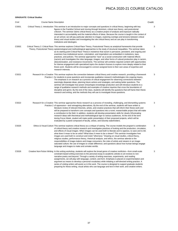### **GRADUATE / Critical Studies**

| Crs#  | <b>Course Name Description</b> |                                                                                                                                                                                                                                                                                                                                                                                                                                                                                                                                                                                                                                                                                                                                                                                                                                                                                                                                                                                                                                                                                            | Credit |
|-------|--------------------------------|--------------------------------------------------------------------------------------------------------------------------------------------------------------------------------------------------------------------------------------------------------------------------------------------------------------------------------------------------------------------------------------------------------------------------------------------------------------------------------------------------------------------------------------------------------------------------------------------------------------------------------------------------------------------------------------------------------------------------------------------------------------------------------------------------------------------------------------------------------------------------------------------------------------------------------------------------------------------------------------------------------------------------------------------------------------------------------------------|--------|
| CS501 |                                | Critical Theory 1: Introduction This seminar is an introduction to major concepts and questions in critical theory, beginning with key<br>figures in the Frankfurt School and moving through feminism, critical race theory, and postcolonial<br>criticism. The seminar claims critical theory as a creative project of analysis and exposure radically<br>interested in accountability and the material effects of ideas. Because the course is taught in the context of<br>an art school, we will pay particular attention to images, exploring overlaps and tensions between critical<br>theory and visual studies and investigating the role critical theory and art can play in transforming<br>institutions and ideologies.                                                                                                                                                                                                                                                                                                                                                          | 3      |
| CS502 |                                | Critical Theory 2: Critical Race This seminar explores Critical Race Theory, Postcolonial Theory as analytical frameworks that provide<br>Theory, Postcolonial Theory epistemological and methodological approaches to the study of structural inequalities. The seminar takes<br>as its starting point Critical Race Theory's insistence that racism is pervasive, persistent, and ongoing and<br>examines how institutional racism, colonialism, and imperialism are embedded in institutions, laws,<br>practices, and policies. The seminar approaches "race" as a social construction with material effects<br>(racism) and investigates the roles language, images, and other forms of cultural production play in racism,<br>(de)colonization, and resistance movements. The seminar will combine required content with opportunities<br>for intense engagement with specialized topics the student chooses to explore more deeply related to their<br>thesis work. Students will be encouraged to connect assigned texts to their own areas of expertise and<br>research interests. | 3      |
| CS521 |                                | Research for a Creative This seminar explores the connection between critical theory and creative research, providing a framework<br>Practice 1 for students to pose questions and incorporate qualitative research methodologies into ongoing inquiry.<br>The emphasis is on research as a process of critical engagement for observing connections between<br>seemingly disparate ideas, planning future actions and strategies, and asking better questions. The<br>seminar will investigate how power (mis)shapes knowledge production and will introduce students to a<br>range of qualitative research methods and examples of creative inquiries that cross the boundaries of<br>discipline and genre. By the end of the class, students will identify the questions that will frame their thesis<br>research and writing, and the methods they will use to investigate those questions.                                                                                                                                                                                            | 3      |
| CS522 |                                | Research for a Creative This seminar approaches thesis research as a process of revealing, challenging, and dismantling systems<br>Practice 2 of oppression—and reimagining alternatives. By the end of the seminar, students will have written a<br>literature review of relevant theorists, artists, and creative practices that will inform their thesis work and<br>will be prepared to transform core concepts and questions into a novel, researchable project that will make<br>a contribution to the field. In addition, students will develop presentation skills for clearly GDunicating<br>research ideas with theoretical and methodological rigor to various audiences. At the end of the term<br>during Focus Week, student will make public presentation of their proposed projects, which will be<br>evaluated by a panel composed of faculty, artists, and GDunity stakeholders.                                                                                                                                                                                          | 3      |
| CS525 |                                | Ethics & Visual Culture This seminar explores critical theory as a critique of seeing. The course models the program's combination<br>of critical theory and creative research and investigates practices of looking and the production, circulation,<br>and effects of visual images. When images can be used both to liberate and to oppress, to save and to kill,<br>what does it mean to be an artist? What does it mean to be a viewer? This seminar investigates how<br>images are used both to construct and resist "otherness." Drawing on visual studies, critical theory,<br>religious studies, performance theory, rhetorical analysis, and ethics, the seminar attends to the<br>responsibilities of image-makers and image consumers; the roles of artists and viewers in an image-<br>saturated culture; the use of images to create difference; and questions about how human beings engage<br>language and images to make and unmake worlds.                                                                                                                               | 3      |
| CS526 |                                | Creative Non-Fiction Writing In this writing workshop, students will explore the broad genre of creative nonfiction—from small-scale<br>constraint based writing exercises to the personal essay to academic articles to art reviews to non-<br>narrative poetry and beyond. Through a variety of writing exercises, experiments, and reading<br>assignments, we will play with language, content, and form. Emphasis is placed on experimentation and<br>argument as means to develop a personal vocabulary while initiating a self-directed writing practice. A<br>series of visiting writers will assist us in this work. The course is designed to support graduate students<br>preparing for thesis writing, visual artists who use language and text in their work, and creative writers.                                                                                                                                                                                                                                                                                            | 3      |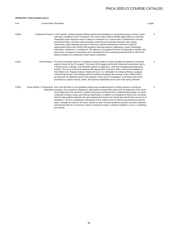### **GRADUATE / Critical Studies (cont.)**

| Crs#  | <b>Course Name Description</b> |                                                                                                                                                                                                                                                                                                                                                                                                                                                                                                                                                                                                                                                                                                                                                                                                                                                                                                                                                                                     | Credit |
|-------|--------------------------------|-------------------------------------------------------------------------------------------------------------------------------------------------------------------------------------------------------------------------------------------------------------------------------------------------------------------------------------------------------------------------------------------------------------------------------------------------------------------------------------------------------------------------------------------------------------------------------------------------------------------------------------------------------------------------------------------------------------------------------------------------------------------------------------------------------------------------------------------------------------------------------------------------------------------------------------------------------------------------------------|--------|
| CS630 |                                | Professional Practice In this seminar, students develop effective professional strategies to successfully pursue a chosen career<br>path upon completion of the CS program. The course helps students identify opportunities for achieving<br>meaningful career objectives and for making a contribution as a critical citizen. Students learn concrete<br>professional skills: curriculum vitae formatting, email and communication etiquette, letter writing,<br>interviewing, public speaking, job search resources, portfolio development, and how to apply for<br>opportunities (which may include PhD programs, teaching positions, publications, grants, fellowships,<br>internships, residencies, or exhibitions). The objective is to prepare the future CS graduate to identify, plan<br>and pursue a strategy for meaningful career development and a rewarding professional life in which their<br>talents translate into a significant critical cultural contribution. | 9      |
| CS631 |                                | Thesis Writing 1 This thesis workshop seminar is intended to support students as they complete and defend a successful<br>master's thesis for the CS program. The thesis (30-50 pages) will be both critical and constructive; that is,<br>it should reveal, challenge, and dismantle systems of oppression, while also reimagining possible ways<br>forward. The course will provide students with opportunities to present, refine, and receive feedback on<br>their written work. Regular reviews of drafts will occur in a combination of writing workshops, assigned<br>critical friends groups, and meetings with the professor throughout the semester. Each student will be<br>provided with an additional mentor with expertise in their area of investigation. Final thesis work will be<br>presented to a panel of faculty, artists, and GDunity stakeholders at the start of the spring semester.                                                                       | 6      |
| CS632 |                                | Thesis Writing 2: Preparing for Due to the fact that so much graduate writing ends up gathering dust on library shelves or serving as<br>Publication doorstops, this workshop is designed to help students prepare their thesis work for publication in the world.<br>At the beginning of the semester, students will present and defend their completed thesis paper to a panel<br>composed of faculty, artists, and GDunity stakeholders. In addition to evaluating the thesis work, the panel<br>will also help students determine the next shape(s) their thesis work should take and the best venues for its<br>distribution. The form of publication will depend on the student's area of interest and professional practice<br>plans—perhaps an essay for Art Forum, articles for peer-reviewed academic journals, a mission statement<br>and business plan for a non-profit, a series of critical art essays, a GDunity manifesto, a zine, or something<br>else entirely.   | 6      |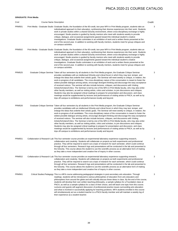### **GRADUATE / Print Media**

| Crs#          | <b>Course Name Description</b> |                                                                                                                                                                                                                                                                                                                                                                                                                                                                                                                                                                                                                                                                                                                                                                                                                                                                                                                                                                                                                                                                                                                                                                                                                          | Credit |
|---------------|--------------------------------|--------------------------------------------------------------------------------------------------------------------------------------------------------------------------------------------------------------------------------------------------------------------------------------------------------------------------------------------------------------------------------------------------------------------------------------------------------------------------------------------------------------------------------------------------------------------------------------------------------------------------------------------------------------------------------------------------------------------------------------------------------------------------------------------------------------------------------------------------------------------------------------------------------------------------------------------------------------------------------------------------------------------------------------------------------------------------------------------------------------------------------------------------------------------------------------------------------------------------|--------|
| <b>PRM501</b> |                                | Print Media - Graduate Studio Graduate Studio, the foundation of the 60-credit, two-year MFA in Print Media program, students take an<br>individualized approach to their education, synthesizing their diverse experiences into their work. Students<br>work in private studios within a shared GDunity environment, where cross-disciplinary exchange is highly<br>encouraged. Studio practice is guided by faculty mentors who meet with students weekly to provide<br>critique, dialogue, and occasional assignments geared toward the individual student's creative<br>investigations. Graduate Studio culminates in an exhibition of work and a written thesis presented at the<br>end of the second year. In addition to working with faculty mentors, students meet for group critiques and<br>on-campus activities.                                                                                                                                                                                                                                                                                                                                                                                             | 3      |
| <b>PRM502</b> |                                | Print Media - Graduate Studio Graduate Studio, the foundation of the 60-credit, two-year MFA in Print Media program, students take an<br>individualized approach to their education, synthesizing their diverse experiences into their work. Students<br>work in private studios within a shared GDunity environment, where cross-disciplinary exchange is highly<br>encouraged. Studio practice is guided by faculty mentors who meet with students weekly to provide<br>critique, dialogue, and occasional assignments geared toward the individual student's creative<br>investigations. Graduate Studio culminates in an exhibition of work and a written thesis presented at the<br>end of the second year. In addition to working with faculty mentors, students meet for group critiques and<br>on-campus activities.                                                                                                                                                                                                                                                                                                                                                                                             | 3      |
| <b>PRM525</b> |                                | Graduate Critique Seminar Taken all four semesters by all students in the Print Media program, the Graduate Critique Seminar<br>provides candidates with an intellectual GDunity and critical forum in which they may test, temper, and<br>enlarge the ideas that underlie their artistic goals. The Seminar will meet weekly to critique, in rotation, the<br>work-in-progress of all candidates. The cross-disciplinary nature of the conversation is meant to foster the<br>widest possible dialogue among artists, encourage divergent thinking and discourage the easy acceptance<br>of received notions. The seminar will also include lectures, critiques, and discussions with Visiting<br>Artists/Scholars/Critics. The Seminar is led by one of the MFA in Print Media faculty, who may also enlist<br>other faculty members, as well as visiting artists, critics and scholars, to join discussions and critiques.<br>Students may also be assigned critical readings to prepare for presentation and discussion, and class<br>meetings would be supplemented by lectures and performances of visiting artists to PNCA, as well as by<br>trips off-campus to exhibitions and performances locally and beyond. | 3      |
| <b>PRM526</b> |                                | Graduate Critique Seminar Taken all four semesters by all students in the Print Media program, the Graduate Critique Seminar<br>provides candidates with an intellectual GDunity and critical forum in which they may test, temper, and<br>enlarge the ideas that underlie their artistic goals. The Seminar will meet weekly to critique, in rotation, the<br>work-in-progress of all candidates. The cross-disciplinary nature of the conversation is meant to foster the<br>widest possible dialogue among artists, encourage divergent thinking and discourage the easy acceptance<br>of received notions. The seminar will also include lectures, critiques, and discussions with Visiting<br>Artists/Scholars/Critics. The Seminar is led by one of the MFA in Print Media faculty, who may also enlist<br>other faculty members, as well as visiting artists, critics and scholars, to join discussions and critiques.<br>Students may also be assigned critical readings to prepare for presentation and discussion, and class<br>meetings would be supplemented by lectures and performances of visiting artists to PNCA, as well as by<br>trips off-campus to exhibitions and performances locally and beyond. | 3      |
| <b>PRM551</b> |                                | Collaboration & Research Lab This four semester course provides an experimental laboratory experience supporting research,<br>collaboration and creativity. Students will collaborate on projects as both experiments and professional<br>practice. They will be required to search out a topic of research for each semester, which could continue<br>through all four semesters. Research logs and presentations will be conducted in the lab and presented to<br>the GDunity. This course allows the student to use the scientific process as an alternative form of making<br>as they take a more independent and creative line of inquiry in other courses.                                                                                                                                                                                                                                                                                                                                                                                                                                                                                                                                                         | 3      |
| <b>PRM552</b> |                                | Collaboration & Research Lab This four semester course provides an experimental laboratory experience supporting research,<br>collaboration and creativity. Students will collaborate on projects as both experiments and professional<br>practice. They will be required to search out a topic of research for each semester, which could continue<br>through all four semesters. Research logs and presentations will be conducted in the lab and presented to<br>the GDunity. This course allows the student to use the scientific process as an alternative form of making<br>as they take a more independent and creative line of inquiry in other courses.                                                                                                                                                                                                                                                                                                                                                                                                                                                                                                                                                         | 3      |
| <b>PRM561</b> |                                | Critical Studies:Pedagogy This is a MFA course addressing pedagogical strategies in post-secondary arts education. Through<br>readings, students will be introduced to various philosophies of education from arts educators and<br>philosophers from around the globe and will critically discuss these ideas in class. By the end of the course,<br>students will develop their own written teaching philosophy, a sample syllabus for a Foundation class at<br>PNCA, as well as a sample syllabus for a class of their choice, and will teach one topic from this course.<br>Lectures and guests will augment discussion of professional practice issues surrounding arts education<br>and what is involved in successfully applying for teaching positions. MFA students enrolled in this course<br>will simultaneously act as a student teacher to a PNCA faculty member and will maintain a weekly log of<br>their experience as a student teacher.                                                                                                                                                                                                                                                                | 3      |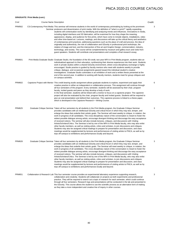### **GRADUATE / Print Media (cont.)**

| Crs#          | Course Name Description |                                                                                                                                                                                                                                                                                                                                                                                                                                                                                                                                                                                                                                                                                                                                                                                                                                                                                                                                                                                                                                                                                                                                                                                                                                                               | Credit |
|---------------|-------------------------|---------------------------------------------------------------------------------------------------------------------------------------------------------------------------------------------------------------------------------------------------------------------------------------------------------------------------------------------------------------------------------------------------------------------------------------------------------------------------------------------------------------------------------------------------------------------------------------------------------------------------------------------------------------------------------------------------------------------------------------------------------------------------------------------------------------------------------------------------------------------------------------------------------------------------------------------------------------------------------------------------------------------------------------------------------------------------------------------------------------------------------------------------------------------------------------------------------------------------------------------------------------|--------|
| <b>PRM562</b> |                         | CS:Contemporary Print Media This seminar will immerse students in the world of contemporary printmaking by looking at the prominent<br>Seminar producers and disseminators of print media. With the definition of "what is a print?" rapidly expanding,<br>students will contextualize works by identifying and analyzing trends and influences. Innovations in media,<br>including digital interfaces and 3D fabrication, will be examined for how they shape the meaning,<br>appearance, display, and audience for fine prints, which have come to include objects, installations, video<br>and other time-based art. Lectures, readings, and discussions will take up the critical theory and aesthetics<br>of contemporary print practices, addressing questions such as the place of craft and process, the idea of<br>originality and authenticity, the role of collaboration and GDunity in professional print workshops, the<br>relation of image and text, and the intersection of fine art and Graphic Design, commercialism, industry,<br>technology, and society. The course will be complemented by museum and gallery tours and visits from<br>guest speakers. Students will contribute oral presentations and complete a final research essay. | 3      |
| <b>PRM601</b> |                         | Print Media Graduate Studio Graduate Studio, the foundation of the 60-credit, two-year MFA in Print Media program, students take an<br>individualized approach to their education, synthesizing their diverse experiences into their work. Students<br>work in private studios within a shared GDunity environment, where cross-disciplinary exchange is highly<br>encouraged. Studio practice is guided by faculty mentors who meet with students weekly to provide<br>critique, dialogue, and occasional assignments geared toward the individual student's creative<br>investigations. Graduate Studio culminates in an exhibition of work and a written thesis presented at the<br>end of the second year. In addition to working with faculty mentors, students meet for group critiques and<br>on-campus activities.                                                                                                                                                                                                                                                                                                                                                                                                                                    | 3      |
| <b>PRM602</b> |                         | Capstone Project with Mentor This credit bearing studio assignment allows graduate students to explore, experiment and apply their<br>creative practice in either an independent or collaborative process. This assignment will continue through<br>all four semesters of the program. Every semester, students will be assessed by their chair, program<br>faculty, invited quests and peers as they develop a body of work.<br>In the final semester, students will be linked with a mentor to focus on a capstone project. The capstone<br>project will also be evaluated by the chair, program faculty and invited guests. Students will be required to<br>give an oral presentation and defend their outcomes. This capstone process is linked to a thesis paper,<br>which is developed in the Capstone Research + Writing Course.                                                                                                                                                                                                                                                                                                                                                                                                                       | 6      |
| <b>PRM625</b> |                         | Graduate Critique Seminar Taken all four semesters by all students in the Print Media program, the Graduate Critique Seminar<br>provides candidates with an intellectual GDunity and critical forum in which they may test, temper, and<br>enlarge the ideas that underlie their artistic goals. The Seminar will meet weekly to critique, in rotation, the<br>work-in-progress of all candidates. The cross-disciplinary nature of the conversation is meant to foster the<br>widest possible dialogue among artists, encourage divergent thinking and discourage the easy acceptance<br>of received notions. The seminar will also include lectures, critiques, and discussions with Visiting<br>Artists/Scholars/Critics. The Seminar is led by one of the MFA in Print Media faculty, who may also enlist<br>other faculty members, as well as visiting artists, critics and scholars, to join discussions and critiques.<br>Students may also be assigned critical readings to prepare for presentation and discussion, and class<br>meetings would be supplemented by lectures and performances of visiting artists to PNCA, as well as by<br>trips off-campus to exhibitions and performances locally and beyond.                                      | 3      |
| <b>PRM626</b> |                         | Graduate Critique Seminar Taken all four semesters by all students in the Print Media program, the Graduate Critique Seminar<br>provides candidates with an intellectual GDunity and critical forum in which they may test, temper, and<br>enlarge the ideas that underlie their artistic goals. The Seminar will meet weekly to critique, in rotation, the<br>work-in-progress of all candidates. The cross-disciplinary nature of the conversation is meant to foster the<br>widest possible dialogue among artists, encourage divergent thinking and discourage the easy acceptance<br>of received notions. The seminar will also include lectures, critiques, and discussions with Visiting<br>Artists/Scholars/Critics. The Seminar is led by one of the MFA in Print Media faculty, who may also enlist<br>other faculty members, as well as visiting artists, critics and scholars, to join discussions and critiques.<br>Students may also be assigned critical readings to prepare for presentation and discussion, and class<br>meetings would be supplemented by lectures and performances of visiting artists to PNCA, as well as by<br>trips off-campus to exhibitions and performances locally and beyond.                                      | 3      |
| <b>PRM651</b> |                         | Collaboration & Research Lab This four semester course provides an experimental laboratory experience supporting research,<br>collaboration and creativity. Students will collaborate on projects as both experiments and professional<br>practice. They will be required to search out a topic of research for each semester, which could continue<br>through all four semesters. Research logs and presentations will be conducted in the lab and presented to<br>the GDunity. This course allows the student to use the scientific process as an alternative form of making<br>as they take a more independent and creative line of inquiry in other courses.                                                                                                                                                                                                                                                                                                                                                                                                                                                                                                                                                                                              | 3      |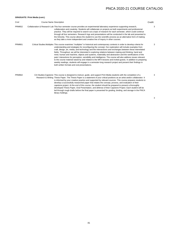### **GRADUATE / Print Media (cont.)**

| Crs#          | <b>Course Name Description</b> |                                                                                                                                                                                                                                                                                                                                                                                                                                                                                                                                                                                                                                                                                                                                                                                                                                                                                                                                                                               | Credit |
|---------------|--------------------------------|-------------------------------------------------------------------------------------------------------------------------------------------------------------------------------------------------------------------------------------------------------------------------------------------------------------------------------------------------------------------------------------------------------------------------------------------------------------------------------------------------------------------------------------------------------------------------------------------------------------------------------------------------------------------------------------------------------------------------------------------------------------------------------------------------------------------------------------------------------------------------------------------------------------------------------------------------------------------------------|--------|
| <b>PRM652</b> |                                | Collaboration & Research Lab This four semester course provides an experimental laboratory experience supporting research,<br>collaboration and creativity. Students will collaborate on projects as both experiments and professional<br>practice. They will be required to search out a topic of research for each semester, which could continue<br>through all four semesters. Research logs and presentations will be conducted in the lab and presented to<br>the GDunity. This course allows the student to use the scientific process as an alternative form of making<br>as they take a more independent and creative line of inquiry in other courses.                                                                                                                                                                                                                                                                                                              | 3      |
| <b>PRM661</b> |                                | Critical Studies: Multiples This course examines "multiples" in historical and contemporary contexts in order to develop criteria for<br>understanding and strategies for reconfiguring the concept. Our exploration will include examples from<br>craft, design, art, media, and technology and the intersections and exchanges between these interrelated<br>fields. Throughout, we will be interested in exploring relations between making and thinking, hand and<br>mind, human and machine, objects and systems, materiality and abstraction and the ramifications of the<br>pairs' interactions for perception, sensibility and intelligence. The course will also address issues relevant<br>to the course material raised by and related to the MFA lectures and invited guests. In addition to preparing<br>weekly readings, students will engage in a semester-long research project and present their findings in<br>both written formats and oral presentations. | 3      |
| <b>PRM662</b> |                                | Crit Studies: Capstone This course is designed to instruct, guide, and support Print Media students with the completion of a<br>Research & Writing Thesis Paper. The Thesis Paper is a statement of your critical positions as an artist and/or collaborator. It<br>is informed by your creative practice and supported by relevant sources. This course prepares students to<br>develop a successfully researched paper that relates the concept, process, and evaluation of their<br>capstone project. At the end of this course, the student should be prepared to present a thoroughly<br>developed Thesis Paper, Oral Presentation, and defense of their Capstone Project. Each student will be<br>led through rough drafts before the final paper is presented for grading, binding, and storage in the PNCA<br>library holdings.                                                                                                                                       | 3      |

3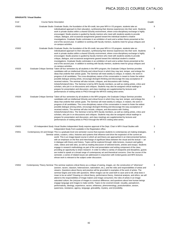### **GRADUATE / Visual Studies**

| Crs#         | <b>Course Name Description</b> |                                                                                                                                                                                                                                                                                                                                                                                                                                                                                                                                                                                                                                                                                                                                                                                                                                                                                                                                                                                                                                                                                                                                                                                                                                  | Credit |
|--------------|--------------------------------|----------------------------------------------------------------------------------------------------------------------------------------------------------------------------------------------------------------------------------------------------------------------------------------------------------------------------------------------------------------------------------------------------------------------------------------------------------------------------------------------------------------------------------------------------------------------------------------------------------------------------------------------------------------------------------------------------------------------------------------------------------------------------------------------------------------------------------------------------------------------------------------------------------------------------------------------------------------------------------------------------------------------------------------------------------------------------------------------------------------------------------------------------------------------------------------------------------------------------------|--------|
| <b>VS501</b> |                                | Graduate Studio Graduate Studio, the foundation of the 60-credit, two-year MFA in VS program, students take an<br>individualized approach to their education, synthesizing their diverse experiences into their work. Students<br>work in private studios within a shared GDunity environment, where cross-disciplinary exchange is highly<br>encouraged. Studio practice is guided by faculty mentors who meet with students weekly to provide<br>critique, dialogue, and occasional assignments geared toward the individual student's creative<br>investigations. Graduate Studio culminates in an exhibition of work and a written thesis presented at the<br>end of the second year. In addition to working with faculty mentors, students meet for group critiques and<br>on-campus activities.                                                                                                                                                                                                                                                                                                                                                                                                                            | 9      |
| <b>VS502</b> |                                | Graduate Studio Graduate Studio, the foundation of the 60-credit, two-year MFA in VS program, students take an<br>individualized approach to their education, synthesizing their diverse experiences into their work. Students<br>work in private studios within a shared GDunity environment, where cross-disciplinary exchange is highly<br>encouraged. Studio practice is guided by faculty mentors who meet with students weekly to provide<br>critique, dialogue, and occasional assignments geared toward the individual student's creative<br>investigations. Graduate Studio culminates in an exhibition of work and a written thesis presented at the<br>end of the second year. In addition to working with faculty mentors, students meet for group critiques and                                                                                                                                                                                                                                                                                                                                                                                                                                                     | 9      |
| <b>VS525</b> |                                | on-campus activities.<br>Graduate Critique Seminar Taken all four semesters by all students in the MFA program, the Graduate Critique Seminar provides<br>candidates with an intellectual GDunity and critical forum in which they may test, temper, and enlarge the<br>ideas that underlie their artistic goals. The Seminar will meet weekly to critique, in rotation, the work-in-<br>progress of all candidates. The cross-disciplinary nature of the conversation is meant to foster the widest<br>possible dialogue among artists, encourage divergent thinking and discourage the easy acceptance of<br>received notions. The seminar will also include, critiques, and discussions with Visiting<br>Artists/Scholars/Critics. The Seminar is led by MFA faculty members, as well as visiting artists, critics and<br>scholars, who join in on discussions and critiques. Students may also be assigned critical readings to<br>prepare for presentation and discussion, and class meetings are supplemented by lectures and<br>performances of visiting artists to PNCA through the MFAVS visiting artist series.                                                                                                        | 3      |
| <b>VS526</b> |                                | Graduate Critique Seminar Taken all four semesters by all students in the MFA program, the Graduate Critique Seminar provides<br>candidates with an intellectual GDunity and critical forum in which they may test, temper, and enlarge the<br>ideas that underlie their artistic goals. The Seminar will meet weekly to critique, in rotation, the work-in-<br>progress of all candidates. The cross-disciplinary nature of the conversation is meant to foster the widest<br>possible dialogue among artists, encourage divergent thinking and discourage the easy acceptance of<br>received notions. The seminar will also include, critiques, and discussions with Visiting<br>Artists/Scholars/Critics. The Seminar is led by MFA faculty members, as well as visiting artists, critics and<br>scholars, who join in on discussions and critiques. Students may also be assigned critical readings to<br>prepare for presentation and discussion, and class meetings are supplemented by lectures and<br>performances of visiting artists to PNCA through the MFAVS visiting artist series.                                                                                                                                 | 3      |
| VS633        |                                | VS Independent Study Visual Studies Independent Study requires approval of the Dept. Chair in MFA Visual Studies with<br>Independent Study Form available in the Registration office.                                                                                                                                                                                                                                                                                                                                                                                                                                                                                                                                                                                                                                                                                                                                                                                                                                                                                                                                                                                                                                            | 3      |
| <b>VS551</b> |                                | Contemporary Art and Design This is a graduate level one-semester course that exposes students to contemporary art making strategies,<br>Seminar artists, curators, critics, histories and systems that influence and drive the expansion of the current art<br>world. This is an image-based course in which art and theory are approached in an interconnected fashion,<br>with an emphasis on the flow and interchange of significant ideas between the visual and the textual — art<br>in dialogue with theory and history. Topics will be explored through: slide lectures, museum and gallery<br>visits, videos and web sites, as well as reading discussion of selected books, articles and essays. Students<br>engage in research methodology as part of the oral presentation and writing component of the class,<br>providing an opportunity to share research. In order to reflect a variety of viewpoints and disciplines, quests<br>are invited to speak on a broad range of contemporary art and theoretical concerns. Over the course of the<br>semester, a series of related issues are addressed in conjunction with invited guests and MFA lectures<br>whose work is relevant to the subject under discussion. | 3      |
| <b>VS552</b> |                                | Contemporary Theory Seminar This seminar explores critical theory as a critique of seeing, images, art, the construction of "otherness"<br>(sexism, racism, classism, heterosexism, nationalism, etc.), and the roles and responsibilities of artists and<br>viewers. Questions about theory and practice will be grounded in examples of the work of artists. The<br>seminar begins and ends with questions. When images can be used both to save and to kill, what does it<br>mean to be an artist? Drawing on critical theory, performance theory, rhetorical analysis, and ethics, we will<br>attend to the responsibilities of image-makers and image consumers; the roles of artists in an image-<br>saturated culture; the (mis)use of images to construct difference; and questions about how human beings<br>engage language and images to make worlds. Topics to be covered include: visuality, panopticism,<br>performativity, ideology, experience, racism, whiteness, phenomenology, postcolonialism, sexism,<br>queerness, resistance, agency, language, grievability, mystery, and (in)visibility.                                                                                                                | 3      |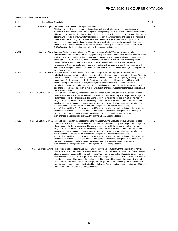### **GRADUATE / Visual Studies (cont.)**

| Crs#         | <b>Course Name Description</b> |                                                                                                                                                                                                                                                                                                                                                                                                                                                                                                                                                                                                                                                                                                                                                                                                                                                                                                                                                                                                                                                                                                  | Credit |
|--------------|--------------------------------|--------------------------------------------------------------------------------------------------------------------------------------------------------------------------------------------------------------------------------------------------------------------------------------------------------------------------------------------------------------------------------------------------------------------------------------------------------------------------------------------------------------------------------------------------------------------------------------------------------------------------------------------------------------------------------------------------------------------------------------------------------------------------------------------------------------------------------------------------------------------------------------------------------------------------------------------------------------------------------------------------------------------------------------------------------------------------------------------------|--------|
| VS555        |                                | Critical Pedagogy Offered both Fall Semester and Spring Semester<br>This is a graduate level course addressing pedagogical strategies in post-secondary arts education.<br>Students will be introduced through readings to various philosophies of education from arts educators and<br>philosophers from around the globe and will critically discuss these ideas in class. By the end of the course<br>students will develop their own written teaching philosophy, a sample syllabus of a class of their choice, a<br>cover letter and a teaching CV. Lectures and invited quests will augment discussion of professional<br>practice issues surrounding arts education and what is involved in successfully applying for teaching<br>positions. MFA students enrolled in this course will simultaneously act as a student teacher to one of the<br>PNCA faculty and will maintain a weekly log of their experience in the class.                                                                                                                                                             | 3      |
| <b>VS601</b> |                                | Graduate Studio Graduate Studio, the foundation of the 60-credit, two-year MFA in VS program, students take an<br>individualized approach to their education, synthesizing their diverse experiences into their work. Students<br>work in private studios within a shared GDunity environment, where cross-disciplinary exchange is highly<br>encouraged. Studio practice is guided by faculty mentors who meet with students weekly to provide<br>critique, dialogue, and occasional assignments geared toward the individual student's creative<br>investigations. Graduate Studio culminates in an exhibition of work and a written thesis presented at the<br>end of the second year. In addition to working with faculty mentors, students meet for group critiques and<br>on-campus activities.                                                                                                                                                                                                                                                                                            | 9      |
| <b>VS602</b> |                                | Graduate Studio Graduate Studio, the foundation of the 60-credit, two-year MFA in VS program, students take an<br>individualized approach to their education, synthesizing their diverse experiences into their work. Students<br>work in private studios within a shared GDunity environment, where cross-disciplinary exchange is highly<br>encouraged. Studio practice is guided by faculty mentors who meet with students weekly to provide<br>critique, dialogue, and occasional assignments geared toward the individual student's creative<br>investigations. Graduate Studio culminates in an exhibition of work and a written thesis presented at the<br>end of the second year. In addition to working with faculty mentors, students meet for group critiques and<br>on-campus activities.                                                                                                                                                                                                                                                                                            | 6      |
| <b>VS625</b> |                                | Graduate Critique Seminar Taken all four semesters by all students in the MFA program, the Graduate Critique Seminar provides<br>candidates with an intellectual GDunity and critical forum in which they may test, temper, and enlarge the<br>ideas that underlie their artistic goals. The Seminar will meet weekly to critique, in rotation, the work-in-<br>progress of all candidates. The cross-disciplinary nature of the conversation is meant to foster the widest<br>possible dialogue among artists, encourage divergent thinking and discourage the easy acceptance of<br>received notions. The seminar will also include, critiques, and discussions with Visiting<br>Artists/Scholars/Critics. The Seminar is led by MFA faculty members, as well as visiting artists, critics and<br>scholars, who join in on discussions and critiques. Students may also be assigned critical readings to<br>prepare for presentation and discussion, and class meetings are supplemented by lectures and<br>performances of visiting artists to PNCA through the MFAVS visiting artist series. | 3      |
| VS626        |                                | Graduate Critique Seminar Taken all four semesters by all students in the MFA program, the Graduate Critique Seminar provides<br>candidates with an intellectual GDunity and critical forum in which they may test, temper, and enlarge the<br>ideas that underlie their artistic goals. The Seminar will meet weekly to critique, in rotation, the work-in-<br>progress of all candidates. The cross-disciplinary nature of the conversation is meant to foster the widest<br>possible dialogue among artists, encourage divergent thinking and discourage the easy acceptance of<br>received notions. The seminar will also include, critiques, and discussions with Visiting<br>Artists/Scholars/Critics. The Seminar is led by MFA faculty members, as well as visiting artists, critics and<br>scholars, who join in on discussions and critiques. Students may also be assigned critical readings to<br>prepare for presentation and discussion, and class meetings are supplemented by lectures and<br>performances of visiting artists to PNCA through the MFAVS visiting artist series. | 3      |
| <b>VS672</b> |                                | Graduate Thesis Writing This course is designed to instruct, quide, and support the MFA student with the completion of her/his<br>Thesis Paper. The Thesis Paper is a statement of your critical positions as an artist. It is informed by your<br>studio practice and supported by relevant sources. This course prepares the MFA student to develop a<br>successfully researched Thesis Paper that relates the concept, process, and evaluation of their artwork to<br>a reader. At the end of this course, the student should be prepared to present a thoroughly developed<br>Thesis Paper. Each student will be led through three rough drafts before the final paper is presented for<br>grading, binding, and storage in the PNCA library holdings. The final body of text will be between 6000 and<br>9000 words (approximately 20-30 pages) in length.                                                                                                                                                                                                                                  | 3      |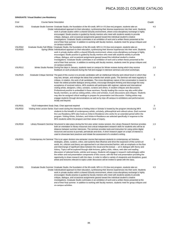### **GRADUATE / Visual Studies Low-Residency**

| Crs#                             | <b>Course Name Description</b> |                                                                                                                                                                                                                                                                                                                                                                                                                                                                                                                                                                                                                                                                                                                                                                                                                                                                                                                                                                                                                                                                                                                                                                                            | Credit |
|----------------------------------|--------------------------------|--------------------------------------------------------------------------------------------------------------------------------------------------------------------------------------------------------------------------------------------------------------------------------------------------------------------------------------------------------------------------------------------------------------------------------------------------------------------------------------------------------------------------------------------------------------------------------------------------------------------------------------------------------------------------------------------------------------------------------------------------------------------------------------------------------------------------------------------------------------------------------------------------------------------------------------------------------------------------------------------------------------------------------------------------------------------------------------------------------------------------------------------------------------------------------------------|--------|
| <b>VSLR501</b>                   |                                | Graduate Studio Summer Graduate Studio, the foundation of the 60-credit, MFA in VS (low-res) program, students take an<br>Onsite individualized approach to their education, synthesizing their diverse experiences into their work. Students<br>work in private studios within a shared GDunity environment, where cross-disciplinary exchange is highly<br>encouraged. Studio practice is guided by faculty mentors who meet with students weekly to provide<br>critique, dialogue, and occasional assignments geared toward the individual student's creative<br>investigations. Graduate Studio culminates in an exhibition of work and a written thesis presented at the<br>end of their final summer. In addition to working with faculty mentors, students meet for group critiques and                                                                                                                                                                                                                                                                                                                                                                                             | 4.5    |
| <b>VSLR502</b><br><b>VSLR503</b> |                                | on-campus activities.<br>Graduate Studio Fall Offsite / Graduate Studio, the foundation of the 60-credit, MFA in VS (low-res) program, students take an<br>Spring Offsite individualized approach to their education, synthesizing their diverse experiences into their work. Students<br>work in private studios within a shared GDunity environment, where cross-disciplinary exchange is highly<br>encouraged. Studio practice is quided by faculty mentors who meet with students weekly to provide<br>critique, dialogue, and occasional assignments geared toward the individual student's creative<br>investigations. Graduate Studio culminates in an exhibition of work and a written thesis presented at the<br>end of their final summer. In addition to working with faculty mentors, students meet for group critiques and<br>on-campus activities.                                                                                                                                                                                                                                                                                                                           | 3      |
| <b>VSLR512</b>                   |                                | Winter Studio Review During five days in January, students meet on campus for Winter reviews during which they receive<br>feedback on work produced during the Fall and engage in intensive seminars and short workshops.                                                                                                                                                                                                                                                                                                                                                                                                                                                                                                                                                                                                                                                                                                                                                                                                                                                                                                                                                                  | 1.5    |
| <b>VSLR525</b>                   |                                | Graduate Critique Seminar The goal of this course is to provide candidates with an intellectual GDunity and critical forum in which they<br>may test, temper, and enlarge the ideas that underlie their artistic goals. The Seminar will meet regularly to<br>critique, in rotation, the work of all candidates. The cross-disciplinary nature of the conversation is meant to<br>foster the widest possible dialogue among artists, encourage divergent thinking and discourage the easy<br>acceptance of received notions. MFA students will participate with regional, national and international<br>visiting artists, designers, critics, scholars, curators and others, in student critiques and discussions.<br>Professional practice is embedded in these seminars. Faculty leading this course may also enlist other<br>faculty members, as well as visiting artists, critics and scholars, to join discussions and critiques. Students<br>may also be assigned critical readings to prepare for presentation and discussion. Visiting artists may<br>engage students through demonstrations as well as by trips off-campus to exhibitions and performances<br>locally and beyond. | 3      |
| <b>VSLR531</b>                   |                                | VSLR Independent Study Dept. Chair approval required                                                                                                                                                                                                                                                                                                                                                                                                                                                                                                                                                                                                                                                                                                                                                                                                                                                                                                                                                                                                                                                                                                                                       | 3      |
| <b>VSLR532</b>                   |                                | Visiting Artist Lecture Series Each week during the intensive a Visiting Artist or Scholar is hosted by the program introducing MFA<br>students to the breadth of contemporary artistic, scholarly, philosophical and cultural voices. Each summer<br>the Low-Residency MFA also hosts an Artist-in-Residence who works for an extended period within the<br>program. Visiting Artists, Scholars, and Artists-in-Residence are selected specifically in response to the<br>MFA students within the program and their areas of inquiry.                                                                                                                                                                                                                                                                                                                                                                                                                                                                                                                                                                                                                                                     | 1.5    |
| <b>VSLR534</b>                   |                                | Library Research Seminar Structured to take place during the first year winter review session, the Library Research Seminar provides<br>both an orientation to library resources and critical independent research skills for students who will be at<br>distance between summer intensives. The seminar provides tools and instruction for using online digital<br>resources and access to journals, periodicals and texts. A short research paper on a topic of interest is<br>used to showcase best practices and initiate the assessment of a student's writing.                                                                                                                                                                                                                                                                                                                                                                                                                                                                                                                                                                                                                       | 1.5    |
| <b>VSLR551</b>                   |                                | Contemporary Art Seminar This is an upper division one-semester course that exposes students to contemporary art histories,<br>strategies, artists, curators, critics, and systems that influence and drive the expansion of the current art<br>world. Art, criticism and theory are approached in an interconnected fashion, with an emphasis on the flow<br>and interchange of significant ideas between the visual and the textual — art in dialogue with theory and<br>history. Topics will be explored through slide lectures, gallery visits, videos, web sites and reading<br>discussion of selected books, articles and essays. Students will engage in research methodologies within<br>the written and oral presentation components of this course, with the final oral presentation providing the<br>opportunity to share research with the class. In order to reflect a variety of viewpoints and disciplines, guest<br>artists and lecturers relevant to topics under discussion will be invited to speak with the class.                                                                                                                                                     | 3      |
| <b>VSLR601</b>                   |                                | Graduate Studio Summer Graduate Studio, the foundation of the 60-credit, MFA in VS (low-res) program, students take an<br>Onsite individualized approach to their education, synthesizing their diverse experiences into their work. Students<br>work in private studios within a shared GDunity environment, where cross-disciplinary exchange is highly<br>encouraged. Studio practice is guided by faculty mentors who meet with students weekly to provide<br>critique, dialogue, and occasional assignments geared toward the individual student's creative<br>investigations. Graduate Studio culminates in an exhibition of work and a written thesis presented at the<br>end of their final summer. In addition to working with faculty mentors, students meet for group critiques and<br>on-campus activities.                                                                                                                                                                                                                                                                                                                                                                    | 4.5    |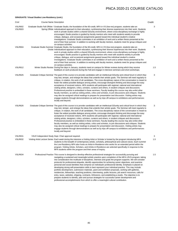### **GRADUATE / Visual Studies Low-Residency (cont.)**

| Crs#                             | Course Name Description |                                                                                                                                                                                                                                                                                                                                                                                                                                                                                                                                                                                                                                                                                                                                                                                                                                                                                                                                                                                                                                                                                                                                                                                                                      | Credit |
|----------------------------------|-------------------------|----------------------------------------------------------------------------------------------------------------------------------------------------------------------------------------------------------------------------------------------------------------------------------------------------------------------------------------------------------------------------------------------------------------------------------------------------------------------------------------------------------------------------------------------------------------------------------------------------------------------------------------------------------------------------------------------------------------------------------------------------------------------------------------------------------------------------------------------------------------------------------------------------------------------------------------------------------------------------------------------------------------------------------------------------------------------------------------------------------------------------------------------------------------------------------------------------------------------|--------|
| <b>VSLR602</b><br><b>VSLR603</b> |                         | Graduate Studio Fall Offsite / Graduate Studio, the foundation of the 60-credit, MFA in VS (low-res) program, students take an<br>Spring Offsite individualized approach to their education, synthesizing their diverse experiences into their work. Students<br>work in private studios within a shared GDunity environment, where cross-disciplinary exchange is highly<br>encouraged. Studio practice is guided by faculty mentors who meet with students weekly to provide<br>critique, dialogue, and occasional assignments geared toward the individual student's creative<br>investigations. Graduate Studio culminates in an exhibition of work and a written thesis presented at the<br>end of their final summer. In addition to working with faculty mentors, students meet for group critiques and                                                                                                                                                                                                                                                                                                                                                                                                       | 3      |
| <b>VSLR604</b>                   |                         | on-campus activities.<br>Graduate Studio Summer Graduate Studio, the foundation of the 60-credit, MFA in VS (low-res) program, students take an<br>Onsite individualized approach to their education, synthesizing their diverse experiences into their work. Students<br>work in private studios within a shared GDunity environment, where cross-disciplinary exchange is highly<br>encouraged. Studio practice is guided by faculty mentors who meet with students weekly to provide<br>critique, dialogue, and occasional assignments geared toward the individual student's creative<br>investigations. Graduate Studio culminates in an exhibition of work and a written thesis presented at the<br>end of their final summer. In addition to working with faculty mentors, students meet for group critiques and<br>on-campus activities.                                                                                                                                                                                                                                                                                                                                                                     | 6      |
| VSLR612                          |                         | Winter Studio Review During five days in January, students meet on campus for Winter reviews during which they receive<br>feedback on work produced during the Fall and engage in intensive seminars and short workshops.                                                                                                                                                                                                                                                                                                                                                                                                                                                                                                                                                                                                                                                                                                                                                                                                                                                                                                                                                                                            | 1.5    |
| <b>VSLR625</b>                   |                         | Graduate Critique Seminar The goal of this course is to provide candidates with an intellectual GDunity and critical forum in which they<br>may test, temper, and enlarge the ideas that underlie their artistic goals. The Seminar will meet regularly to<br>critique, in rotation, the work of all candidates. The cross-disciplinary nature of the conversation is meant to<br>foster the widest possible dialogue among artists, encourage divergent thinking and discourage the easy<br>acceptance of received notions. MFA students will participate with regional, national and international<br>visiting artists, designers, critics, scholars, curators and others, in student critiques and discussions.<br>Professional practice is embedded in these seminars. Faculty leading this course may also enlist other<br>faculty members, as well as visiting artists, critics and scholars, to join discussions and critiques. Students<br>may also be assigned critical readings to prepare for presentation and discussion. Visiting artists may<br>engage students through demonstrations as well as by trips off-campus to exhibitions and performances<br>locally and beyond.                           | 3      |
| <b>VSLR626</b>                   |                         | Graduate Critique Seminar The goal of this course is to provide candidates with an intellectual GDunity and critical forum in which they<br>may test, temper, and enlarge the ideas that underlie their artistic goals. The Seminar will meet regularly to<br>critique, in rotation, the work of all candidates. The cross-disciplinary nature of the conversation is meant to<br>foster the widest possible dialogue among artists, encourage divergent thinking and discourage the easy<br>acceptance of received notions. MFA students will participate with regional, national and international<br>visiting artists, designers, critics, scholars, curators and others, in student critiques and discussions.<br>Professional practice is embedded in these seminars. Faculty leading this course may also enlist other<br>faculty members, as well as visiting artists, critics and scholars, to join discussions and critiques. Students<br>may also be assigned critical readings to prepare for presentation and discussion. Visiting artists may<br>engage students through demonstrations as well as by trips off-campus to exhibitions and performances<br>locally and beyond.                           | 3      |
| <b>VSLR631</b>                   |                         | VSLR Independent Study Dept. Chair approval required.                                                                                                                                                                                                                                                                                                                                                                                                                                                                                                                                                                                                                                                                                                                                                                                                                                                                                                                                                                                                                                                                                                                                                                | 3      |
| <b>VSLR632</b>                   |                         | Visiting Artist Lecture Series Each week during the intensive a Visiting Artist or Scholar is hosted by the program introducing MFA<br>students to the breadth of contemporary artistic, scholarly, philosophical and cultural voices. Each summer<br>the Low-Residency MFA also hosts an Artist-in-Residence who works for an extended period within the<br>program. Visiting Artists, Scholars, and Artists-in-Residence are selected specifically in response to the<br>MFA students within the program and their areas of inquiry.                                                                                                                                                                                                                                                                                                                                                                                                                                                                                                                                                                                                                                                                               | 1.5    |
| VSLR634                          |                         | Professional Practice This course is designed to develop effective professional strategies for successfully pursuing and<br>navigating a sustained and meaningful artistic practice upon completion of the MFA LRVS program; taking<br>into consideration the multitude of disciplines, interests and goals the program supports. We will consider<br>protocols for professional etiquette, identify opportunities for achieving career objectives, and examine<br>personal and social identities that comprise an individual's professional identity. Emphasis is placed on<br>developing strong self-presentation skills to best represent your individual practice. This may include:<br>portfolio development, submission materials, grant and exhibition proposals, working with galleries,<br>residencies, fellowships, teaching positions, interviewing, public lectures, job search resources, calls for<br>entry, taxes, websites, shipping, contracts, GDissions, and establishing a studio. The objective is to<br>prepare students to identify, plan and pursue strategies for successful career development and<br>professional accomplishments from which to offer a meaningful cultural contribution. | 1.5    |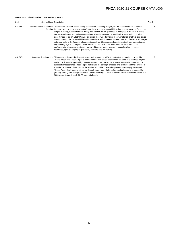### **GRADUATE / Visual Studies Low-Residency (cont.)**

| Crs#           | <b>Course Name Description</b> |                                                                                                                                                                                                                                                                                                                                                                                                                                                                                                                                                                                                                                                                                                                                                                                                                                                                                                                                                                                                                                                                                                                             | Credit |
|----------------|--------------------------------|-----------------------------------------------------------------------------------------------------------------------------------------------------------------------------------------------------------------------------------------------------------------------------------------------------------------------------------------------------------------------------------------------------------------------------------------------------------------------------------------------------------------------------------------------------------------------------------------------------------------------------------------------------------------------------------------------------------------------------------------------------------------------------------------------------------------------------------------------------------------------------------------------------------------------------------------------------------------------------------------------------------------------------------------------------------------------------------------------------------------------------|--------|
| <b>VSLR652</b> |                                | Critical Studies/Visual Media This seminar explores critical theory as a critique of seeing, images, art, the construction of "otherness"<br>Seminar (gender, race, class, sexuality, nation), and the roles and responsibilities of artists and viewers. Though our<br>subject is theory, questions about theory and practice will be grounded in examples of the work of artists.<br>Our seminar begins and ends with questions. When images can be used both to save and to kill, what<br>does it mean to be an artist? Drawing on critical theory, performance theory, rhetorical analysis, and ethics,<br>we will attend to the responsibilities of imagemakers and image consumers; the roles of artists in an image-<br>saturated culture; the (mis)use of images to construct difference; and questions about how human beings<br>engage language and images to make worlds. Topics to be covered include: visuality, panopticism,<br>performativity, ideology, experience, racism, whiteness, phenomenology, postcolonialism, sexism,<br>resistance, agency, language, grievability, mystery, and (in) visibility. | 3      |
| VSLR672        |                                | Graduate Thesis Writing This course is designed to instruct, quide, and support the MFA student with the completion of her/his<br>Thesis Paper. The Thesis Paper is a statement of your critical positions as an artist. It is informed by your<br>studio practice and supported by relevant sources. This course prepares the MFA student to develop a<br>successfully researched Thesis Paper that relates the concept, process, and evaluation of their artwork to<br>a reader. At the end of this course, the student should be prepared to present a thoroughly developed<br>Thesis Paper. Each student will be led through three rough drafts before the final paper is presented for<br>grading, binding, and storage in the PNCA library holdings. The final body of text will be between 6000 and<br>9000 words (approximately 20-30 pages) in length.                                                                                                                                                                                                                                                             | 3      |

46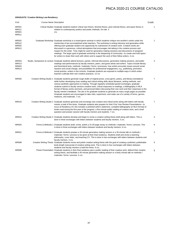### **GRADUATE / Creative Writing Low-Residency**

| Crs#                                                  | <b>Course Name Description</b> |                                                                                                                                                                                                                                                                                                                                                                                                                                                                                                                                                                                                                                                                                                                                                                                                                                         | Credit         |
|-------------------------------------------------------|--------------------------------|-----------------------------------------------------------------------------------------------------------------------------------------------------------------------------------------------------------------------------------------------------------------------------------------------------------------------------------------------------------------------------------------------------------------------------------------------------------------------------------------------------------------------------------------------------------------------------------------------------------------------------------------------------------------------------------------------------------------------------------------------------------------------------------------------------------------------------------------|----------------|
| <b>WR501</b><br>WR511<br><b>WR601</b><br>WR611        |                                | Critical Studies Graduate students explore critical race theory, feminist theory, post-colonial theory, and queer theory in<br>relation to contemporary poetics and poetic methods. On-site. 4<br>crs.                                                                                                                                                                                                                                                                                                                                                                                                                                                                                                                                                                                                                                  | $\mathbf{1}$   |
| <b>WR502</b><br><b>WR512</b><br><b>WR602</b><br>WR612 |                                | Graduate Workshop Graduate workshop is a mixed-genre seminar in which students critique one another's works under the<br>mentorship of two accomplished writer-teachers. The workshop is writing intensive and generative while<br>offering each graduate student one opportunity for submission of creative work. Creative works are<br>discussed in a generous, critical atmosphere that encourages risk-taking in the creative process and<br>respect for the writer. Time might be used for generative making sessions and discussions of assigned<br>readings. The larger goal of graduate workshop is the deepening of community—to create and hold space<br>for writers to share their work with others and to support the work of their fellow writers. 4 crs.                                                                  | $\mathbf{1}$   |
| <b>WR503</b><br><b>WR513</b><br><b>WR603</b><br>WR613 |                                | Studio, Symposium & Lecture Graduate students attend lectures, panels, informal discussions, generative making sessions, and public<br>readings and performances by faculty mentors, peers, and quest artists and writers. Topics include literary<br>and theoretical texts, methods / materials / forms / processes, how artists encounter issues around social<br>injustice and social change, and possibilities for professional engagement, e.g., publishing, promotion,<br>social practice, writers in the schools. Graduate students are exposed to multiple ways in which writer-<br>teachers cultivate their own creative practices. 12 crs                                                                                                                                                                                     | 3              |
| <b>WR505</b>                                          |                                | Creative Writing Studio 1 Graduate students generate rough drafts of original prose, cross-genre, poetry, and literary translations<br>while further developing close reading and critical writing skills about literature, writing methods, and<br>various aesthetic approaches to making. Through regularly scheduled packet exchanges, graduate<br>students submit to faculty mentors creative work, critical responses to readings, a bibliography in MLA<br>format of literary works and texts, and personal letters discussing their own work and their responses to the<br>faculty mentor's feedback. The aim is for graduate students to generate as many rough pages as possible.<br>Graduate students are encouraged to take risks, experiment, and make use of a variety of forms, genres,<br>mediums, and materials. 7 crs. | $\overline{7}$ |
| <b>WR515</b>                                          |                                | Creative Writing Studio 2 Graduate students generate and exchange new creative and critical works along with letters with faculty<br>mentor a total of five times. Graduate students also prepare for their First Year Review Presentations---to<br>occur at Residency #3; this includes a polished artist's statement, complete bibliography (in MLA format) of<br>books read during the first year of the program, a five-minute public reading of creative work, and a brief<br>question-and-answer session with faculty mentors and students. 7 crs.                                                                                                                                                                                                                                                                                | $\overline{7}$ |
| WR615                                                 |                                | Creative Writing Studio 3 Graduate students develop and begin to revise a creative writing thesis draft along with letters. This is<br>done in three exchanges with letters between students and faculty mentors. 3 crs.                                                                                                                                                                                                                                                                                                                                                                                                                                                                                                                                                                                                                | 3              |
| <b>WR620</b>                                          |                                | Forms & Methods 1 Graduate students draft, revise, polish a 15-20-page essay on methods / materials / forms / process. This<br>is done in three exchanges with letters between students and faculty mentors. 6 crs.                                                                                                                                                                                                                                                                                                                                                                                                                                                                                                                                                                                                                     | 6              |
| WR621                                                 |                                | Forms & Methods 2 Graduate students prepare a 45-minute generative making session or a 30-minute talk on methods /<br>materials / forms / process to be given at their final residency. Students draft and revise a teaching<br>philosophy, cover letter, and teaching CV. This is done in two exchanges with letters between students and<br>faculty mentors. 3 crs.                                                                                                                                                                                                                                                                                                                                                                                                                                                                   | 3              |
| <b>WR698</b>                                          |                                | Creative Writing Thesis Graduate students revise and polish creative writing thesis with the goal of creating a polished, publishable<br>book-length manuscript of creative writing work. This is done in four exchanges with letters between<br>students and faculty mentors a total five times. 6 crs.                                                                                                                                                                                                                                                                                                                                                                                                                                                                                                                                | 6              |
| <b>WR699</b>                                          |                                | Thesis Presentation Graduate students in their final residency give a public reading of their creative work, defend their creative<br>writing thesis, and facilitate a 45-minute generative making session or a thirty minute talk on methods /<br>materials / forms / process. 5 crs.                                                                                                                                                                                                                                                                                                                                                                                                                                                                                                                                                  | 5              |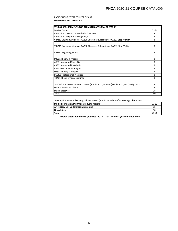### PACIFIC NORTHWEST COLLEGE OF ART **UNDERGRADUATE MAJORS**

| <b>STUDIO REQUIREMENTS FOR ANIMATED ARTS MAJOR (F20-21)</b>                            |        |
|----------------------------------------------------------------------------------------|--------|
| <b>Required Courses</b>                                                                | Credit |
| Animation I: Materials, Methods & Motion                                               | 3      |
| Animation II: Hybrid Moving Image                                                      | 3      |
| VID211 Beginning Video or AA236 Character & Identity or AA237 Stop Motion              | ς      |
| VID211 Beginning Video or AA236 Character & Identity or AA237 Stop Motion              | 3      |
| VID212 Beginning Sound                                                                 | 3      |
| IM201 Theory & Practice                                                                | 3      |
| AA331 Animated Short Film                                                              | ς      |
| AA332 Animated Installation                                                            | 3      |
| AA333 Narrative Strategies                                                             | ς      |
| IM301 Theory & Practice                                                                | ς      |
| <b>MA300 Professional Practices</b>                                                    | 3      |
| TH401 Thesis Critique Seminar                                                          | ς      |
|                                                                                        |        |
| *400-lvl Studio course menu: SA410 (Studio Arts), MA410 (Media Arts), DA (Design Arts) | 3      |
| MA400 Media Art Thesis                                                                 | 3      |
| <b>Studio Electives</b>                                                                | 18     |
| Total                                                                                  | 60     |

See Requirements: All Undergraduate majors (Studio Foundation/Art History/ Liberal Arts)

| <b>Studio Foundation (All Undergraduate majors)</b> | $15-16$ |
|-----------------------------------------------------|---------|
| Art History (All Undergraduate majors)              | 15      |
| <b>Liberal Arts</b>                                 | 30      |
| <b>Total</b>                                        | 60-61   |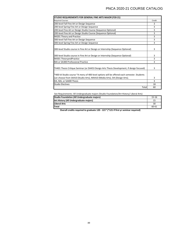| STUDIO REQUIREMENTS FOR GENERAL FINE ARTS MAJOR (F20-21)                                    |              |
|---------------------------------------------------------------------------------------------|--------------|
| <b>Required Courses</b>                                                                     | Credit       |
| 200-level Fall Fine Art or Design Sequence                                                  | 3            |
| 200-level Spring Fine Art or Design Sequence                                                | 3            |
| 200-level Fine Art or Design Studio Course (Sequence Optional)                              | $\mathbf{R}$ |
| 200-level Fine Art or Design Studio Course (Sequence Optional)                              | $\mathbf{R}$ |
| <b>IM201 Theory and Practice</b>                                                            | 3            |
| 300-level Fall Fine Art or Design Sequence                                                  | 3            |
| 300-level Spring Fine Art or Design Sequence                                                | 3            |
|                                                                                             |              |
| 300-level Studio course in Fine Art or Design or Internship (Sequence Optional)             | 3            |
|                                                                                             |              |
| 300-level Studio course in Fine Art or Design or Internship (Sequence Optional)             | 3            |
| IM301 TheoryandPractice                                                                     | 3            |
| MA or SA300 Professional Practice                                                           | 3            |
|                                                                                             |              |
| TH401 Thesis Critique Seminar (or DA453 Design Arts Thesis Development, if design focused)  | 3            |
|                                                                                             |              |
| *400-lvl Studio course *A menu of 400-level options will be offered each semester. Students |              |
| can choose from SA410 (Studio Arts), MA410 (Media Arts), DA (Design Arts).                  | 3            |
| DA, MA, or SA400 Thesis                                                                     | 3            |
| <b>Studio Electives</b>                                                                     | 18           |
| Total                                                                                       | 60           |

See Requirements: All Undergraduate majors (Studio Foundation/Art History/ Liberal Arts)

| <b>Studio Foundation (All Undergraduate majors)</b> | $15 - 16$ |
|-----------------------------------------------------|-----------|
| Art History (All Undergraduate majors)              |           |
| Liberal Arts                                        | 30        |
| <b>Total</b>                                        | 60-61     |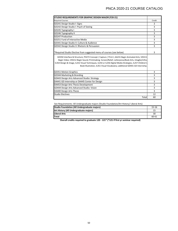| STUDIO REQUIREMENTS FOR GRAPHIC DESIGN MAJOR (F20-21)                                                                                                                                                                                                                                                                                                                                                                                                                       |        |
|-----------------------------------------------------------------------------------------------------------------------------------------------------------------------------------------------------------------------------------------------------------------------------------------------------------------------------------------------------------------------------------------------------------------------------------------------------------------------------|--------|
| <b>Required Courses</b>                                                                                                                                                                                                                                                                                                                                                                                                                                                     | Credit |
| GD241 Design Studio I: Signs                                                                                                                                                                                                                                                                                                                                                                                                                                                | 3      |
| GD242 Design Studio I: Psych of Seeing                                                                                                                                                                                                                                                                                                                                                                                                                                      | 3      |
| GD245 Typography I                                                                                                                                                                                                                                                                                                                                                                                                                                                          | 3      |
| GD246 Typography II                                                                                                                                                                                                                                                                                                                                                                                                                                                         | 3      |
| GD247 Production                                                                                                                                                                                                                                                                                                                                                                                                                                                            | 3      |
| GD251 Fund of Interactive Media                                                                                                                                                                                                                                                                                                                                                                                                                                             | 3      |
| GD341 Design Studio II: Culture & Audience                                                                                                                                                                                                                                                                                                                                                                                                                                  | 3      |
| GD342 Design Studio II: Rhetoric & Persuasion                                                                                                                                                                                                                                                                                                                                                                                                                               | 3      |
| *Required Studio Elective from suggested menu of courses (see below)<br>GD350 Interface & Structure; PH272 Concept / Capture / Print I; AA231 Begin Animated Arts; VID211<br>Begin Video; VID212 Begin Sound; Printmaking: Screen/Relief, Letterpress/Book Arts, Intaglio/Litho;<br>IL354 Design & Image, IL252 Visual Techniques, IL254 or IL256 Digital Media Strategies, IL257 Children's<br>Book Illustration, IL351 Visual Vocabulary; additional GD441 GD Internship. | 3      |
| <b>GD351 Motion Graphics</b>                                                                                                                                                                                                                                                                                                                                                                                                                                                | 3      |
| GD344 Marketing & Branding                                                                                                                                                                                                                                                                                                                                                                                                                                                  | 3      |
| GD443 Design Arts Advanced Studio: Strategy                                                                                                                                                                                                                                                                                                                                                                                                                                 | 3      |
| DA441 GD Internship or DA445 Center for Design                                                                                                                                                                                                                                                                                                                                                                                                                              | 3      |
| DA453 Design Arts Thesis Development                                                                                                                                                                                                                                                                                                                                                                                                                                        | 3      |
| GD444 Design Arts Advanced Studio: Vision                                                                                                                                                                                                                                                                                                                                                                                                                                   | 3      |
| DA400 Design Arts Thesis                                                                                                                                                                                                                                                                                                                                                                                                                                                    | 3      |
| <b>Studio Electives</b>                                                                                                                                                                                                                                                                                                                                                                                                                                                     | 12     |
| Total                                                                                                                                                                                                                                                                                                                                                                                                                                                                       | 60     |

See Requirements: All Undergraduate majors (Studio Foundation/Art History/ Liberal Arts)

| <b>Studio Foundation (All Undergraduate majors)</b> | $15 - 16$ |
|-----------------------------------------------------|-----------|
| Art History (All Undergraduate majors)              | 15        |
| Liberal Arts                                        | 30        |
| <b>Total</b>                                        | 60-61     |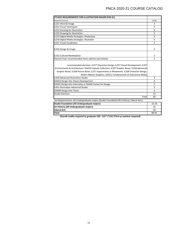| STUDIO REQUIREMENTS FOR ILLUSTRATION MAJOR (F20-21)                                        |              |
|--------------------------------------------------------------------------------------------|--------------|
| <b>Required Courses</b>                                                                    | Credit       |
| IL251 Word & Image                                                                         | 3            |
| IL252 Visual Techniques                                                                    | 3            |
| IL253 Painting for Illustration                                                            | 3            |
| IL255 Drawing for Illustration                                                             | 3            |
| IL254 Digital Media Strategies: Photoshop                                                  | 3            |
| IL256 Digital Media Strategies: Illustrator                                                | 3            |
| IL351 Visual Vocabulary                                                                    | ξ            |
|                                                                                            |              |
| IL354 Design & Image                                                                       | 3            |
|                                                                                            |              |
| IL352 Cultural Marketplace                                                                 | 3            |
| Elective from recommended menu options (see below)                                         | ξ            |
|                                                                                            |              |
| recommended electives: IL257 Character Design, IL257 Visual Development, IL257             |              |
| Environments & Architecture, DA410 Capsule Collection, IL357 Graphic Novel, IL358 Advanced |              |
| Graphic Novel, IL358 Picture Book, IL257 Experiments in Movement, IL358 Character Design,  |              |
| GD351 Motion Graphics, GD251 Fundamentals of Interactive Media                             |              |
| <b>IL450 Advanced Illustration Studio</b>                                                  | 3            |
| DA453 Design Arts Thesis Development                                                       | 3            |
| DA441 Design Arts Internship or DA445 Center for Design                                    | 3            |
| <b>IL451 Illustration Advanced Studio</b>                                                  | 3            |
| DA400 Design Arts Thesis                                                                   | $\mathbf{a}$ |
| <b>Studio Electives</b>                                                                    | 15           |
| Total                                                                                      | 60           |
| See Requirements: All Undergraduate majors (Studio Foundation/Art History/ Liberal Arts)   |              |
| <b>Studio Foundation (All Undergraduate majors)</b>                                        | $15 - 16$    |
| Art History (All Undergraduate majors)                                                     | 15           |
| <b>Liberal Arts</b>                                                                        | 30           |
| <b>Total</b>                                                                               | 60-61        |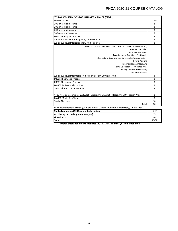| STUDIO REQUIREMENTS FOR INTERMEDIA MAJOR (F20-21)                                                                                                                                                                                                                                                                                                                                              |              |
|------------------------------------------------------------------------------------------------------------------------------------------------------------------------------------------------------------------------------------------------------------------------------------------------------------------------------------------------------------------------------------------------|--------------|
| <b>Required Courses</b>                                                                                                                                                                                                                                                                                                                                                                        | Credit       |
| 200-level studio course                                                                                                                                                                                                                                                                                                                                                                        | 3            |
| 200-level studio course                                                                                                                                                                                                                                                                                                                                                                        | 3            |
| 200-level studio course                                                                                                                                                                                                                                                                                                                                                                        | 3            |
| 200-level studio course                                                                                                                                                                                                                                                                                                                                                                        | 3            |
| IM201 Theory and Practice                                                                                                                                                                                                                                                                                                                                                                      | 3            |
| Junior 300-level Interdisciplinary studio course                                                                                                                                                                                                                                                                                                                                               | 3            |
| Junior 300-level Interdisciplinary studio course                                                                                                                                                                                                                                                                                                                                               | $\mathbf{a}$ |
| OPTIONS INCLDE: Video Installation (can be taken for two semesters)<br>Intermediate Video<br>Intermediate Sound<br><b>Experiments in Combined Print Media</b><br>Intermediate Sculpture (can be taken for two semesters)<br><b>Hybrid Painting</b><br><b>Intermediate Animated Arts</b><br>Narrative Strategies (Animated Arts)<br>Drawing Seminar (DR363/364)<br><b>Screens &amp; Devices</b> |              |
| Junior 300-level Intermedia studio course or any 300-level studio                                                                                                                                                                                                                                                                                                                              | 3            |
| IM301 Theory and Practice                                                                                                                                                                                                                                                                                                                                                                      | 3            |
| IM301 Theory and Practice                                                                                                                                                                                                                                                                                                                                                                      | 3            |
| <b>MA300 Professional Practices</b>                                                                                                                                                                                                                                                                                                                                                            | 3            |
| TH401 Thesis Critique Seminar                                                                                                                                                                                                                                                                                                                                                                  | 3            |
| *400-lvl Studio course menu: SA410 (Studio Arts), MA410 (Media Arts), DA (Design Arts)<br>MA400 Media Arts Thesis<br><b>Studio Electives</b>                                                                                                                                                                                                                                                   | 3<br>3<br>18 |
| Total                                                                                                                                                                                                                                                                                                                                                                                          | 60           |
| See Requirements: All Undergraduate majors (Studio Foundation/Art History/ Liberal Arts)                                                                                                                                                                                                                                                                                                       |              |
|                                                                                                                                                                                                                                                                                                                                                                                                |              |
| <b>Studio Foundation (All Undergraduate majors)</b>                                                                                                                                                                                                                                                                                                                                            | $15 - 16$    |
| Art History (All Undergraduate majors)<br><b>Liberal Arts</b>                                                                                                                                                                                                                                                                                                                                  | 15<br>30     |
| Total                                                                                                                                                                                                                                                                                                                                                                                          | 60-61        |
|                                                                                                                                                                                                                                                                                                                                                                                                |              |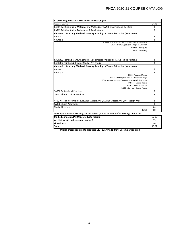| <b>STUDIO REQUIREMENTS FOR PAINTING MAJOR (F20-21)</b>                                   |        |
|------------------------------------------------------------------------------------------|--------|
| <b>Required Courses</b>                                                                  | Credit |
| PA261 Painting Studio: Materials and Methods or PA266 Observational Painting             | 3      |
| PA262 Painting Studio: Techniques & Applications                                         | ξ      |
| Choose 6 cr from any 200-level Drawing, Painting or Theory & Practice (from menu)        |        |
| Course 1                                                                                 | 3      |
| Course 2                                                                                 | 3      |
| DR265 Drawing Studio: Technique & Applications                                           |        |
| DR266 Drawing Studio: Image in Context                                                   |        |
| DR261 The Figure                                                                         |        |
| DR267 Anatomy                                                                            |        |
|                                                                                          |        |
| PADR361 Painting & Drawing Studio: Self-directed Projects or IM351 Hybrid Painting       | 3      |
| PADR362 Painting & Drawing Studio: Pre-Thesis                                            | 3      |
| Choose 6 cr from any 300-level Drawing, Painting or Theory & Practice (from menu)        |        |
| Course 1                                                                                 | 3      |
| Course 2                                                                                 | 3      |
| <b>DR361 Advanced Figure</b>                                                             |        |
| DR363 Drawing Seminar: The Mediated Image                                                |        |
| DR364 Drawing Seminar: Systems, Structures & Strategies                                  |        |
| PADR365 Special Topics<br>IM301 Theory & Practice                                        |        |
| IM351 Intermedia Special Topics                                                          |        |
| <b>SA300 Professional Practices</b>                                                      | 3      |
| TH401 Thesis Critique Seminar                                                            | 3      |
|                                                                                          |        |
| *400-lvl Studio course menu: SA410 (Studio Arts), MA410 (Media Arts), DA (Design Arts)   | 3      |
| <b>SA400 Studio Arts Thesis</b>                                                          | 3      |
| <b>Studio Electives</b>                                                                  | 24     |
| Total                                                                                    | 60     |
| See Requirements: All Undergraduate majors (Studio Foundation/Art History/ Liberal Arts) |        |
| <b>Studio Foundation (All Undergraduate majors)</b>                                      | 15-16  |
| Art History (All Undergraduate majors)                                                   | 15     |
| <b>Liberal Arts</b>                                                                      | 30     |
| <b>Total</b>                                                                             | 60-61  |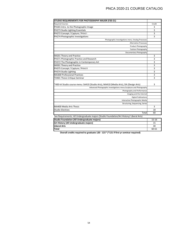| <b>STUDIO REQUIREMENTS FOR PHOTOGRAPHY MAJOR (F20-21)</b>                                |           |
|------------------------------------------------------------------------------------------|-----------|
| <b>Required Courses</b>                                                                  | Credit    |
| PH265 Intro. to the Photographic Image                                                   | 3         |
| PH273 Studio Lighting Essentials                                                         | 3         |
| PH272 Concept / Capture / Print I                                                        | 3         |
| PH274 Photographic Investigations                                                        | 3         |
| Photographic Investigations menu: Analog Processes                                       |           |
| <b>Alternative Processes</b>                                                             |           |
| Product Photography                                                                      |           |
| <b>Fashion Photography</b>                                                               |           |
| Documentary Photography                                                                  |           |
| IM201 Theory and Practice                                                                | 3         |
| PH371 Photographic Practice and Research                                                 | 3         |
| PH372 The Photographic in Contemporary Art                                               | 3         |
| <b>IM301 Theory and Practice</b>                                                         | 3         |
| PH375 Concept / Capture / Print II                                                       | 3         |
| PH374 Studio Lighting                                                                    | 3         |
| <b>MA300 Professional Practices</b>                                                      | 3         |
| TH401 Thesis Critique Seminar                                                            | 3         |
| *400-lvl Studio course menu: SA410 (Studio Arts), MA410 (Media Arts), DA (Design Arts)   | 3         |
| Advanced Photographic Investigations menu: Sculpture and Photography                     |           |
| Photography and Performance                                                              |           |
| Imaging and the Internet                                                                 |           |
| <b>Digital Publications</b>                                                              |           |
| Interactive Photographic Media                                                           |           |
| Structuring, Sequencing, Series                                                          |           |
| MA400 Media Arts Thesis                                                                  | 3         |
| <b>Studio Electives</b>                                                                  | 18        |
| Total                                                                                    | 60        |
| See Requirements: All Undergraduate majors (Studio Foundation/Art History/ Liberal Arts) |           |
| <b>Studio Foundation (All Undergraduate majors)</b>                                      | $15 - 16$ |
| Art History (All Undergraduate majors)                                                   | 15        |
| <b>Liberal Arts</b>                                                                      | 30        |
| Total                                                                                    | 60-61     |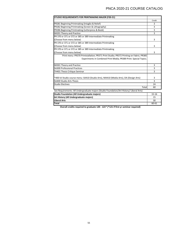| STUDIO REQUIREMENTS FOR PRINTMAKING MAJOR (F20-21)                                       |              |
|------------------------------------------------------------------------------------------|--------------|
|                                                                                          | Credit       |
| PR281 Beginning Printmaking (Intaglio & Relief)                                          | 3            |
| PR282 Beginning Printmaking (Screen & Lithography)                                       | 3            |
| PR286 Beginning Printmaking (Letterpress & Book)                                         | 3            |
| <b>IM201 Theory and Practice</b>                                                         | 3            |
| PR 370 or 371 or 372 or 385 or 389 Intermediate Printmaking                              |              |
| (Choose from menu below)                                                                 | 3            |
| PR 370 or 371 or 372 or 385 or 389 Intermediate Printmaking                              |              |
| (Choose from menu below)                                                                 | 3            |
| PR 370 or 371 or 372 or 385 or 389 Intermediate Printmaking                              |              |
| (Choose from menu below)                                                                 | 3            |
| Print menu: PR370 Printstallation; PR371 Print Studio; PR372 Printing on Fabric; PR385   |              |
| Experiments in Combined Print Media; PR389 Print: Special Topics.                        |              |
| IM301 Theory and Practice                                                                | 3            |
| <b>SA300 Professional Practices</b>                                                      | 3            |
| TH401 Thesis Critique Seminar                                                            | 3            |
| *400-lyl Studio course menu: SA410 (Studio Arts), MA410 (Media Arts), DA (Design Arts)   | 3            |
| <b>SA400 Studio Arts Thesis</b>                                                          | $\mathbf{R}$ |
| <b>Studio Electives</b>                                                                  | 24           |
| Total                                                                                    | 60           |
| See Requirements: All Undergraduate majors (Studio Foundation/Art History/ Liberal Arts) |              |
| <b>Studio Foundation (All Undergraduate majors)</b>                                      | $15 - 16$    |
| Art History (All Undergraduate majors)                                                   | 15           |

**Overall credits required to graduate 120 ‐ 121\* (\*121 if first yr seminar required)**

**Liberal Arts** 30 **Total 60−61** 60−61 60−61 60−61 60−61 60−61 60−61 60−61 60−61 60−61 60−61 60−61 60−61 60−61 60−61 60−61 60−61 60−61 60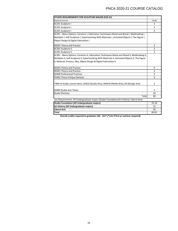| STUDIO REQUIREMENTS FOR SCULPTURE MAJOR (F20-21)                                                   |           |
|----------------------------------------------------------------------------------------------------|-----------|
| <b>Required Courses</b>                                                                            | Credit    |
| SC291 Sculpture I                                                                                  | 3         |
| SC291 Sculpture I                                                                                  | 3         |
| SC291 Sculpture I                                                                                  | 3         |
| SC291 - Menu Options: Ceramics I, Fabrication Techniques-Metal and Wood I, Moldmaking I,           |           |
| Multiples I, Soft Sculpture I, Experimenting With Materials I, Activated Objects I, The Figure I,  |           |
| Object Design & Digital Fabrication I                                                              |           |
| IM201 Theory and Practice                                                                          | 3         |
| SC391 Sculpture II                                                                                 | 3         |
| SC391 Sculpture II                                                                                 | 3         |
| SC391 - Menu Options: Ceramics II, Fabrication Techniques-Metal and Wood II, Moldmaking II,        |           |
| Multiples II, Soft Sculpture II, Experimenting With Materials II, Activated Objects II, The Figure |           |
| II, Material, Process, Idea, Object Design & Digital Fabrication II                                |           |
| IM301 Theory and Practice                                                                          | 3         |
| IM301 Theory and Practice                                                                          | 3         |
| SA300 Professional Practices                                                                       | 3         |
| TH401 Thesis Critique Seminar                                                                      | 3         |
| *400-lvl Studio course menu: SA410 (Studio Arts), MA410 (Media Arts), DA (Design Arts)             | 3         |
| <b>SA400 Studio Arts Thesis</b>                                                                    | 3         |
| <b>Studio Electives</b>                                                                            | 24        |
| Total                                                                                              | 60        |
| See Requirements: All Undergraduate majors (Studio Foundation/Art History/ Liberal Arts)           |           |
| <b>Studio Foundation (All Undergraduate majors)</b>                                                | $15 - 16$ |
| Art History (All Undergraduate majors)                                                             | 15        |
| <b>Liberal Arts</b>                                                                                | 30        |
| Total                                                                                              | 60-61     |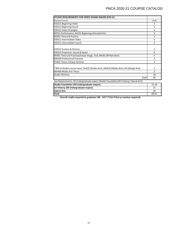| STUDIO REQUIREMENTS FOR VIDEO SOUND MAJOR (F20-21)                                       |           |
|------------------------------------------------------------------------------------------|-----------|
| <b>Required Courses</b>                                                                  | Credit    |
| VID211 Beginning Video                                                                   | 3         |
| VID212 Beginning Sound                                                                   | 3         |
| VID213 Video Strategies                                                                  | 3         |
| IM251 Performance, AA231 Beginning Animated Arts                                         | ς         |
| IM201 Theory & Practice                                                                  | 3         |
| VID311 Intermediate Video                                                                | 3         |
| VID312 Intermediate Sound                                                                | 3         |
|                                                                                          |           |
| VID313 Screens & Devices                                                                 | 3         |
| VID314 Projection, Sound & Space                                                         | 3         |
| IM301 Theory & Practice(choose Image, Text, Media OR Narrative)                          | 3         |
| <b>MA300 Professional Practices</b>                                                      | 3         |
| <b>TH401 Thesis Critique Seminar</b>                                                     | ς         |
|                                                                                          |           |
| *400-lvl Studio course menu: SA410 (Studio Arts), MA410 (Media Arts), DA (Design Arts)   | 3         |
| <b>MA400 Media Arts Thesis</b>                                                           | 3         |
| <b>Studio Electives</b>                                                                  | 18        |
| Total                                                                                    | 60        |
| See Requirements: All Undergraduate majors (Studio Foundation/Art History/ Liberal Arts) |           |
| <b>Studio Foundation (All Undergraduate majors)</b>                                      | $15 - 16$ |
| Art History (All Undergraduate majors)                                                   | 15        |
| Liberal Arts                                                                             | 30        |

**Overall credits required to graduate 120 ‐ 121\* (\*121 if first yr seminar required)**

**Total 60−61** 60−61 60−61 60−61 60−61 60−61 60−61 60−61 60−61 60−61 60−61 60−61 60−61 60−61 60−61 60−61 60−61 60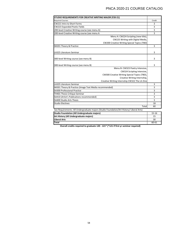| STUDIO REQUIREMENTS FOR CREATIVE WRITING MAJOR (F20-21)                                  |           |
|------------------------------------------------------------------------------------------|-----------|
| <b>Required Courses</b>                                                                  | Credit    |
| CW221 Intro to Short Forms                                                               | 3         |
| CW223 Expanded Poetic Fields                                                             | 3         |
| 200-level Creative Writing course (see menu A)                                           | 3         |
| 200-level Creative Writing course (see menu A                                            | 3         |
| Menu A: CW224 Scripting (new title),                                                     |           |
| CW225 Writing with Digital Media,                                                        |           |
| <b>CW200 Creative Writing Special Topics (TBD)</b>                                       |           |
| IM201 Theory & Practice                                                                  | 3         |
|                                                                                          |           |
| LA325 Literature Seminar                                                                 | 3         |
|                                                                                          |           |
| 300-level Writing course (see menu B)                                                    | 3         |
|                                                                                          |           |
| 300-level Writing course (see menu B)                                                    | 3         |
| Menu B: CW323 Poetry Intensive,                                                          |           |
| CW324 Scripting Intensive,                                                               |           |
| CW300 Creative Writing Special Topics (TBD),                                             |           |
| Creative Writing Internship,                                                             |           |
| Creative Writing Internship CW322 The Lit Zine                                           |           |
| <b>LA325 Literature Seminar</b>                                                          | 3         |
| IM301 Theory & Practice (Image Text Media recommended)                                   | 3         |
| <b>SA300 Professional Practice</b>                                                       | 3         |
| TH401 Thesis Critique Seminar                                                            | 3         |
| SA410 (Artist's Publications recommended)                                                | 3         |
| <b>SA400 Studio Arts Thesis</b>                                                          | 3         |
| <b>Studio Electives</b>                                                                  | 18        |
| Total                                                                                    | 60        |
| See Requirements: All Undergraduate majors (Studio Foundation/Art History/ Liberal Arts) |           |
| <b>Studio Foundation (All Undergraduate majors)</b>                                      | $15 - 16$ |
| Art History (All Undergraduate majors)                                                   | 15        |
| <b>Liberal Arts</b>                                                                      | 30        |
| Total                                                                                    | 60-61     |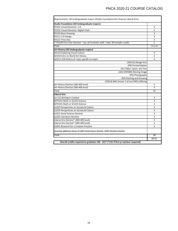| Requirements: All Undergraduate majors (Studio Foundation/Art History/ Liberal Arts)   |              |
|----------------------------------------------------------------------------------------|--------------|
| <b>Studio Foundation (All Undergraduate majors)</b>                                    |              |
| FD101 Visual Elements: 2-D                                                             | 3            |
| FD102 Visual Elements: Digital Tools                                                   | 3            |
| FD105 Basic Drawing                                                                    | 3            |
| FD111 3-D Design                                                                       | 3            |
| <b>FD112 Time Arts</b>                                                                 | 3            |
| ** FD100 First Year Seminar - req. of Freshmen with < than 30 transfer credits         | $\mathbf{1}$ |
| Total                                                                                  | 15 to 16     |
| Art History (All Undergraduate majors)                                                 |              |
| <b>AH125 Exploring Visual Culture</b>                                                  | 3            |
| AH210 Intro to World Art History                                                       | 3            |
| AH213-218 History of: topic specific to major                                          | 3            |
| (GD) (IL) Design Arts                                                                  |              |
| (PR) Printed Matter                                                                    |              |
| (SC) Object, Space, and Time                                                           |              |
| (AA) (VIDSND) Moving Image                                                             |              |
| (PH) Photography                                                                       |              |
| (PA) Painting and Drawing                                                              |              |
| (CW) & (IM) choose 1 of any PNCA offering                                              |              |
| Art History Elective (200-400 level)                                                   | 3            |
| Art History Elective (300-400 level)                                                   | ξ            |
| Total                                                                                  | 15           |
| <b>Liberal Arts</b>                                                                    |              |
| LA 122 Writing in Context                                                              | 3            |
| MTH101 Math or SCI223 Science                                                          | 3            |
| MTH101 Math or SCI223 Science                                                          | 3            |
| LA225 Perspectives on Society & Culture                                                | 3            |
| LA225 Perspectives on Society & Culture                                                | 3            |
| LA321 Social Science Seminar                                                           | 3            |
| <b>LA325 Literature Seminar</b>                                                        | 3            |
| Liberal Arts Elective* (300-400 level)                                                 | 3            |
| Liberal Arts Elective* (300-400 level)                                                 | 3            |
| LA421 Research for a Creative Practice                                                 | 3            |
| earned by additional classes of LA321 Social Science Seminar, LA325 Literature Seminar |              |
| Total                                                                                  | 30           |
|                                                                                        | 60-61        |
| Overall credits required to graduate 120 - 121* (*121 if first yr seminar required)    |              |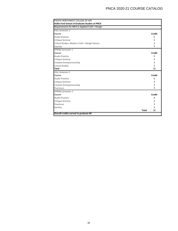| PACIFIC NORTHWEST COLLEGE OF ART                |              |               |
|-------------------------------------------------|--------------|---------------|
| Hallie Ford School of Graduate Studies at PNCA  |              |               |
| Requirements for MFA in Applied Craft + Design  |              |               |
| <b>FALL Semester 1</b>                          |              |               |
| Course                                          |              | <b>Credit</b> |
| <b>Studio Practice</b>                          |              | 6             |
| Critique Seminar                                |              | 3             |
| Critical Studies: Modern Craft + Design History |              | 3             |
| Elective                                        |              | 3             |
| <b>SPRING Semester 1</b>                        |              |               |
| Course                                          |              | Credit        |
| <b>Studio Practice</b>                          |              | 6             |
| Critique Seminar                                |              | 3             |
| Creative Entrepreneurship                       |              | 3             |
| <b>Critical Studies</b>                         |              | 3             |
| Total                                           |              | 30            |
| <b>FALL Semester 2</b>                          |              |               |
| Course                                          |              | <b>Credit</b> |
| <b>Studio Practice</b>                          |              | 6             |
| Critique Seminar                                |              | 3             |
| Creative Entrepreneurship                       |              | 3             |
| Practicum                                       |              | 3             |
| <b>SPRING Semester 2</b>                        |              |               |
| Course                                          |              | Credit        |
| Studio Practice                                 |              | 6             |
| Critique Seminar                                |              | 3             |
| Practicum                                       |              | 3             |
| Elective                                        |              | 3             |
|                                                 | <b>Total</b> | 30            |
| Overall credits earned to graduate 60           |              |               |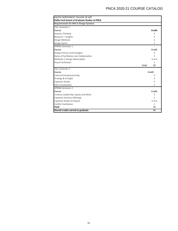| PACIFIC NORTHWEST COLLEGE OF ART               |              |               |
|------------------------------------------------|--------------|---------------|
| Hallie Ford School of Graduate Studies at PNCA |              |               |
| <b>Requirements for MA in Design Systems</b>   |              |               |
| <b>FALL Semester 1</b>                         |              |               |
| Course                                         |              | <b>Credit</b> |
| <b>Systems Thinking</b>                        |              | 3             |
| Research + Insights                            |              | $\mathbf{R}$  |
| Design Methods                                 |              | 3             |
| Design Sprint                                  |              | $\mathbf{1}$  |
| SPRING Semester 1                              |              |               |
| <b>Course</b>                                  |              | Credit        |
| Design Futures and Ecologies                   |              | 3             |
| Styles of Facilitation and Collaboration       |              | $\mathbf{R}$  |
| Methods 2: Design Deliverables                 |              | $3$ to $6$    |
| <b>Visual Facilitation</b>                     |              | 1             |
|                                                | <b>Total</b> | 20            |
| <b>FALL Semester 2</b>                         |              |               |
| Course                                         |              | Credit        |
| Cultural Entrepreneurship                      |              | 3             |
| <b>Strategy &amp; Forsight</b>                 |              | 3             |
| Capstone Studio                                |              | 3             |
| Data Visualization                             |              | 1             |
| <b>SPRING Semester 2</b>                       |              |               |
| Course                                         |              | Credit        |
| Creative Leadership, Equity and Ethics         |              | 3             |
| Capstone Seminar (Writing)                     |              | $\mathbf{R}$  |
| Capstone Studio (Critique)                     |              | $3$ to $6$    |
| <b>Conflict Facilitation</b>                   |              | 1             |
| Total                                          |              | 20            |
| Overall credits earned to graduate             |              | 40            |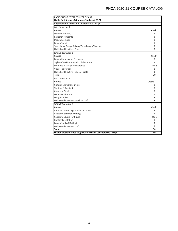| PACIFIC NORTHWEST COLLEGE OF ART                               |               |
|----------------------------------------------------------------|---------------|
| Hallie Ford School of Graduate Studies at PNCA                 |               |
| <b>Requirements for MFA in Collaborative Design</b>            |               |
| <b>FALL Semester 1</b>                                         |               |
| Course                                                         | <b>Credit</b> |
| <b>Systems Thinking</b>                                        | 3             |
| Research + Insights                                            | 3             |
| Design Methods                                                 | 3             |
| Design Sprint                                                  | 1             |
| Speculative Design & Long Term Design Thinking                 | 3             |
| Hallie Ford Elective - Print                                   | 3             |
| <b>SPRING Semester 1</b>                                       |               |
| Course                                                         | <b>Credit</b> |
| Design Futures and Ecologies                                   | 3             |
| Styles of Facilitation and Collaboration                       | 3             |
| Methods 2: Design Deliverables                                 | $3$ to $6$    |
| <b>Visual Facilitation</b>                                     | $\mathbf{1}$  |
| Hallie Ford Elective - Code or Craft                           | 3             |
| <b>Total</b>                                                   | 30            |
| <b>FALL Semester 2</b>                                         |               |
| Course                                                         | <b>Credit</b> |
| Cultural Entrepreneurship                                      | 3             |
| <b>Strategy &amp; Forsight</b>                                 | 3             |
| Capstone Studio                                                | 3             |
| Data Visualization                                             | $\mathbf{1}$  |
| Design Studio                                                  | 3             |
| Hallie Ford Elective - Teach or Craft                          | 3             |
| <b>SPRING Semester 2</b>                                       |               |
| Course                                                         | <b>Credit</b> |
| Creative Leadership, Equity and Ethics                         | 3             |
| Capstone Seminar (Writing)                                     | 3             |
| Capstone Studio (Critique)                                     | $3$ to $6$    |
| <b>Conflict Facilitation</b>                                   | $\mathbf{1}$  |
| Design Studio (Making)                                         | 3             |
| Hallie Ford Elective - Craft                                   | 3             |
| <b>Total</b>                                                   | 30            |
| Overall credits earned to graduate MFA in Collaborative Design | 60            |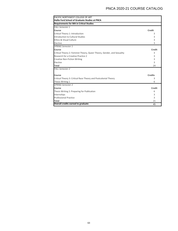| PACIFIC NORTHWEST COLLEGE OF ART<br>Hallie Ford School of Graduate Studies at PNCA |                |
|------------------------------------------------------------------------------------|----------------|
| <b>Requirements for MA in Critical Studies</b>                                     |                |
| <b>FALL Semester 1</b>                                                             |                |
| Course                                                                             | Credit         |
| Critical Theory 1: Introduction                                                    | З              |
| Introduction to Cultural Studies                                                   | 3              |
| Ethics & Visual Culture                                                            | 3              |
| Elective                                                                           | 3              |
| <b>SPRING Semester 1</b>                                                           |                |
| Course                                                                             | Credit         |
| Critical Theory 2: Feminist Theory, Queer Theory, Gender, and Sexuality            | 3              |
| Research for a Creative Practice 2                                                 | 3              |
| <b>Creative Non-Fiction Writing</b>                                                | 3              |
| Elective                                                                           | 3              |
| <b>Total</b>                                                                       | 24             |
| <b>FALL Semester 2</b>                                                             |                |
|                                                                                    |                |
| Course                                                                             | <b>Credits</b> |
| Critical Theory 3: Critical Race Theory and Postcolonial Theory                    | 3              |
| Thesis Writing 1                                                                   | 6              |
| <b>SPRING Semester 2</b>                                                           |                |
| Course                                                                             | Credit         |
| Thesis Writing 2: Preparing for Publication                                        | 6              |
| Internships                                                                        | 3              |
| <b>Professional Practice</b>                                                       | 3              |
| Total                                                                              | 21             |
| Overall credits earned to graduate                                                 | 45             |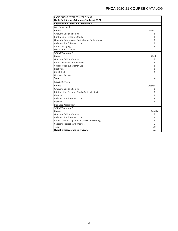| PACIFIC NORTHWEST COLLEGE OF ART                      |                |
|-------------------------------------------------------|----------------|
| <b>Hallie Ford School of Graduate Studies at PNCA</b> |                |
| <b>Requirements for MFA in Print Media</b>            |                |
| <b>FALL Semester 1</b>                                |                |
| Course                                                | <b>Credits</b> |
| Graduate Critique Seminar                             | 3              |
| Print Media - Graduate Studio                         | 3              |
| Graduate Printmaking: Projects and Explorations       | 3              |
| Collaboration & Research Lab                          | 3              |
| <b>Critical Pedagogy</b>                              | 3              |
| Mid Year Assessment                                   |                |
| <b>SPRING Semester 1</b>                              |                |
| Course                                                | Credit         |
| Graduate Critique Seminar                             | 3              |
| Print Media - Graduate Studio                         | 3              |
| <b>Collaboration &amp; Research Lab</b>               | 3              |
| Elective 1                                            | 3              |
| CS: Multiples                                         | 3              |
| <b>First Year Review</b>                              |                |
| Total                                                 | 30             |
| <b>FALL Semester 2</b>                                |                |
| Course                                                | <b>Credits</b> |
| Graduate Critique Seminar                             | 3              |
| Print Media - Graduate Studio (with Mentor)           | 3              |
| Elective 2                                            | 3              |
| Collaboration & Research Lab                          | 3              |
| Elective 3                                            | 3              |
| Mid-year Assessment                                   |                |
| <b>SPRING Semester 2</b>                              |                |
| Course                                                | <b>Credits</b> |
| Graduate Critique Seminar                             | 3              |
| Collaboration & Research Lab                          | 3              |
| Critical Studies: Capstone Research and Writing       | 3              |
| Capstone Project (with mentor)                        | 6              |
| <b>Total</b>                                          | 30             |
| Overall credits earned to graduate                    | 60             |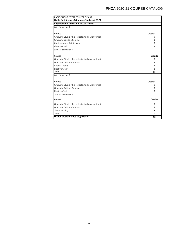| PACIFIC NORTHWEST COLLEGE OF ART                                              |                |
|-------------------------------------------------------------------------------|----------------|
| Hallie Ford School of Graduate Studies at PNCA                                |                |
| <b>Requirements for MFA in Visual Studies</b>                                 |                |
| <b>FALL Semester 1</b>                                                        |                |
|                                                                               |                |
| Course                                                                        | <b>Credits</b> |
| Graduate Studio (this reflects studio work time)                              | 9              |
| Graduate Critique Seminar                                                     | 3              |
| Contemporary Art Seminar                                                      | 3              |
| <b>Elective Credit</b>                                                        | 3              |
| <b>SPRING Semester 1</b>                                                      |                |
|                                                                               |                |
| Course                                                                        | <b>Credits</b> |
| Graduate Studio (this reflects studio work time)                              | 9              |
| Graduate Critique Seminar                                                     | 3              |
| <b>Critical Theory</b>                                                        | 3              |
| <b>Elective Credit</b><br><b>Total</b>                                        | 3              |
|                                                                               | 36             |
| <b>FALL Semester 2</b>                                                        |                |
|                                                                               | <b>Credits</b> |
| Course                                                                        | 9              |
| Graduate Studio (this reflects studio work time)<br>Graduate Critique Seminar | 3              |
| <b>Elective Credit</b>                                                        | 3              |
| <b>SPRING Semester 2</b>                                                      |                |
|                                                                               |                |
| Course                                                                        | <b>Credits</b> |
| Graduate Studio (this reflects studio work time)                              | 9              |
| Graduate Critique Seminar                                                     | 3              |
| <b>Thesis Writing</b>                                                         | 3              |
| <b>Total</b>                                                                  | 24             |
| Overall credits earned to graduate                                            | 60             |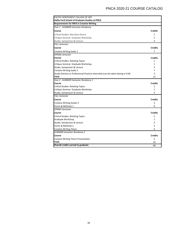| PACIFIC NORTHWEST COLLEGE OF ART                                                  |                |
|-----------------------------------------------------------------------------------|----------------|
| Hallie Ford School of Graduate Studies at PNCA                                    |                |
| <b>Requirements for MFA in Creative Writing</b>                                   |                |
| Year 1 - SUMMER Semester Residency                                                |                |
| Course                                                                            | <b>Credits</b> |
| Critical Studies: Narrative theory                                                | 1              |
| Critique Seminar: Graduate Workshop                                               | $\mathbf{1}$   |
| Studio, Symposium & Lecture                                                       | 3              |
| <b>FALL Semester</b>                                                              |                |
| Course                                                                            | <b>Credits</b> |
| Creative Writing Sudio 1                                                          | $\overline{7}$ |
| <b>SPRING Semester</b>                                                            |                |
| Course                                                                            | <b>Credits</b> |
| <b>Critical Studies: Rotating Topics</b>                                          | $\mathbf{1}$   |
| Critique Seminar: Graduate Workshop                                               | 1              |
| Studio, Symposium & Lecture                                                       | 3              |
| <b>Creative Writing Sudio 2</b>                                                   | 7              |
| Studio Elective or Professional Practice internship (can be taken Spring or Fall) | 3              |
| <b>Total</b>                                                                      | 27             |
| Year 2 - SUMMER Semester Residency 1                                              |                |
| Course                                                                            | <b>Credits</b> |
| <b>Critical Studies: Rotating Topics</b>                                          | 1              |
| Critique Seminar: Graduate Workshop                                               | 1              |
| Studio, Symposium & Lecture                                                       | 3              |
| <b>FALL Semester</b>                                                              |                |
| Course                                                                            | <b>Credits</b> |
| Creative Writing Studio 3                                                         | 3              |
| Forms & Methods 1                                                                 | 6              |
| <b>SPRING Semester</b>                                                            |                |
| Course                                                                            | <b>Credits</b> |
| <b>Critical Studies: Rotating Topics</b>                                          | 1              |
| Graduate Workshop                                                                 | 1              |
| Studio, Symposium & Lecture                                                       | 3              |
| Forms & Methods 2                                                                 | 3              |
| <b>Creative Writing Thesis</b>                                                    | 6              |
| <b>SUMMER Semester Residency 2</b>                                                |                |
| Course                                                                            | <b>Credits</b> |
| <b>Creative Writing Thesis Presentation</b><br>Total                              | 5              |
| Overall credits earned to graduate                                                | 33             |
|                                                                                   | 60             |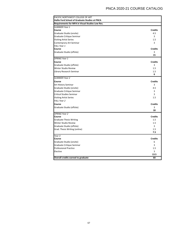| PACIFIC NORTHWEST COLLEGE OF ART<br>Hallie Ford School of Graduate Studies at PNCA |                       |
|------------------------------------------------------------------------------------|-----------------------|
| Requirements for MFA in Visual Studies Low Res.                                    |                       |
| <b>SUMMER Year 1</b>                                                               |                       |
| Course                                                                             | <b>Credits</b>        |
| Graduate Studio (onsite)                                                           | 4.5                   |
| Graduate Critique Seminar                                                          | 3                     |
| <b>Visiting Artist Series</b>                                                      | 1.5                   |
| Contemprary Art Seminar                                                            | 3                     |
| <b>FALL Year 1</b>                                                                 |                       |
| Course                                                                             | <b>Credits</b>        |
| Graduate Studio (offsite)                                                          | 3                     |
|                                                                                    | 15                    |
| SPRING Year 1                                                                      |                       |
| Course                                                                             | <b>Credits</b>        |
| Graduate Studio (offsite)                                                          | 3                     |
| Winter Studio Review                                                               | 1.5                   |
| Library Research Seminar                                                           | 1.5<br>6              |
|                                                                                    |                       |
| <b>SUMMER Year 2</b>                                                               |                       |
| Course                                                                             | <b>Credits</b>        |
| Art History Seminar                                                                | 3                     |
| Graduate Studio (onsite)                                                           | 4.5                   |
| Graduate Critique Seminar                                                          | 3                     |
| <b>Critical Studies Seminar</b>                                                    | 3                     |
| <b>Visiting Artist Series</b>                                                      | 1.5                   |
| FALL Year 2                                                                        |                       |
| Course                                                                             | <b>Credits</b>        |
| Graduate Studio (offsite)                                                          | 3                     |
|                                                                                    | 18                    |
| <b>SPRING Year 2</b>                                                               |                       |
| Course                                                                             | <b>Credits</b><br>1.5 |
| <b>Graduate Thesis Writing</b>                                                     |                       |
| Winter Studio Review                                                               | 1.5<br>3              |
| Graduate Studio (offsite)                                                          |                       |
| Grad. Thesis Writing (online)                                                      | 1.5<br>7.5            |
| Year 3                                                                             |                       |
| Course                                                                             | <b>Credits</b>        |
| Graduate Studio (onsite)                                                           | 6                     |
| Graduate Critique Seminar                                                          | 3                     |
| <b>Professional Practice</b>                                                       | 1.5                   |
| Elective                                                                           | 3                     |
|                                                                                    | 13.5                  |
| Overall credits earned to graduate                                                 | 60                    |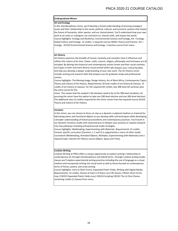### **Undergraduate Minors**

#### **Art and Ecology**

In this interdisciplinary minor, you'll develop a broad understanding of pressing ecological issues and their relationship to the social, political, cultural, and economic systems that impact the future of humanity, other species, and our shared planet. You'll understand how your own work as an artist or a designer can comment on, interact with, and impact the world. Course highlights: Ecology and Resilience, Environmental Science and Ecology, Art + Ecology: Global Culture and Ecology. 15 credits, 2 required courses IM201 Theory and Practice: Art + Ecology ‐ SCI223 Environmental Science and Ecology. 3 elective course from menu.

#### **Art History**

Art History examines the breadth of human creativity and considers how it influences and reflects the culture of its time. Power, myth, science, religion, philosophy and technique are all included. By delving into historical and contemporary artistic tenets and their social contexts, you'll gain a richer and more diverse visual arsenal which will sharpen your critical faculties and help you develop a deeper understanding of your own work. The Art History minor includes writing and research skills that prepare you for graduate study and professional careers.

Course highlights: The Moving Image, Design History, Art of West Africa, Contemporary Topics, Theory and Culture of Art History. Requirements 18 total credits of art history (6 classes). 15 credits of art history (5 classes). For the required AH credits, two 300‐level AH seminars plus the extra course for the

minor. This means that the student's AH electives need to be at the 300-level (students not pursuing the minor have the option to take one 200‐level elective and one 300‐level elective). The additional class (3 credits) required for the minor comes from the required course AH319 Theory and Culture of Art History

#### **Ceramics**

In this minor, you can choose to focus on clay as a dynamic sculptural medium or material for fabricating wares and functional objects as you develop skills and techniques while developing a broader understanding of historical precedents and contemporary practices. You'll work in our dynamic Ceramics studio with seasoned pros to deepen your practice or expand outward into new pathways including entrepreneurial studio strategies.

Course highlights: Moldmaking, Experimenting with Materials. Requirements 15 credits, Ceramic specific curriculum (Ceramics 1, 2 and 3) is supported by a menu of other studio coursework (Moldmaking, Activated Objects, Multiples, Experimenting with Materials) and a required topic relevant Art History course (Object, Space and Time).

#### **Creative Writing**

Creative Writing at PNCA offers a unique opportunity to explore writing's relationship to contemporary art through interdisciplinary and hybrid forms. Through creative writing studio classes you'll explore experimental writing practices including the use of language as a visual medium and incorporate writing into visual work as well as those focused on contemporary forms of fiction, poetry, and script writing.

Course highlights: Intro to Short Forms, Expanded Poetic Fields, Writing with Digital Media. Requirements: 15 credits, Choose at least 3 of these core CW classes: CW221 Short Forms (req.) CW223 Expanded Poetic Fields (req.) CW224 Scripting CW322 The Lit Zine Choose remaining credits (2 classes) from menu.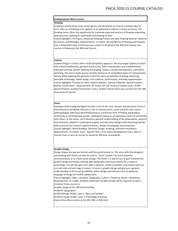#### **Undergraduate Minors (cont.)**

### **Drawing**

Drawing is practiced by artists across genres and disciplines as a way to translate ideas to form, and use of drawing in its capacity as an exploratory medium is nearly universal. The Drawing minor offers the opportunity for sustained study and practice of drawing supporting both practices: drawing as exploration and drawing as form.

Course highlights: The Figure, Advanced Drawing‐Process and Idea, Drawing Seminar: Systems, Structures, and Strategies. Requirements: 15 credits, AH 218 History of Painting and Drawing (req.). Required to take at minimum two courses in Drawing at the 200 level (menu), two courses in Drawing at the 300 level (menu).

#### **Fashion**

Fashion Design is a minor with a multi‐disciplinary approach. We encourage students to delve into material exploration, garment construction, fabric manipulation and embellishment, silkscreen printing, pattern drafting and draping, textiles, concept development, and fashion sketching. The minor invites you to consider fashion as an embedded aspect of contemporary society while exploring the garment itself from many perspectives including costuming, wearable technology, textile design, soft sculpture, performance, and body augmentation. Course highlights: Printing on Fabric, Fashion Matters, Capsule Collection, Special Projects: Sewing Construction I. Requirements: 15 credits, AH 219 History of Fashion (req.). SC293 Special Projects: Sewing Construction I (req.). Student should select two courses from the 300‐ level menu of courses.

#### **Game**

Gaming in both analog and digital formats is one of the most relevant and pervasive forms of entertainment worldwide. Beyond its role in entertainment, social scientists and cultural anthropologists alike have identified gaming as a dominant form of finding and building community in contemporary society, using game culture as an expressive means of connecting with others. In this minor, you'll develop a general understanding of the philosophies, systems, and mechanics utilized in contemporary game and interactive design while becoming familiar with processes for research, experimentation, design, prototyping, and production. Course highlights: World Building, Character Design, Scripting, Interactive Aesthetics. Requirements: 15 credits, IL257 ‐ Special Topics: Intro Game Development (req.). Select 4 courses from a menu of courses (2 should be 300 level coursework).

#### **Graphic Design**

Design shapes the way we interact with the world around us. The same skills that designers use working with clients can also be used to "move" people—for more powerful communication, or to create social change. This minor is a way for you to gain fundamental graphic design techniques working with typography and visual systems for a range of technology. You will also gain core skills in ideation, critical evaluation, and revision that you can take into a broad range of careers. A minor in graphic design will give you a general understanding of the broad possibilities within design and help you learn to speak the language of design for fruitful collaboration.

Course highlights: Signs + Symbols, Typography, Culture + Audience, Brand + Marketing. Requirements: 15 credits, Students minoring in Graphic Design will be required to take at minimum three courses in

- Graphic Design at the 200 level including:
- GD245 Typography I
- GD241Design Studio I, part 1: Signs and Symbols
- GD242 Design Studio I, part 2: Psychology of Seeing
- plus three other courses at the 200, 300, or 400 level.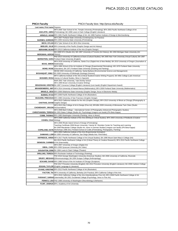| <b>PNCA Faculty</b>                      | PNCA Faculty bios: http://pnca.edu/faculty                                                                                                                                                                               |
|------------------------------------------|--------------------------------------------------------------------------------------------------------------------------------------------------------------------------------------------------------------------------|
| Last name, First name Degrees            |                                                                                                                                                                                                                          |
|                                          | MFA 2005 Tyler School of Art, Temple University (Printmaking); BFA 2003 Pacific Northwest College of Art<br>ANCLIFFE, ABRA (Printmaking); BA 1998 Lewis & Clark College (English Literature)                             |
|                                          | ARNOLD, ADAM BFA 1991 Pacific Northwest College of Art; AA 1996 Fashion Institute of Design & Merchandising<br>MFA 2007 Portland State University (Contemporary Art Practice)                                            |
|                                          | <b>BARNES, GORDON BFA 2005 Sonoma State University (Printmaking)</b>                                                                                                                                                     |
|                                          | <b>BECK, DYLAN</b> MFA Tyler School of Art; BFA Ohio University                                                                                                                                                          |
|                                          | <b>BEELER, JULIE BFA University of the Pacific (Graphic Design and Art History)</b>                                                                                                                                      |
|                                          | <b>BERAHIMI, BIJAN BFA 2013 California Institute of the Arts (Graphic Design)</b>                                                                                                                                        |
| <b>BERGMAN, AERON History)</b>           | MA 1999 NYU (Studio Art), MA 1997 University of Toronto (Art History), BA 1994 Michigan State University (Art                                                                                                            |
|                                          | PhD 2013 University of California at Davis (Cultural Studies); MA 2005 New York University (Visual Culture); BA 1997<br><b>BERNSTEIN, SARA Portland State University (English)</b>                                       |
| <b>BOAS, SIMON Multimedia)</b>           | MFA 2018 University of California, Santa Cruz (Digital Arts & New Media); BA 2010 University of Oregon (Journalism &                                                                                                     |
|                                          | MFA 1990 School of the Art Institute of Chicago (Experimental Filmmaking); MS 1976 Portland State University<br><b>BOND, ROSE</b> (Education); BA 1971 Portland State University (Drawing and Painting)                  |
|                                          | MESM 2002 University of California, Santa Barbara (Environmental Science and Management)<br><b>BOSANQUET, EMILY BS 2000 University of Edinburgh (Geology) (Honors)</b>                                                   |
|                                          | MFA California Institute of the Arts (Critical Studies/Creative Writing Program); BA Mills College (Latin American<br><b>BOSHIER, ROSA Literary &amp; Cultural Studies, Minor in Spanish)</b>                            |
|                                          | MAR 2001 Yale University, Yale Divinity School                                                                                                                                                                           |
|                                          | MFA 1999 Brown University (Creative Writing)<br>BRADSHAW, KRISTIN BA 1997 Converse College (English Literature) (cum laude) (English Department Award)                                                                   |
|                                          | BRANDENBERG, AMY MFA 2014 University of Hawaii Manoa (Mathematics); BFA 2009 Portland State University (Mathematics)                                                                                                     |
|                                          | <b>BRUELS, JESS</b> BFA 2006 Oklahoma State University (Graphic Design, focus in Electronic Media)                                                                                                                       |
|                                          | <b>BUBNIS, RYAN BFA 2006 Pacific Northwest College of Art (Illustration)</b>                                                                                                                                             |
|                                          | BUGARIN, PRECIOUS BFA 1996 University of San Francisco (Graphic Design)                                                                                                                                                  |
| <b>CHATHAS, DAVID</b> Graphic Design)    | MFA 2015 California Institute for the Arts (Graphic Design); BFA 2010 University of Illinois at Chicago (Photography &                                                                                                   |
| <b>CHOWDHURY, SRIJON Art/Journalism)</b> | MFA 2013 Otis College of Art & Design (Fine Art); BFA/BA 2009 University of Minnesota Twin Cities (Studio                                                                                                                |
|                                          | MFA 2008 Bard College - International Center of Photography (Advanced Photographic Studies)<br>CHRISTIANSEN, TERESA BA 2001 Bates College (Studio Art, Psychology) (magna cum laude) (Phi Beta Kappa)                    |
|                                          | <b>COBB, THOMAS</b> BFA 1995 Washington University (Painting, minor in Music)                                                                                                                                            |
| <b>COHEN, COLE Writing)</b>              | MFA 2009 California Institute of the Arts (Writing & Critical Studies); BFA 2003 University of Redlands (Creative                                                                                                        |
|                                          | MFA 2006 Rhode Island School of Design (Printmaking)<br>Teaching Certificate 2006 Brown University / Harriet W. Sheridan Center for Teaching and Learning                                                                |
|                                          | BA 2000 Macalester College (Studio Art, minor in German Studies) (magna cum laude) (Phi Beta Kappa)<br>COPELAND, KATE Workshops 1998-2011 Penland School of Crafts (Printmaking, Photography, Painting)                  |
|                                          | MFA 2004 California Institute of the Arts (Experimental Animation)<br>DAMIANO, LORI BA 2000 University of California, San Diego (Media Arts: Film/Video)                                                                 |
|                                          | DEFREECE, ARDIS MFA 2017 Pacific Northwest College of Art (Visual Studies); BA 1996 Mount Saint Mary's College (Art)                                                                                                     |
| DENISON, CARMEN of Art (Intermedia)      | MA 2013 Pacific Northwest College of Art (Critical Theory & Creative Research); BFA 2010 Pacific Northwest College                                                                                                       |
|                                          | MFA 2007 University of Oregon (Digital Art)<br><b>DIEHL, CARL BFA 2000 Syracuse University (Art Video)</b>                                                                                                               |
|                                          | <b>DOUGHTON, ERIN BA 1994 Lewis &amp; Clark College (Theatre)</b>                                                                                                                                                        |
|                                          | <b>DRILLING, TERESA BFA Rochester Institute of Technology (Painting)</b>                                                                                                                                                 |
|                                          | PhD 2016 George Washington University (American Studies); MA 2006 University of California, Riverside<br>DRURY, MEGHAN (Ethnomusicology); BA 2004 Scripps College (Anthropology)                                         |
|                                          | <b>ECKARD, DAVID</b> BFA 1988 School of the Art Institute of Chicago (Sculpture)<br>PhD 2017 Princeton University (English); MA 2012 Princeton University (English Literature); BA 2008 Carleton College                 |
|                                          | EGGAN, TAYLOR (English Language & Literature)                                                                                                                                                                            |
|                                          | <b>EVANS, KRISTINE BFA 2012 Pacific Northwest College of Art (Illustration)</b>                                                                                                                                          |
|                                          | FACTOR, TIA MFA University of California, Berkeley (Art Practice); BFA California College of the Arts<br>MFA 2016 California College of the Arts (Interdisciplinary Fine Art); BFA 2008 Pacific Northwest College of Art |
|                                          | FARAHAT, SARAH (Intermedia); BA 2001 Occidental College (Psychology, minor in Fine Art)                                                                                                                                  |
|                                          |                                                                                                                                                                                                                          |
|                                          | FEINICS, LISA PhD 1998 University of Washington (Neurobiology & Behavior)                                                                                                                                                |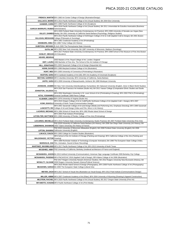|                                              | FRENCH, MARTIN BFA 1983 Art Center College of Design (Illustration/Design)                                                                                                                                                                                 |
|----------------------------------------------|------------------------------------------------------------------------------------------------------------------------------------------------------------------------------------------------------------------------------------------------------------|
|                                              | GALLUCCI, MARIO MFA 2014 Pacific Northwest College of Art (Visual Studies); BA 2004 Elon University                                                                                                                                                        |
|                                              | GANDER, CHRIS BFA 1986 Pacific Northwest College of Art (Sculpture)                                                                                                                                                                                        |
| <b>GARCIA MARRUFO, RUBEN Administration)</b> | MFA 2018 Pacific Northwest College of Art (Visual Studies); BA 2011 Universidad de Estudios Avanzados (Business                                                                                                                                            |
|                                              | MFA 2009 Portland State University (Contemporary Art Practice); BFA 2006 University of Nevada-Las Vegas (New<br>GILLEY, DAMIEN Media); BA 2001 University of California Santa Barbara (Psychology, Religious Studies)                                      |
|                                              | MFA 2014 Pacific Northwest College of Art/Oregon College of Art & Craft (Applied Craft & Design); BA 2001 Boston<br>GILLIGAN, MEGHANN College (Philosophy & Sociology)                                                                                     |
|                                              | MFA 1991 Cranbrook Academy of Art (Printmaking)<br>GINSBURG, EMILY BA 1986 Trinity College (Art History)                                                                                                                                                   |
|                                              | <b>GUBITOSA, MICHAEL B Arch 2005 The Pennsylvania State University</b>                                                                                                                                                                                     |
|                                              | <b>GUTH, MK</b> MFA 2002 New York University; BA 1987 University of Wisconsin, Madison (Sociology)                                                                                                                                                         |
| HANLEY, MEGAN (Art Education)                | MFA 2017 Portland State University (Contemporary Art Practice); BFA 2008 School of the Museum of Fine Arts Boston                                                                                                                                          |
| <b>HEARD, MEHRAN</b>                         |                                                                                                                                                                                                                                                            |
|                                              | 2003 Masters of Art, Royal College of Art, London, England<br><b>HEIT, LAURA</b> 1996 Bachelor of Fine Arts, The School of the Art Institute of Chicago                                                                                                    |
|                                              | HILL, JONATHAN BFA 2003 Savannah College of Art & Design (Sequential Art)                                                                                                                                                                                  |
|                                              | HOHN, DAVID BFA 1996 Maryland Institute College of Art (Illustration)                                                                                                                                                                                      |
|                                              | HUNT, MEG BFA 2005 University of Connecticut (Printmaking & Illustration)                                                                                                                                                                                  |
|                                              | HUSTON, SARA MFA Cranbook Academy of Art (3D); BFA Art Academy of Cincinnati (Sculpture)                                                                                                                                                                   |
|                                              | <b>IMATANI, GARRICK</b> MFA Columbia University; BFA University of California, Santa Barbara                                                                                                                                                               |
|                                              | JAFFE, SARA MFA 2009 University of Massachusetts, Amherst; BA 1999 Wesleyan University                                                                                                                                                                     |
|                                              |                                                                                                                                                                                                                                                            |
|                                              | JOHNSON, JASMIN MA New York University (Interdisciplinary Humanities); BA Oakwood University (English, minor in Black World Studies)<br>MFA 2016 San Francisco Art Institute (Studio Art); BA 2011 Vassar College (Comparative Ethnic Studies and Studio   |
| <b>JOHNSTON, JALEESA Art)</b>                |                                                                                                                                                                                                                                                            |
|                                              | MFA 2004 Washington University in St. Louis School of Art (Printmaking & Drawing); BFA 2002 PNCA (Printmaking);<br>KITAI, YOSHIHIRO General Certificate 1999 Pierce College                                                                                |
|                                              | <b>KLIEWER, LINDA BFA 1976 University of Virginia (Studio Art)</b>                                                                                                                                                                                         |
|                                              | MFA 2015 Oregon College of Art & Craft/Pacific Northwest College of Art (Applied Craft + Design); BFA 2007<br>KOIKI, BUKOLA University of North Texas (Communication Design)                                                                               |
|                                              | MFA 2001 Savannah College of Art and Design (Media and Performing Arts, Emphasis Directing); BFA 1999 Savannah<br><b>LANCIOTTI, RIC</b> College of Art and Design (Video and Film, Minor in Art History)                                                   |
|                                              | LAZARUS, MICHAEL MFA 1994 School of Visual Arts; BFA 1992 Rhode Island School of Design                                                                                                                                                                    |
|                                              | MFA 2003 Pratt Institute (Printmaking);                                                                                                                                                                                                                    |
|                                              | <b>LETZELTER, MATTHEW BFA 1998 University of Florida, College of Fine Arts (Printmaking)</b>                                                                                                                                                               |
|                                              | LICCARDO, MICHELLE MFA 2010 Portland State University (Contemporary Studio Practice); BA 2007 Portland State University (Fine Arts)<br>PhD 2018 University of California Santa Barbara (Art History); MA 2008 San Diego State University (Art History); BA |
|                                              | <b>LIEBERMAN, SHANNON</b> 2003 Tulane University (Art History & French)                                                                                                                                                                                    |
|                                              | PhD 2015 University of Wisconsin Milwaukee (English); MA 2008 Portland State University (English); BA 2006<br><b>LIPTON, SHAWNA Dalhousie University (English)</b>                                                                                         |
|                                              | <b>LUKACS, CHUCK BFA 1993 College for Creative Studies (Illustration)</b>                                                                                                                                                                                  |
|                                              | MFA School of the Art Institute of Chicago (Painting and Drawing); BFA California College of the Arts (Painting and                                                                                                                                        |
| <b>MALDONADO, VICTOR Drawing)</b>            |                                                                                                                                                                                                                                                            |
|                                              | MFA 1999 Rochester Institute of Technology (Computer Animation); BA 1996 The Evergreen State College (Video,<br>MARGOLIS, ZAK Film, Animation, Sound & Music Recording)                                                                                    |
|                                              | MARTINEZ, MAXIMILIANO MFA 2017 Pacific Northwest College of Art; BFA 2013 University of North Texas                                                                                                                                                        |
|                                              | <b>MCGEHEE, ABBY</b> PhD University of California, Berkeley (medieval architecture of France and England)                                                                                                                                                  |
|                                              | <b>MCNAMARA, JASON</b> BA 2013 Ashford University (Communication); American Sign Language Certificate 2009 Berkeley City College                                                                                                                           |
|                                              | <b>MCNAMARA, PHOENIX</b> MFA PNCA/OCAC 2016 (Applied Craft & Design), BFA Maine College of Art 2006 (Illustration)                                                                                                                                         |
|                                              | PhD 2017 Rutgers University Newark (American Studies), MA 2012 Rutgers University New Brunswick (History), BA                                                                                                                                              |
|                                              | <b>MCNULTY, SLOANE</b> 2009 Rutgers University Newark (History/Political Science)<br>MFA 2016 Rhode Island School of Design (Photography), BFA 2008 Pacific Northwest College of Art (Photography);                                                        |
|                                              | <b>MEADOWS, SARAH BA 2000 The Evergreen State College (Liberal Arts)</b>                                                                                                                                                                                   |
|                                              | MEYER, ZACH MFA 2017 School of Visual Arts (Illustration as Visual Essay); BFA 2012 Pratt Institute (Communications Design)                                                                                                                                |
|                                              | MILLER, ABBIE MFA 2007 Cranbrook Academy of Art (Fiber); BFA 2004 University of Wyoming (Drawing & Apparel Construction)                                                                                                                                   |
|                                              | MILSTEIN, RACHEL MFA 2020 Pacific Northwest College of Art (Visual Studies); BS 2017 Oregon State University (Fine Art)                                                                                                                                    |
|                                              | <b>MIYAMOTO, KANANI</b> MFA Pacific Northwest College of Art (Print Media)                                                                                                                                                                                 |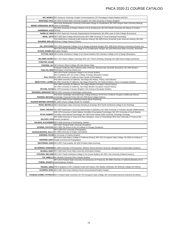|                                          | MO, MONICA BFA Syracuse University; Graphic Communications CTE Onondaga-Cortland-Madison BOCES                                                                                                                                                  |
|------------------------------------------|-------------------------------------------------------------------------------------------------------------------------------------------------------------------------------------------------------------------------------------------------|
|                                          | MONTONE, PAUL MA 2000 Portland State University (English); BA 1993 University of Oregon (English)                                                                                                                                               |
|                                          | MFA 2016 Northeastern University (Information Design & Visualization); BS 2004 Oregon State University (Biology,                                                                                                                                |
| MORET-FERGUSON, SKYE minor in Chemistry) |                                                                                                                                                                                                                                                 |
| <b>NANNEMAN, ALEX Writing)</b>           | MA 2016 University of Oregon (History of Art & Architecture); BA 2013 Pacific University (Art History & Creative                                                                                                                                |
|                                          | NARELLE, NINA MA 2012 Saybrook University (Organizational Development); BA 2004 Lewis & Clark College (Economics)                                                                                                                               |
|                                          | <b>NEHIL, SETH</b> MFA 2005 Bard College (Music/Sound); BFA 1998 University of Texas (Painting/Transmedia)                                                                                                                                      |
|                                          | PhD 2008 Emory University (Latin American History); MA 2005 Emory University (Latin American History); BA 2001                                                                                                                                  |
|                                          | <b>NOUWEN, MOLLIE</b> Whitman College (History & Music)                                                                                                                                                                                         |
|                                          | OH, JOOYOUNG MFA 2003 Savannah College of Art & Design (Industrial Design); BFA 1999 Ewha Womens University (Ceramic Art)                                                                                                                       |
|                                          | MFA 2013 Pacific Northwest College of Art (Collaborative Design); BA 2010 Minnesota State University, Moorhead                                                                                                                                  |
| <b>OLSON, DANIELLE</b> (Graphic Design)  |                                                                                                                                                                                                                                                 |
|                                          | PATTON, NICK MFA Pacific Northwest College of Art (Visual Studies); BA Columbus College of Art & Design (Illustration)                                                                                                                          |
|                                          |                                                                                                                                                                                                                                                 |
|                                          | PELZNER, BARRY MAT 1970 Reed College (Teaching); BFA 1977 PNCA (Painting, Drawing); BA 1968 Reed College (Literature)                                                                                                                           |
| PFEIFFER, DIANE                          |                                                                                                                                                                                                                                                 |
|                                          | <b>PONTERI, JAY MFA Warren Wilson College; MA New Mexico State</b><br>Graduate Certificate 2015 California State University, Monterey Bay (Scientific Illustration); BA 2006 Western                                                            |
|                                          | <b>PSALTIS, REID</b> Washington University (Studio Art)                                                                                                                                                                                         |
|                                          | MFA 2010 Pacific Northwest College of Art (Visual Studies)                                                                                                                                                                                      |
|                                          | BFA Candidate 2007 Art Center College of Design (Illustration Design)                                                                                                                                                                           |
|                                          | RAU, ZACK BA 1999 University of California Davis (Studio Art/Installation)<br>PhD 2009 University of California, San Diego (Art History, Theory, and Criticism)                                                                                 |
|                                          | REED PAVIC, LAUREL BA 2002 University of California, San Diego (Visual Arts-Art History/Criticism, minor in European Studies)                                                                                                                   |
|                                          | PhD 1986 University of California, San Diego (Modern European Cultural History)                                                                                                                                                                 |
|                                          | MA 1981 University of California, San Diego (Modern European Cultural History)<br>RITCHIE, DAVID BA 1978 University of Sussex (English in the School of European Studies)                                                                       |
|                                          |                                                                                                                                                                                                                                                 |
|                                          | RODGERS, BERNADETTE PhD 2001 University of Washington (Astronomy)<br>PhD 2016 Cambirdge University/King's College (History); M.Phil 2011 (Political Thought & Intellectual History)                                                             |
|                                          | ROGERS, MICHAEL Cambridge University/Trinity Hall; BA 2008 Reed College (History)                                                                                                                                                               |
|                                          | Grad Cert 1999 Denver Publishing Institute (Book Publishing)<br>ROGERS BROWN, KRISTIN BA 1994 Kenyon College (Studio Art, English)                                                                                                              |
|                                          | ROSS, MICHELLE MFA Washington State University (Painting & Drawing); BFA Pacific Northwest College of Art (Painting)                                                                                                                            |
|                                          |                                                                                                                                                                                                                                                 |
|                                          | RUPP, VINCENT MS 2000 Northeastern University (Mathematics & Statistics); BA 2000 University of Colorado, Boulder (Mathematics)<br>EdD 1973 University of South Dakota, Vermillion (Counseling Psychology); MA 1971 University of South Dakota, |
|                                          | RYAN, ROBERT Vermillion (Educational Psychology); BA 1963 South Dakota State University, Brookings (Zoology)                                                                                                                                    |
|                                          | BFA 2009 University of Texas at El Paso (Sculpture, minor in Printmaking); MFA 2012 University of Texas at San<br><b>SALCIDO, IVAN Antonio (Sculpture)</b>                                                                                      |
|                                          | <b>SALINAS, ALEJANDRA</b> MFA 2008 University of Gothenberg, Sweden                                                                                                                                                                             |
|                                          | MFA 2007 Portland State University (Sculpture)                                                                                                                                                                                                  |
|                                          | <b>SCHENK, CRYSTAL BFA 1999 The School of the Art Institute of Chicago (Sculpture)</b>                                                                                                                                                          |
|                                          | MFA 1990 Ohio University (Photography)<br>SCHOOLMASTER, SALLY BS 1986 University of Oregon (Journalism)                                                                                                                                         |
|                                          |                                                                                                                                                                                                                                                 |
|                                          | <b>SHERWIN, DAVID BA University of Virginia (English)</b><br>MFA 2013 Saint Mary's College of California (Poetry); BFA 2011 Evergreen State College; AA 2005 Art Institute of                                                                   |
|                                          | <b>SHERWIN, MARY</b> Seattle (Commercial Photography)                                                                                                                                                                                           |
|                                          | SIESTREEM, SARA MFA 2007 Pratt Institute; BS 2005 Portland State University                                                                                                                                                                     |
|                                          |                                                                                                                                                                                                                                                 |
|                                          | SILVERMAN, HOWARD BS 1984 University of Pennsylvania, Wharton School (Decision Sciences: Management of Information Systems)                                                                                                                     |
|                                          | <b>SPARKS, RORY BFA 1994 Saint Cloud State University (Art/Graphic Design)</b>                                                                                                                                                                  |
|                                          | STEVENS, MELANIE MFA 2017 Pacific Northwest College of Art (Visual Studies); BA 2001 Yale University (Political Science)                                                                                                                        |
|                                          | <b>TAI, ARIELLA BA Stanford University (Film &amp; Media Studies)</b><br>MFA 2014 Portland State University (Contemporary Art Practices); BA 2008 University of California Berkeley (Art &                                                      |
|                                          | TOWNE, SHARITA Interdisciplinary Studies)                                                                                                                                                                                                       |
|                                          | TRUXES, ANNA PhD in progress CUNY Graduate Center (Art History, Film Studies certificate); BA Whitman College (Art History)                                                                                                                     |
|                                          | ULENERS, ROEL MFA 1997 Sint-Lucas Antwerp (Visual communication/Graphic Design)                                                                                                                                                                 |
|                                          |                                                                                                                                                                                                                                                 |
|                                          | VAZQUEZ-GOMEZ, PATRICIA MFA Portland State University; BA The Evergreen State College; BA Universidad Nacional Autónoma de México                                                                                                               |